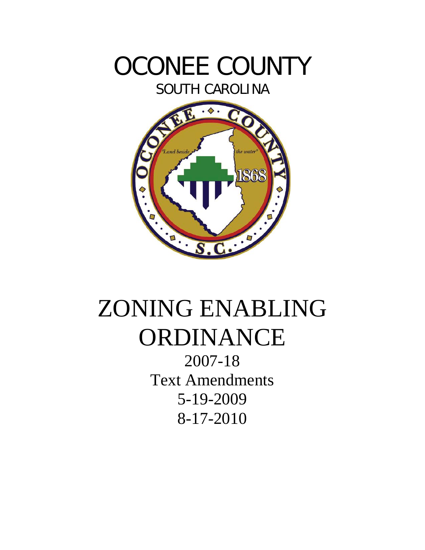

SOUTH CAROLINA



# ZONING ENABLING ORDINANCE

2007-18 Text Amendments 5-19-2009 8-17-2010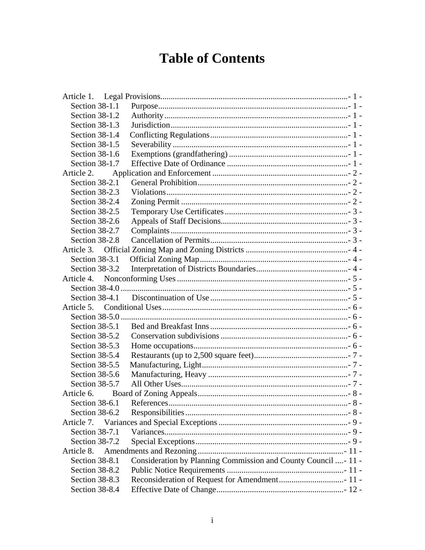# **Table of Contents**

| Article 1.       |                                                                |
|------------------|----------------------------------------------------------------|
| Section 38-1.1   |                                                                |
| Section 38-1.2   |                                                                |
| Section 38-1.3   |                                                                |
| Section 38-1.4   |                                                                |
| Section 38-1.5   |                                                                |
| Section 38-1.6   |                                                                |
| Section 38-1.7   |                                                                |
| Article 2.       |                                                                |
| Section 38-2.1   |                                                                |
| Section 38-2.3   |                                                                |
| Section 38-2.4   |                                                                |
| Section 38-2.5   |                                                                |
| Section 38-2.6   |                                                                |
| Section 38-2.7   |                                                                |
| Section 38-2.8   |                                                                |
|                  |                                                                |
| Section 38-3.1   |                                                                |
| Section 38-3.2   |                                                                |
|                  |                                                                |
|                  |                                                                |
| Section $38-4.1$ |                                                                |
|                  |                                                                |
|                  |                                                                |
| Section 38-5.1   |                                                                |
| Section 38-5.2   |                                                                |
| Section 38-5.3   |                                                                |
| Section 38-5.4   |                                                                |
| Section 38-5.5   |                                                                |
| Section 38-5.6   |                                                                |
| Section 38-5.7   |                                                                |
| Article 6.       |                                                                |
| Section 38-6.1   |                                                                |
| Section 38-6.2   |                                                                |
| Article 7.       |                                                                |
| Section 38-7.1   |                                                                |
| Section 38-7.2   |                                                                |
| Article 8.       |                                                                |
| Section 38-8.1   | Consideration by Planning Commission and County Council - 11 - |
| Section 38-8.2   |                                                                |
| Section 38-8.3   |                                                                |
| Section 38-8.4   |                                                                |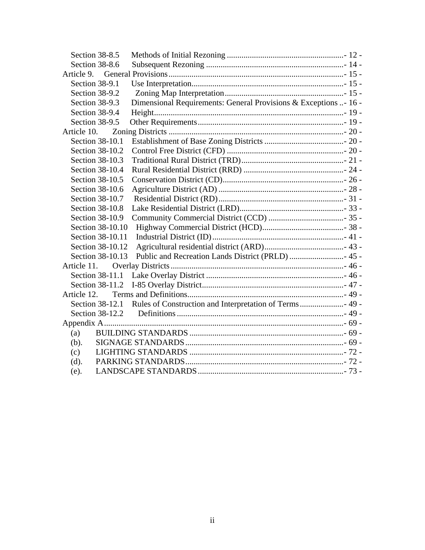| Section 38-8.5   |                                                                  |
|------------------|------------------------------------------------------------------|
| Section 38-8.6   |                                                                  |
| Article 9.       |                                                                  |
| Section 38-9.1   |                                                                  |
| Section 38-9.2   |                                                                  |
| Section 38-9.3   | Dimensional Requirements: General Provisions & Exceptions - 16 - |
| Section 38-9.4   |                                                                  |
| Section 38-9.5   |                                                                  |
| Article 10.      |                                                                  |
| Section 38-10.1  |                                                                  |
| Section 38-10.2  |                                                                  |
| Section 38-10.3  |                                                                  |
| Section 38-10.4  |                                                                  |
| Section 38-10.5  |                                                                  |
| Section 38-10.6  |                                                                  |
| Section 38-10.7  |                                                                  |
| Section 38-10.8  |                                                                  |
| Section 38-10.9  |                                                                  |
| Section 38-10.10 |                                                                  |
| Section 38-10.11 |                                                                  |
| Section 38-10.12 |                                                                  |
| Section 38-10.13 | Public and Recreation Lands District (PRLD)  45 -                |
| Article 11.      |                                                                  |
|                  |                                                                  |
| Section 38-11.2  |                                                                  |
| Article 12.      |                                                                  |
| Section 38-12.1  |                                                                  |
| Section 38-12.2  |                                                                  |
|                  |                                                                  |
| (a)              |                                                                  |
| (b).             |                                                                  |
| (c)              |                                                                  |
| (d).             |                                                                  |
| (e).             |                                                                  |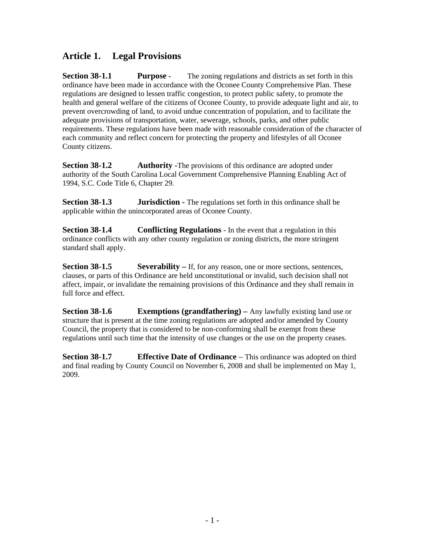# <span id="page-3-0"></span>**Article 1. Legal Provisions**

**Section 38-1.1** Purpose - The zoning regulations and districts as set forth in this ordinance have been made in accordance with the Oconee County Comprehensive Plan. These regulations are designed to lessen traffic congestion, to protect public safety, to promote the health and general welfare of the citizens of Oconee County, to provide adequate light and air, to prevent overcrowding of land, to avoid undue concentration of population, and to facilitate the adequate provisions of transportation, water, sewerage, schools, parks, and other public requirements. These regulations have been made with reasonable consideration of the character of each community and reflect concern for protecting the property and lifestyles of all Oconee County citizens.

**Section 38-1.2** Authority -The provisions of this ordinance are adopted under authority of the South Carolina Local Government Comprehensive Planning Enabling Act of 1994, S.C. Code Title 6, Chapter 29.

**Section 38-1.3 Jurisdiction -** The regulations set forth in this ordinance shall be applicable within the unincorporated areas of Oconee County.

**Section 38-1.4** Conflicting Regulations - In the event that a regulation in this ordinance conflicts with any other county regulation or zoning districts, the more stringent standard shall apply.

**Section 38-1.5** Severability – If, for any reason, one or more sections, sentences, clauses, or parts of this Ordinance are held unconstitutional or invalid, such decision shall not affect, impair, or invalidate the remaining provisions of this Ordinance and they shall remain in full force and effect.

**Section 38-1.6** Exemptions (grandfathering) – Any lawfully existing land use or structure that is present at the time zoning regulations are adopted and/or amended by County Council, the property that is considered to be non-conforming shall be exempt from these regulations until such time that the intensity of use changes or the use on the property ceases.

**Section 38-1.7** Effective Date of Ordinance – This ordinance was adopted on third and final reading by County Council on November 6, 2008 and shall be implemented on May 1, 2009.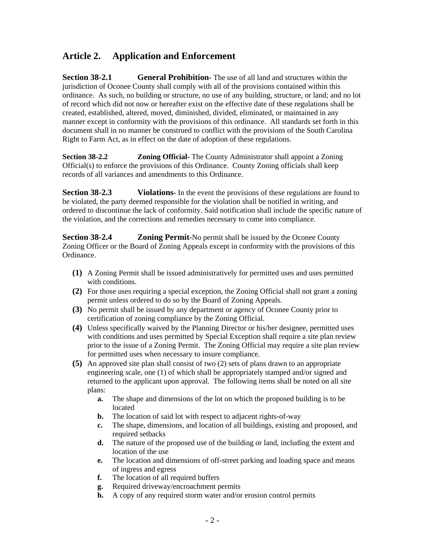# <span id="page-4-0"></span>**Article 2. Application and Enforcement**

**Section 38-2.1 General Prohibition-** The use of all land and structures within the jurisdiction of Oconee County shall comply with all of the provisions contained within this ordinance. As such, no building or structure, no use of any building, structure, or land; and no lot of record which did not now or hereafter exist on the effective date of these regulations shall be created, established, altered, moved, diminished, divided, eliminated, or maintained in any manner except in conformity with the provisions of this ordinance. All standards set forth in this document shall in no manner be construed to conflict with the provisions of the South Carolina Right to Farm Act, as in effect on the date of adoption of these regulations.

**Section 38-2.2 Zoning Official-** The County Administrator shall appoint a Zoning Official(s) to enforce the provisions of this Ordinance. County Zoning officials shall keep records of all variances and amendments to this Ordinance.

**Section 38-2.3** Violations- In the event the provisions of these regulations are found to be violated, the party deemed responsible for the violation shall be notified in writing, and ordered to discontinue the lack of conformity. Said notification shall include the specific nature of the violation, and the corrections and remedies necessary to come into compliance.

**Section 38-2.4 Zoning Permit-**No permit shall be issued by the Oconee County Zoning Officer or the Board of Zoning Appeals except in conformity with the provisions of this Ordinance.

- **(1)** A Zoning Permit shall be issued administratively for permitted uses and uses permitted with conditions.
- **(2)** For those uses requiring a special exception, the Zoning Official shall not grant a zoning permit unless ordered to do so by the Board of Zoning Appeals.
- **(3)** No permit shall be issued by any department or agency of Oconee County prior to certification of zoning compliance by the Zoning Official.
- **(4)** Unless specifically waived by the Planning Director or his/her designee, permitted uses with conditions and uses permitted by Special Exception shall require a site plan review prior to the issue of a Zoning Permit. The Zoning Official may require a site plan review for permitted uses when necessary to insure compliance.
- **(5)** An approved site plan shall consist of two (2) sets of plans drawn to an appropriate engineering scale, one (1) of which shall be appropriately stamped and/or signed and returned to the applicant upon approval. The following items shall be noted on all site plans:
	- **a.** The shape and dimensions of the lot on which the proposed building is to be located
	- **b.** The location of said lot with respect to adjacent rights-of-way
	- **c.** The shape, dimensions, and location of all buildings, existing and proposed, and required setbacks
	- **d.** The nature of the proposed use of the building or land, including the extent and location of the use
	- **e.** The location and dimensions of off-street parking and loading space and means of ingress and egress
	- **f.** The location of all required buffers
	- **g.** Required driveway/encroachment permits
	- **h.** A copy of any required storm water and/or erosion control permits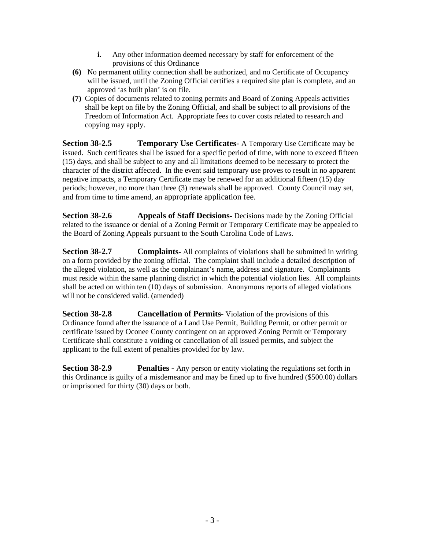- **i.** Any other information deemed necessary by staff for enforcement of the provisions of this Ordinance
- <span id="page-5-0"></span>**(6)** No permanent utility connection shall be authorized, and no Certificate of Occupancy will be issued, until the Zoning Official certifies a required site plan is complete, and an approved 'as built plan' is on file.
- **(7)** Copies of documents related to zoning permits and Board of Zoning Appeals activities shall be kept on file by the Zoning Official, and shall be subject to all provisions of the Freedom of Information Act. Appropriate fees to cover costs related to research and copying may apply.

**Section 38-2.5 Temporary Use Certificates**- A Temporary Use Certificate may be issued. Such certificates shall be issued for a specific period of time, with none to exceed fifteen (15) days, and shall be subject to any and all limitations deemed to be necessary to protect the character of the district affected. In the event said temporary use proves to result in no apparent negative impacts, a Temporary Certificate may be renewed for an additional fifteen (15) day periods; however, no more than three (3) renewals shall be approved. County Council may set, and from time to time amend, an appropriate application fee.

**Section 38-2.6** Appeals of Staff Decisions- Decisions made by the Zoning Official related to the issuance or denial of a Zoning Permit or Temporary Certificate may be appealed to the Board of Zoning Appeals pursuant to the South Carolina Code of Laws.

**Section 38-2.7** Complaints- All complaints of violations shall be submitted in writing on a form provided by the zoning official. The complaint shall include a detailed description of the alleged violation, as well as the complainant's name, address and signature. Complainants must reside within the same planning district in which the potential violation lies. All complaints shall be acted on within ten (10) days of submission. Anonymous reports of alleged violations will not be considered valid. (amended)

**Section 38-2.8 Cancellation of Permits-** Violation of the provisions of this Ordinance found after the issuance of a Land Use Permit, Building Permit, or other permit or certificate issued by Oconee County contingent on an approved Zoning Permit or Temporary Certificate shall constitute a voiding or cancellation of all issued permits, and subject the applicant to the full extent of penalties provided for by law.

**Section 38-2.9 Penalties** - Any person or entity violating the regulations set forth in this Ordinance is guilty of a misdemeanor and may be fined up to five hundred (\$500.00) dollars or imprisoned for thirty (30) days or both.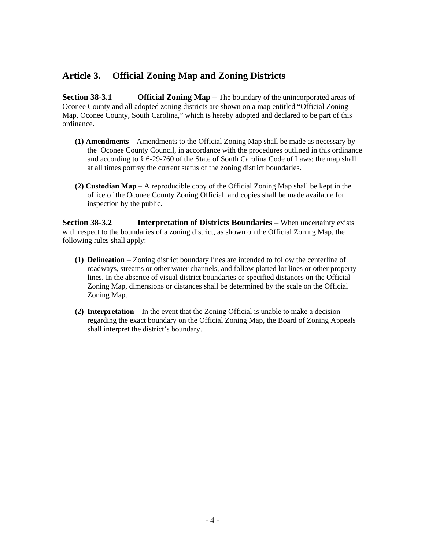# <span id="page-6-0"></span>**Article 3. Official Zoning Map and Zoning Districts**

**Section 38-3.1 Official Zoning Map** – The boundary of the unincorporated areas of Oconee County and all adopted zoning districts are shown on a map entitled "Official Zoning Map, Oconee County, South Carolina," which is hereby adopted and declared to be part of this ordinance.

- **(1) Amendments –** Amendments to the Official Zoning Map shall be made as necessary by the Oconee County Council, in accordance with the procedures outlined in this ordinance and according to § 6-29-760 of the State of South Carolina Code of Laws; the map shall at all times portray the current status of the zoning district boundaries.
- **(2) Custodian Map –** A reproducible copy of the Official Zoning Map shall be kept in the office of the Oconee County Zoning Official, and copies shall be made available for inspection by the public.

**Section 38-3.2 Interpretation of Districts Boundaries –** When uncertainty exists with respect to the boundaries of a zoning district, as shown on the Official Zoning Map, the following rules shall apply:

- **(1) Delineation –** Zoning district boundary lines are intended to follow the centerline of roadways, streams or other water channels, and follow platted lot lines or other property lines. In the absence of visual district boundaries or specified distances on the Official Zoning Map, dimensions or distances shall be determined by the scale on the Official Zoning Map.
- **(2) Interpretation –** In the event that the Zoning Official is unable to make a decision regarding the exact boundary on the Official Zoning Map, the Board of Zoning Appeals shall interpret the district's boundary.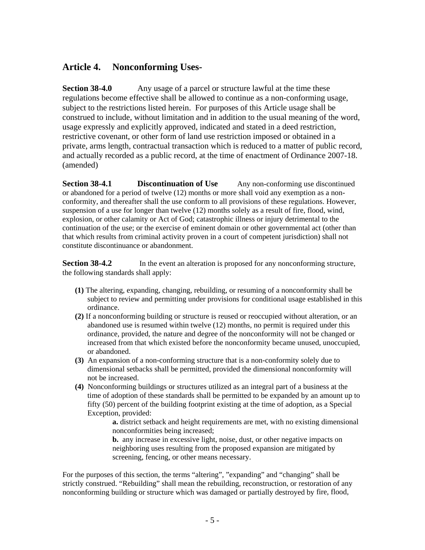# <span id="page-7-0"></span>**Article 4. Nonconforming Uses-**

**Section 38-4.0** Any usage of a parcel or structure lawful at the time these regulations become effective shall be allowed to continue as a non-conforming usage, subject to the restrictions listed herein. For purposes of this Article usage shall be construed to include, without limitation and in addition to the usual meaning of the word, usage expressly and explicitly approved, indicated and stated in a deed restriction, restrictive covenant, or other form of land use restriction imposed or obtained in a private, arms length, contractual transaction which is reduced to a matter of public record, and actually recorded as a public record, at the time of enactment of Ordinance 2007-18. (amended)

**Section 38-4.1 Discontinuation of Use** Any non-conforming use discontinued or abandoned for a period of twelve (12) months or more shall void any exemption as a nonconformity, and thereafter shall the use conform to all provisions of these regulations. However, suspension of a use for longer than twelve (12) months solely as a result of fire, flood, wind, explosion, or other calamity or Act of God; catastrophic illness or injury detrimental to the continuation of the use; or the exercise of eminent domain or other governmental act (other than that which results from criminal activity proven in a court of competent jurisdiction) shall not constitute discontinuance or abandonment.

**Section 38-4.2** In the event an alteration is proposed for any nonconforming structure, the following standards shall apply:

- **(1)** The altering, expanding, changing, rebuilding, or resuming of a nonconformity shall be subject to review and permitting under provisions for conditional usage established in this ordinance.
- **(2)** If a nonconforming building or structure is reused or reoccupied without alteration, or an abandoned use is resumed within twelve (12) months, no permit is required under this ordinance, provided, the nature and degree of the nonconformity will not be changed or increased from that which existed before the nonconformity became unused, unoccupied, or abandoned.
- **(3)** An expansion of a non-conforming structure that is a non-conformity solely due to dimensional setbacks shall be permitted, provided the dimensional nonconformity will not be increased.
- **(4)** Nonconforming buildings or structures utilized as an integral part of a business at the time of adoption of these standards shall be permitted to be expanded by an amount up to fifty (50) percent of the building footprint existing at the time of adoption, as a Special Exception, provided:

 **a.** district setback and height requirements are met, with no existing dimensional nonconformities being increased;

**b.** any increase in excessive light, noise, dust, or other negative impacts on neighboring uses resulting from the proposed expansion are mitigated by screening, fencing, or other means necessary.

For the purposes of this section, the terms "altering", "expanding" and "changing" shall be strictly construed. "Rebuilding" shall mean the rebuilding, reconstruction, or restoration of any nonconforming building or structure which was damaged or partially destroyed by fire, flood,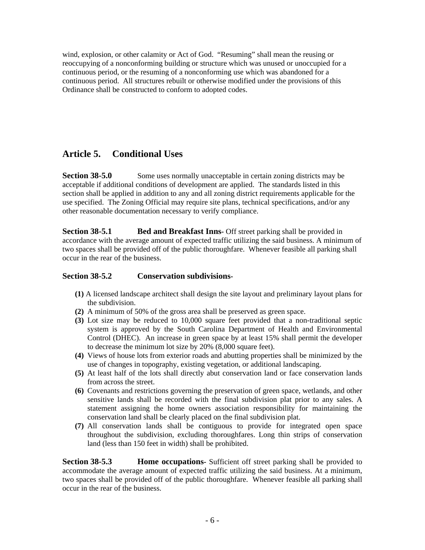<span id="page-8-0"></span>wind, explosion, or other calamity or Act of God. "Resuming" shall mean the reusing or reoccupying of a nonconforming building or structure which was unused or unoccupied for a continuous period, or the resuming of a nonconforming use which was abandoned for a continuous period. All structures rebuilt or otherwise modified under the provisions of this Ordinance shall be constructed to conform to adopted codes.

# **Article 5. Conditional Uses**

**Section 38-5.0** Some uses normally unacceptable in certain zoning districts may be acceptable if additional conditions of development are applied. The standards listed in this section shall be applied in addition to any and all zoning district requirements applicable for the use specified. The Zoning Official may require site plans, technical specifications, and/or any other reasonable documentation necessary to verify compliance.

**Section 38-5.1 Bed and Breakfast Inns-** Off street parking shall be provided in accordance with the average amount of expected traffic utilizing the said business. A minimum of two spaces shall be provided off of the public thoroughfare. Whenever feasible all parking shall occur in the rear of the business.

#### **Section 38-5.2 Conservation subdivisions-**

- **(1)** A licensed landscape architect shall design the site layout and preliminary layout plans for the subdivision.
- **(2)** A minimum of 50% of the gross area shall be preserved as green space.
- **(3)** Lot size may be reduced to 10,000 square feet provided that a non-traditional septic system is approved by the South Carolina Department of Health and Environmental Control (DHEC). An increase in green space by at least 15% shall permit the developer to decrease the minimum lot size by 20% (8,000 square feet).
- **(4)** Views of house lots from exterior roads and abutting properties shall be minimized by the use of changes in topography, existing vegetation, or additional landscaping.
- **(5)** At least half of the lots shall directly abut conservation land or face conservation lands from across the street.
- **(6)** Covenants and restrictions governing the preservation of green space, wetlands, and other sensitive lands shall be recorded with the final subdivision plat prior to any sales. A statement assigning the home owners association responsibility for maintaining the conservation land shall be clearly placed on the final subdivision plat.
- **(7)** All conservation lands shall be contiguous to provide for integrated open space throughout the subdivision, excluding thoroughfares. Long thin strips of conservation land (less than 150 feet in width) shall be prohibited.

**Section 38-5.3 Home occupations**- Sufficient off street parking shall be provided to accommodate the average amount of expected traffic utilizing the said business. At a minimum, two spaces shall be provided off of the public thoroughfare. Whenever feasible all parking shall occur in the rear of the business.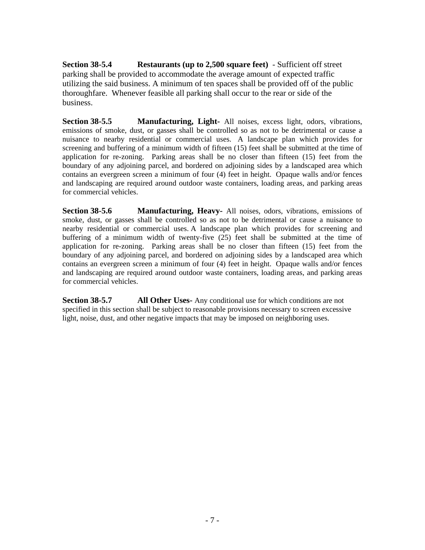<span id="page-9-0"></span>**Section 38-5.4 Restaurants (up to 2,500 square feet)** - Sufficient off street parking shall be provided to accommodate the average amount of expected traffic utilizing the said business. A minimum of ten spaces shall be provided off of the public thoroughfare. Whenever feasible all parking shall occur to the rear or side of the business.

**Section 38-5.5 Manufacturing, Light-** All noises, excess light, odors, vibrations, emissions of smoke, dust, or gasses shall be controlled so as not to be detrimental or cause a nuisance to nearby residential or commercial uses. A landscape plan which provides for screening and buffering of a minimum width of fifteen (15) feet shall be submitted at the time of application for re-zoning. Parking areas shall be no closer than fifteen (15) feet from the boundary of any adjoining parcel, and bordered on adjoining sides by a landscaped area which contains an evergreen screen a minimum of four (4) feet in height. Opaque walls and/or fences and landscaping are required around outdoor waste containers, loading areas, and parking areas for commercial vehicles.

**Section 38-5.6 Manufacturing, Heavy-** All noises, odors, vibrations, emissions of smoke, dust, or gasses shall be controlled so as not to be detrimental or cause a nuisance to nearby residential or commercial uses. A landscape plan which provides for screening and buffering of a minimum width of twenty-five  $(25)$  feet shall be submitted at the time of application for re-zoning. Parking areas shall be no closer than fifteen (15) feet from the boundary of any adjoining parcel, and bordered on adjoining sides by a landscaped area which contains an evergreen screen a minimum of four (4) feet in height. Opaque walls and/or fences and landscaping are required around outdoor waste containers, loading areas, and parking areas for commercial vehicles.

**Section 38-5.7 All Other Uses-** Any conditional use for which conditions are not specified in this section shall be subject to reasonable provisions necessary to screen excessive light, noise, dust, and other negative impacts that may be imposed on neighboring uses.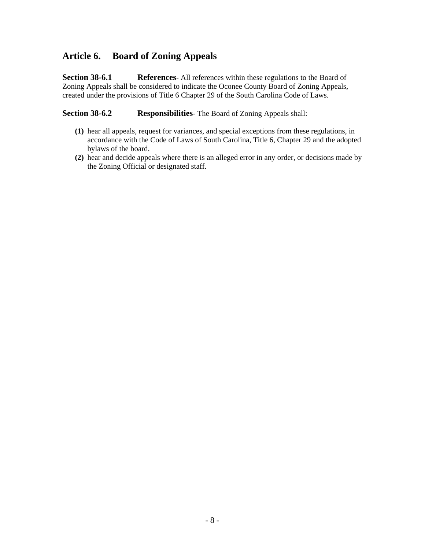# <span id="page-10-0"></span>**Article 6. Board of Zoning Appeals**

**Section 38-6.1** References- All references within these regulations to the Board of Zoning Appeals shall be considered to indicate the Oconee County Board of Zoning Appeals, created under the provisions of Title 6 Chapter 29 of the South Carolina Code of Laws.

**Section 38-6.2 Responsibilities-** The Board of Zoning Appeals shall:

- **(1)** hear all appeals, request for variances, and special exceptions from these regulations, in accordance with the Code of Laws of South Carolina, Title 6, Chapter 29 and the adopted bylaws of the board.
- **(2)** hear and decide appeals where there is an alleged error in any order, or decisions made by the Zoning Official or designated staff.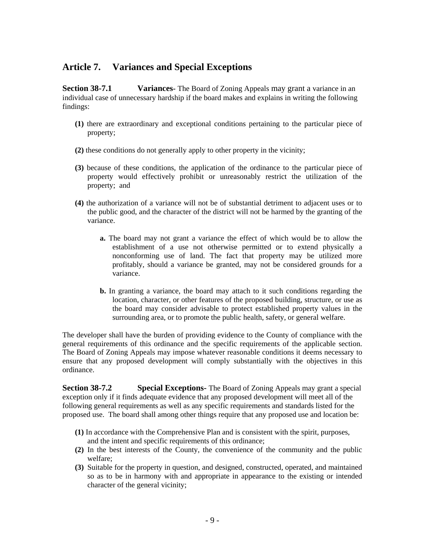# <span id="page-11-0"></span>**Article 7. Variances and Special Exceptions**

**Section 38-7.1** Variances- The Board of Zoning Appeals may grant a variance in an individual case of unnecessary hardship if the board makes and explains in writing the following findings:

- **(1)** there are extraordinary and exceptional conditions pertaining to the particular piece of property;
- **(2)** these conditions do not generally apply to other property in the vicinity;
- **(3)** because of these conditions, the application of the ordinance to the particular piece of property would effectively prohibit or unreasonably restrict the utilization of the property; and
- **(4)** the authorization of a variance will not be of substantial detriment to adjacent uses or to the public good, and the character of the district will not be harmed by the granting of the variance.
	- **a.** The board may not grant a variance the effect of which would be to allow the establishment of a use not otherwise permitted or to extend physically a nonconforming use of land. The fact that property may be utilized more profitably, should a variance be granted, may not be considered grounds for a variance.
	- **b.** In granting a variance, the board may attach to it such conditions regarding the location, character, or other features of the proposed building, structure, or use as the board may consider advisable to protect established property values in the surrounding area, or to promote the public health, safety, or general welfare.

The developer shall have the burden of providing evidence to the County of compliance with the general requirements of this ordinance and the specific requirements of the applicable section. The Board of Zoning Appeals may impose whatever reasonable conditions it deems necessary to ensure that any proposed development will comply substantially with the objectives in this ordinance.

**Section 38-7.2** Special Exceptions- The Board of Zoning Appeals may grant a special exception only if it finds adequate evidence that any proposed development will meet all of the following general requirements as well as any specific requirements and standards listed for the proposed use. The board shall among other things require that any proposed use and location be:

- **(1)** In accordance with the Comprehensive Plan and is consistent with the spirit, purposes, and the intent and specific requirements of this ordinance;
- **(2)** In the best interests of the County, the convenience of the community and the public welfare;
- **(3)** Suitable for the property in question, and designed, constructed, operated, and maintained so as to be in harmony with and appropriate in appearance to the existing or intended character of the general vicinity;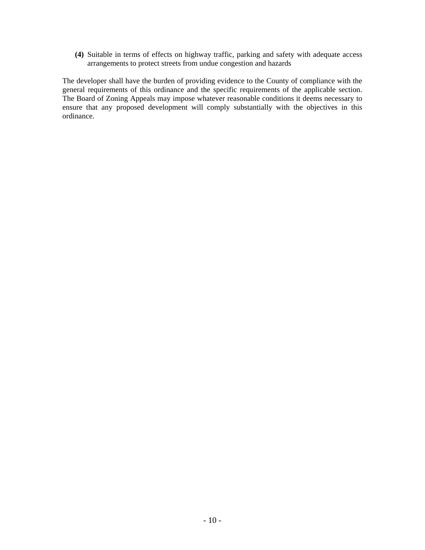**(4)** Suitable in terms of effects on highway traffic, parking and safety with adequate access arrangements to protect streets from undue congestion and hazards

The developer shall have the burden of providing evidence to the County of compliance with the general requirements of this ordinance and the specific requirements of the applicable section. The Board of Zoning Appeals may impose whatever reasonable conditions it deems necessary to ensure that any proposed development will comply substantially with the objectives in this ordinance.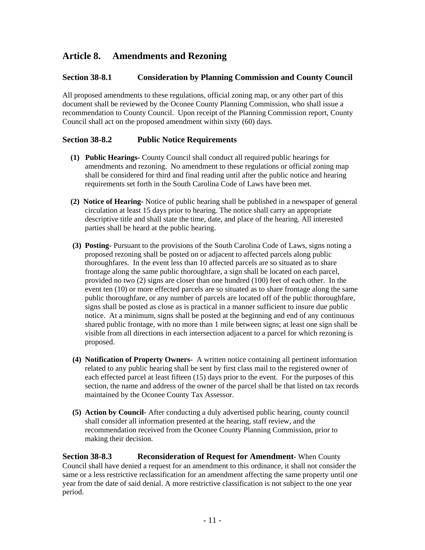# <span id="page-13-0"></span>**Article 8. Amendments and Rezoning**

#### **Section 38-8.1 Consideration by Planning Commission and County Council**

All proposed amendments to these regulations, official zoning map, or any other part of this document shall be reviewed by the Oconee County Planning Commission, who shall issue a recommendation to County Council. Upon receipt of the Planning Commission report, County Council shall act on the proposed amendment within sixty (60) days.

#### **Section 38-8.2 Public Notice Requirements**

- **(1) Public Hearings-** County Council shall conduct all required public hearings for amendments and rezoning. No amendment to these regulations or official zoning map shall be considered for third and final reading until after the public notice and hearing requirements set forth in the South Carolina Code of Laws have been met.
- **(2) Notice of Hearing-** Notice of public hearing shall be published in a newspaper of general circulation at least 15 days prior to hearing. The notice shall carry an appropriate descriptive title and shall state the time, date, and place of the hearing. All interested parties shall be heard at the public hearing.
- **(3) Posting-** Pursuant to the provisions of the South Carolina Code of Laws, signs noting a proposed rezoning shall be posted on or adjacent to affected parcels along public thoroughfares. In the event less than 10 affected parcels are so situated as to share frontage along the same public thoroughfare, a sign shall be located on each parcel, provided no two (2) signs are closer than one hundred (100) feet of each other. In the event ten (10) or more effected parcels are so situated as to share frontage along the same public thoroughfare, or any number of parcels are located off of the public thoroughfare, signs shall be posted as close as is practical in a manner sufficient to insure due public notice. At a minimum, signs shall be posted at the beginning and end of any continuous shared public frontage, with no more than 1 mile between signs; at least one sign shall be visible from all directions in each intersection adjacent to a parcel for which rezoning is proposed.
- **(4) Notification of Property Owners-** A written notice containing all pertinent information related to any public hearing shall be sent by first class mail to the registered owner of each effected parcel at least fifteen (15) days prior to the event. For the purposes of this section, the name and address of the owner of the parcel shall be that listed on tax records maintained by the Oconee County Tax Assessor.
- **(5) Action by Council-** After conducting a duly advertised public hearing, county council shall consider all information presented at the hearing, staff review, and the recommendation received from the Oconee County Planning Commission, prior to making their decision.

**Section 38-8.3** Reconsideration of Request for Amendment- When County Council shall have denied a request for an amendment to this ordinance, it shall not consider the same or a less restrictive reclassification for an amendment affecting the same property until one year from the date of said denial. A more restrictive classification is not subject to the one year period.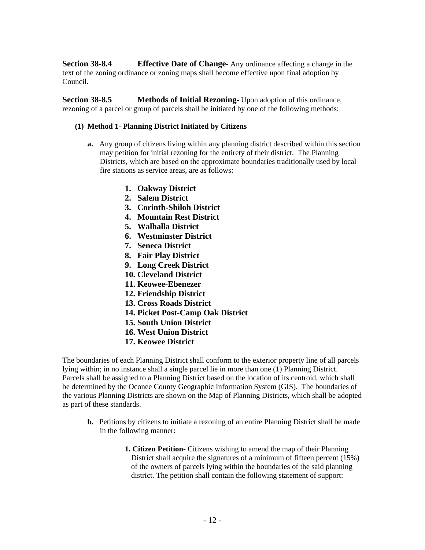<span id="page-14-0"></span>**Section 38-8.4 Effective Date of Change-** Any ordinance affecting a change in the text of the zoning ordinance or zoning maps shall become effective upon final adoption by Council.

**Section 38-8.5 Methods of Initial Rezoning-** Upon adoption of this ordinance, rezoning of a parcel or group of parcels shall be initiated by one of the following methods:

#### **(1) Method 1- Planning District Initiated by Citizens**

- **a.** Any group of citizens living within any planning district described within this section may petition for initial rezoning for the entirety of their district. The Planning Districts, which are based on the approximate boundaries traditionally used by local fire stations as service areas, are as follows:
	- **1. Oakway District**
	- **2. Salem District**
	- **3. Corinth-Shiloh District**
	- **4. Mountain Rest District**
	- **5. Walhalla District**
	- **6. Westminster District**
	- **7. Seneca District**
	- **8. Fair Play District**
	- **9. Long Creek District**
	- **10. Cleveland District**
	- **11. Keowee-Ebenezer**
	- **12. Friendship District**
	- **13. Cross Roads District**
	- **14. Picket Post-Camp Oak District**
	- **15. South Union District**
	- **16. West Union District**
	- **17. Keowee District**

The boundaries of each Planning District shall conform to the exterior property line of all parcels lying within; in no instance shall a single parcel lie in more than one (1) Planning District. Parcels shall be assigned to a Planning District based on the location of its centroid, which shall be determined by the Oconee County Geographic Information System (GIS). The boundaries of the various Planning Districts are shown on the Map of Planning Districts, which shall be adopted as part of these standards.

- **b.** Petitions by citizens to initiate a rezoning of an entire Planning District shall be made in the following manner:
	- **1. Citizen Petition-** Citizens wishing to amend the map of their Planning District shall acquire the signatures of a minimum of fifteen percent (15%) of the owners of parcels lying within the boundaries of the said planning district. The petition shall contain the following statement of support: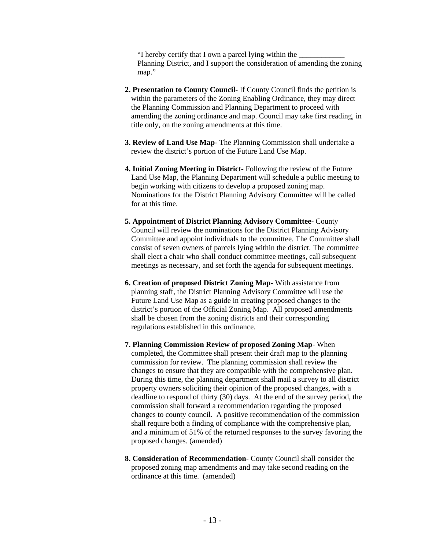"I hereby certify that I own a parcel lying within the \_\_\_\_\_\_\_\_\_\_\_\_ Planning District, and I support the consideration of amending the zoning map."

- **2. Presentation to County Council-** If County Council finds the petition is within the parameters of the Zoning Enabling Ordinance, they may direct the Planning Commission and Planning Department to proceed with amending the zoning ordinance and map. Council may take first reading, in title only, on the zoning amendments at this time.
- **3. Review of Land Use Map-** The Planning Commission shall undertake a review the district's portion of the Future Land Use Map.
- **4. Initial Zoning Meeting in District-** Following the review of the Future Land Use Map, the Planning Department will schedule a public meeting to begin working with citizens to develop a proposed zoning map. Nominations for the District Planning Advisory Committee will be called for at this time.
- **5. Appointment of District Planning Advisory Committee-** County Council will review the nominations for the District Planning Advisory Committee and appoint individuals to the committee. The Committee shall consist of seven owners of parcels lying within the district. The committee shall elect a chair who shall conduct committee meetings, call subsequent meetings as necessary, and set forth the agenda for subsequent meetings.
- **6. Creation of proposed District Zoning Map-** With assistance from planning staff, the District Planning Advisory Committee will use the Future Land Use Map as a guide in creating proposed changes to the district's portion of the Official Zoning Map. All proposed amendments shall be chosen from the zoning districts and their corresponding regulations established in this ordinance.
- **7. Planning Commission Review of proposed Zoning Map-** When completed, the Committee shall present their draft map to the planning commission for review. The planning commission shall review the changes to ensure that they are compatible with the comprehensive plan. During this time, the planning department shall mail a survey to all district property owners soliciting their opinion of the proposed changes, with a deadline to respond of thirty (30) days. At the end of the survey period, the commission shall forward a recommendation regarding the proposed changes to county council. A positive recommendation of the commission shall require both a finding of compliance with the comprehensive plan, and a minimum of 51% of the returned responses to the survey favoring the proposed changes. (amended)
- **8. Consideration of Recommendation-** County Council shall consider the proposed zoning map amendments and may take second reading on the ordinance at this time. (amended)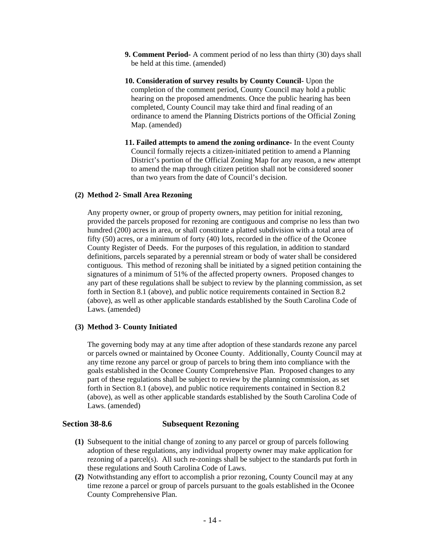- <span id="page-16-0"></span>**9. Comment Period-** A comment period of no less than thirty (30) days shall be held at this time. (amended)
- **10. Consideration of survey results by County Council-** Upon the completion of the comment period, County Council may hold a public hearing on the proposed amendments. Once the public hearing has been completed, County Council may take third and final reading of an ordinance to amend the Planning Districts portions of the Official Zoning Map. (amended)
- **11. Failed attempts to amend the zoning ordinance-** In the event County Council formally rejects a citizen-initiated petition to amend a Planning District's portion of the Official Zoning Map for any reason, a new attempt to amend the map through citizen petition shall not be considered sooner than two years from the date of Council's decision.

#### **(2) Method 2- Small Area Rezoning**

Any property owner, or group of property owners, may petition for initial rezoning, provided the parcels proposed for rezoning are contiguous and comprise no less than two hundred (200) acres in area, or shall constitute a platted subdivision with a total area of fifty (50) acres, or a minimum of forty (40) lots, recorded in the office of the Oconee County Register of Deeds. For the purposes of this regulation, in addition to standard definitions, parcels separated by a perennial stream or body of water shall be considered contiguous. This method of rezoning shall be initiated by a signed petition containing the signatures of a minimum of 51% of the affected property owners. Proposed changes to any part of these regulations shall be subject to review by the planning commission, as set forth in Section 8.1 (above), and public notice requirements contained in Section 8.2 (above), as well as other applicable standards established by the South Carolina Code of Laws. (amended)

#### **(3) Method 3- County Initiated**

The governing body may at any time after adoption of these standards rezone any parcel or parcels owned or maintained by Oconee County. Additionally, County Council may at any time rezone any parcel or group of parcels to bring them into compliance with the goals established in the Oconee County Comprehensive Plan. Proposed changes to any part of these regulations shall be subject to review by the planning commission, as set forth in Section 8.1 (above), and public notice requirements contained in Section 8.2 (above), as well as other applicable standards established by the South Carolina Code of Laws. (amended)

#### **Section 38-8.6 Subsequent Rezoning**

- **(1)** Subsequent to the initial change of zoning to any parcel or group of parcels following adoption of these regulations, any individual property owner may make application for rezoning of a parcel(s). All such re-zonings shall be subject to the standards put forth in these regulations and South Carolina Code of Laws.
- **(2)** Notwithstanding any effort to accomplish a prior rezoning, County Council may at any time rezone a parcel or group of parcels pursuant to the goals established in the Oconee County Comprehensive Plan.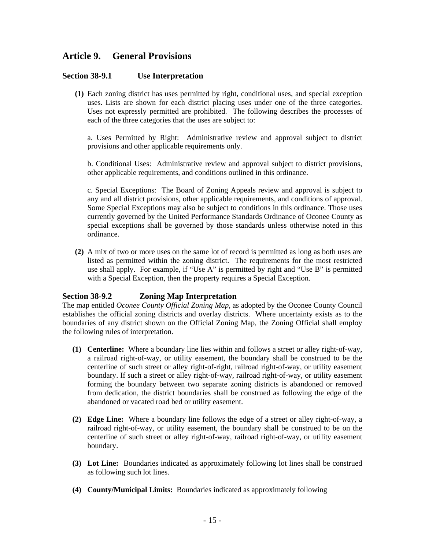# <span id="page-17-0"></span>**Article 9. General Provisions**

#### **Section 38-9.1 Use Interpretation**

**(1)** Each zoning district has uses permitted by right, conditional uses, and special exception uses. Lists are shown for each district placing uses under one of the three categories. Uses not expressly permitted are prohibited. The following describes the processes of each of the three categories that the uses are subject to:

a. Uses Permitted by Right: Administrative review and approval subject to district provisions and other applicable requirements only.

b. Conditional Uses: Administrative review and approval subject to district provisions, other applicable requirements, and conditions outlined in this ordinance.

c. Special Exceptions: The Board of Zoning Appeals review and approval is subject to any and all district provisions, other applicable requirements, and conditions of approval. Some Special Exceptions may also be subject to conditions in this ordinance. Those uses currently governed by the United Performance Standards Ordinance of Oconee County as special exceptions shall be governed by those standards unless otherwise noted in this ordinance.

**(2)** A mix of two or more uses on the same lot of record is permitted as long as both uses are listed as permitted within the zoning district. The requirements for the most restricted use shall apply. For example, if "Use A" is permitted by right and "Use B" is permitted with a Special Exception, then the property requires a Special Exception.

#### **Section 38-9.2 Zoning Map Interpretation**

The map entitled *Oconee County Official Zoning Map*, as adopted by the Oconee County Council establishes the official zoning districts and overlay districts. Where uncertainty exists as to the boundaries of any district shown on the Official Zoning Map, the Zoning Official shall employ the following rules of interpretation.

- **(1) Centerline:** Where a boundary line lies within and follows a street or alley right-of-way, a railroad right-of-way, or utility easement, the boundary shall be construed to be the centerline of such street or alley right-of-right, railroad right-of-way, or utility easement boundary. If such a street or alley right-of-way, railroad right-of-way, or utility easement forming the boundary between two separate zoning districts is abandoned or removed from dedication, the district boundaries shall be construed as following the edge of the abandoned or vacated road bed or utility easement.
- **(2) Edge Line:** Where a boundary line follows the edge of a street or alley right-of-way, a railroad right-of-way, or utility easement, the boundary shall be construed to be on the centerline of such street or alley right-of-way, railroad right-of-way, or utility easement boundary.
- **(3) Lot Line:** Boundaries indicated as approximately following lot lines shall be construed as following such lot lines.
- **(4) County/Municipal Limits:** Boundaries indicated as approximately following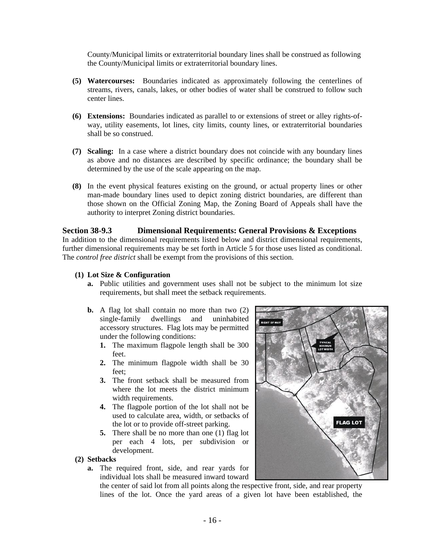<span id="page-18-0"></span>County/Municipal limits or extraterritorial boundary lines shall be construed as following the County/Municipal limits or extraterritorial boundary lines.

- **(5) Watercourses:** Boundaries indicated as approximately following the centerlines of streams, rivers, canals, lakes, or other bodies of water shall be construed to follow such center lines.
- **(6) Extensions:** Boundaries indicated as parallel to or extensions of street or alley rights-ofway, utility easements, lot lines, city limits, county lines, or extraterritorial boundaries shall be so construed.
- **(7) Scaling:** In a case where a district boundary does not coincide with any boundary lines as above and no distances are described by specific ordinance; the boundary shall be determined by the use of the scale appearing on the map.
- **(8)** In the event physical features existing on the ground, or actual property lines or other man-made boundary lines used to depict zoning district boundaries, are different than those shown on the Official Zoning Map, the Zoning Board of Appeals shall have the authority to interpret Zoning district boundaries.

#### **Section 38-9.3 Dimensional Requirements: General Provisions & Exceptions**

In addition to the dimensional requirements listed below and district dimensional requirements, further dimensional requirements may be set forth in Article 5 for those uses listed as conditional. The *control free district* shall be exempt from the provisions of this section.

#### **(1) Lot Size & Configuration**

- **a.** Public utilities and government uses shall not be subject to the minimum lot size requirements, but shall meet the setback requirements.
- **b.** A flag lot shall contain no more than two (2) single-family dwellings and uninhabited accessory structures. Flag lots may be permitted under the following conditions:
	- **1.** The maximum flagpole length shall be 300 feet.
	- **2.** The minimum flagpole width shall be 30 feet;
	- **3.** The front setback shall be measured from where the lot meets the district minimum width requirements.
	- **4.** The flagpole portion of the lot shall not be used to calculate area, width, or setbacks of the lot or to provide off-street parking.
	- **5.** There shall be no more than one (1) flag lot per each 4 lots, per subdivision or development.
- **(2) Setbacks** 
	- **a.** The required front, side, and rear yards for individual lots shall be measured inward toward

**FLAG LOT** 

the center of said lot from all points along the respective front, side, and rear property lines of the lot. Once the yard areas of a given lot have been established, the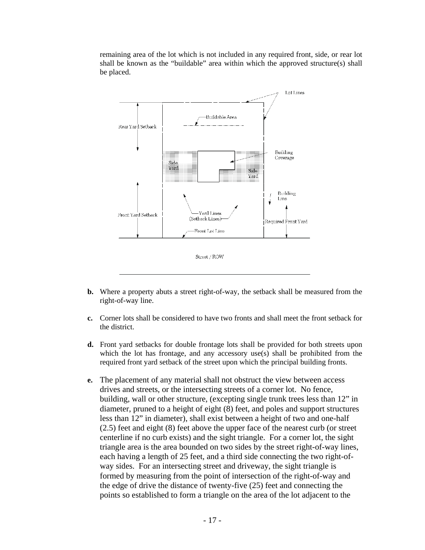remaining area of the lot which is not included in any required front, side, or rear lot shall be known as the "buildable" area within which the approved structure(s) shall be placed.



- **b.** Where a property abuts a street right-of-way, the setback shall be measured from the right-of-way line.
- **c.** Corner lots shall be considered to have two fronts and shall meet the front setback for the district.
- **d.** Front yard setbacks for double frontage lots shall be provided for both streets upon which the lot has frontage, and any accessory use(s) shall be prohibited from the required front yard setback of the street upon which the principal building fronts.
- **e.** The placement of any material shall not obstruct the view between access drives and streets, or the intersecting streets of a corner lot. No fence, building, wall or other structure, (excepting single trunk trees less than 12" in diameter, pruned to a height of eight (8) feet, and poles and support structures less than 12" in diameter), shall exist between a height of two and one-half (2.5) feet and eight (8) feet above the upper face of the nearest curb (or street centerline if no curb exists) and the sight triangle. For a corner lot, the sight triangle area is the area bounded on two sides by the street right-of-way lines, each having a length of 25 feet, and a third side connecting the two right-ofway sides. For an intersecting street and driveway, the sight triangle is formed by measuring from the point of intersection of the right-of-way and the edge of drive the distance of twenty-five (25) feet and connecting the points so established to form a triangle on the area of the lot adjacent to the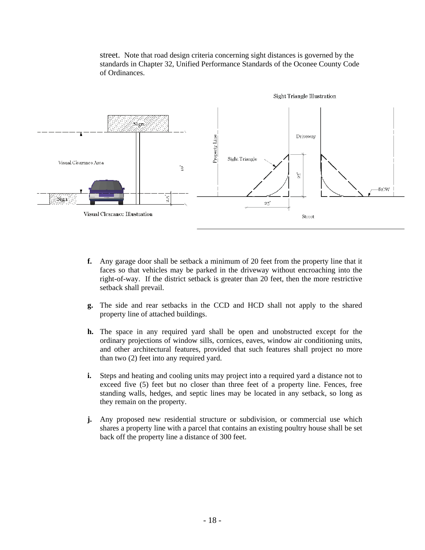street. Note that road design criteria concerning sight distances is governed by the standards in Chapter 32, Unified Performance Standards of the Oconee County Code of Ordinances.



- **f.** Any garage door shall be setback a minimum of 20 feet from the property line that it faces so that vehicles may be parked in the driveway without encroaching into the right-of-way. If the district setback is greater than 20 feet, then the more restrictive setback shall prevail.
- **g.** The side and rear setbacks in the CCD and HCD shall not apply to the shared property line of attached buildings.
- **h.** The space in any required yard shall be open and unobstructed except for the ordinary projections of window sills, cornices, eaves, window air conditioning units, and other architectural features, provided that such features shall project no more than two (2) feet into any required yard.
- **i.** Steps and heating and cooling units may project into a required yard a distance not to exceed five (5) feet but no closer than three feet of a property line. Fences, free standing walls, hedges, and septic lines may be located in any setback, so long as they remain on the property.
- **j.** Any proposed new residential structure or subdivision, or commercial use which shares a property line with a parcel that contains an existing poultry house shall be set back off the property line a distance of 300 feet.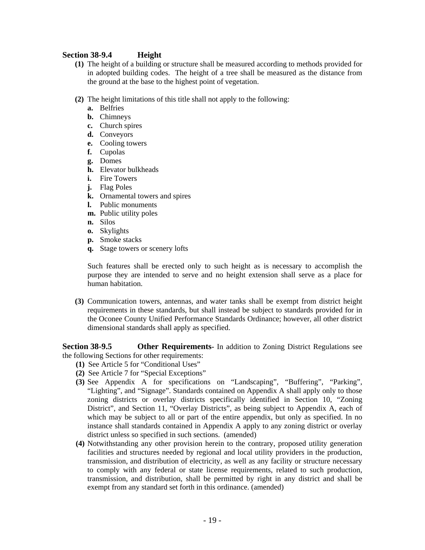#### <span id="page-21-0"></span>**Section 38-9.4 Height**

- **(1)** The height of a building or structure shall be measured according to methods provided for in adopted building codes. The height of a tree shall be measured as the distance from the ground at the base to the highest point of vegetation.
- **(2)** The height limitations of this title shall not apply to the following:
	- **a.** Belfries
	- **b.** Chimneys
	- **c.** Church spires
	- **d.** Conveyors
	- **e.** Cooling towers
	- **f.** Cupolas
	- **g.** Domes
	- **h.** Elevator bulkheads
	- **i.** Fire Towers
	- **j.** Flag Poles
	- **k.** Ornamental towers and spires
	- **l.** Public monuments
	- **m.** Public utility poles
	- **n.** Silos
	- **o.** Skylights
	- **p.** Smoke stacks
	- **q.** Stage towers or scenery lofts

Such features shall be erected only to such height as is necessary to accomplish the purpose they are intended to serve and no height extension shall serve as a place for human habitation.

**(3)** Communication towers, antennas, and water tanks shall be exempt from district height requirements in these standards, but shall instead be subject to standards provided for in the Oconee County Unified Performance Standards Ordinance; however, all other district dimensional standards shall apply as specified.

**Section 38-9.5 Other Requirements-** In addition to Zoning District Regulations see the following Sections for other requirements:

- **(1)** See Article 5 for "Conditional Uses"
- **(2)** See Article 7 for "Special Exceptions"
- **(3)** See Appendix A for specifications on "Landscaping", "Buffering", "Parking", "Lighting", and "Signage". Standards contained on Appendix A shall apply only to those zoning districts or overlay districts specifically identified in Section 10, "Zoning District", and Section 11, "Overlay Districts", as being subject to Appendix A, each of which may be subject to all or part of the entire appendix, but only as specified. In no instance shall standards contained in Appendix A apply to any zoning district or overlay district unless so specified in such sections. (amended)
- **(4)** Notwithstanding any other provision herein to the contrary, proposed utility generation facilities and structures needed by regional and local utility providers in the production, transmission, and distribution of electricity, as well as any facility or structure necessary to comply with any federal or state license requirements, related to such production, transmission, and distribution, shall be permitted by right in any district and shall be exempt from any standard set forth in this ordinance. (amended)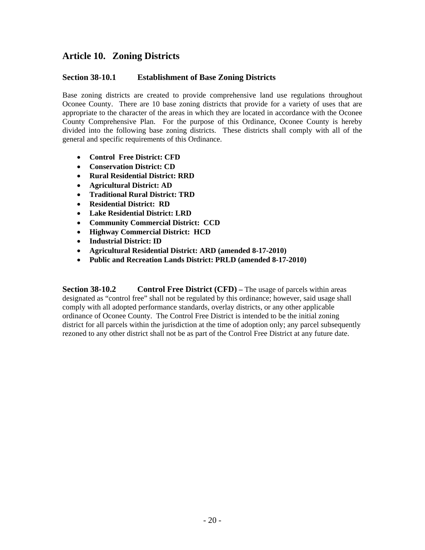# <span id="page-22-0"></span>**Article 10. Zoning Districts**

#### **Section 38-10.1 Establishment of Base Zoning Districts**

Base zoning districts are created to provide comprehensive land use regulations throughout Oconee County. There are 10 base zoning districts that provide for a variety of uses that are appropriate to the character of the areas in which they are located in accordance with the Oconee County Comprehensive Plan. For the purpose of this Ordinance, Oconee County is hereby divided into the following base zoning districts. These districts shall comply with all of the general and specific requirements of this Ordinance.

- **Control Free District: CFD**
- **Conservation District: CD**
- **Rural Residential District: RRD**
- **Agricultural District: AD**
- **Traditional Rural District: TRD**
- **Residential District: RD**
- **Lake Residential District: LRD**
- **Community Commercial District: CCD**
- **Highway Commercial District: HCD**
- **Industrial District: ID**
- **Agricultural Residential District: ARD (amended 8-17-2010)**
- **Public and Recreation Lands District: PRLD (amended 8-17-2010)**

**Section 38-10.2** Control Free District (CFD) – The usage of parcels within areas designated as "control free" shall not be regulated by this ordinance; however, said usage shall comply with all adopted performance standards, overlay districts, or any other applicable ordinance of Oconee County. The Control Free District is intended to be the initial zoning district for all parcels within the jurisdiction at the time of adoption only; any parcel subsequently rezoned to any other district shall not be as part of the Control Free District at any future date.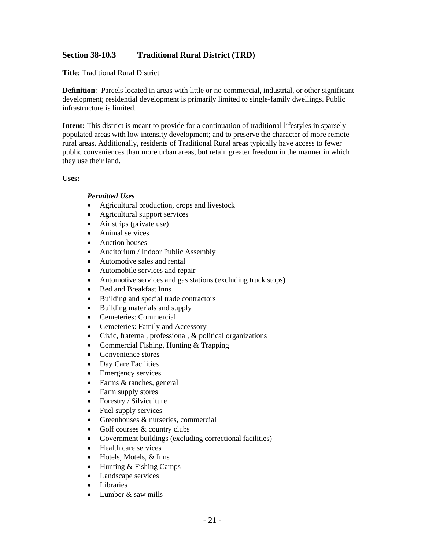#### <span id="page-23-0"></span>**Section 38-10.3 Traditional Rural District (TRD)**

**Title**: Traditional Rural District

**Definition**: Parcels located in areas with little or no commercial, industrial, or other significant development; residential development is primarily limited to single-family dwellings. Public infrastructure is limited.

**Intent:** This district is meant to provide for a continuation of traditional lifestyles in sparsely populated areas with low intensity development; and to preserve the character of more remote rural areas. Additionally, residents of Traditional Rural areas typically have access to fewer public conveniences than more urban areas, but retain greater freedom in the manner in which they use their land.

#### **Uses:**

#### *Permitted Uses*

- Agricultural production, crops and livestock
- Agricultural support services
- Air strips (private use)
- Animal services
- Auction houses
- Auditorium / Indoor Public Assembly
- Automotive sales and rental
- Automobile services and repair
- Automotive services and gas stations (excluding truck stops)
- Bed and Breakfast Inns
- Building and special trade contractors
- Building materials and supply
- Cemeteries: Commercial
- Cemeteries: Family and Accessory
- Civic, fraternal, professional, & political organizations
- Commercial Fishing, Hunting & Trapping
- Convenience stores
- Day Care Facilities
- Emergency services
- Farms & ranches, general
- Farm supply stores
- Forestry / Silviculture
- Fuel supply services
- Greenhouses & nurseries, commercial
- Golf courses & country clubs
- Government buildings (excluding correctional facilities)
- Health care services
- Hotels, Motels, & Inns
- Hunting & Fishing Camps
- Landscape services
- Libraries
- Lumber  $&$  saw mills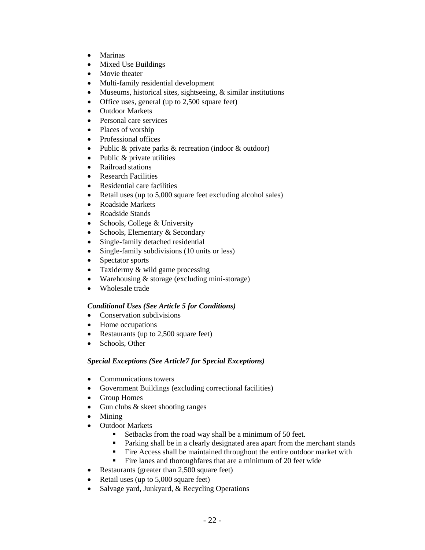- Marinas
- Mixed Use Buildings
- Movie theater
- Multi-family residential development
- Museums, historical sites, sightseeing, & similar institutions
- Office uses, general (up to 2,500 square feet)
- Outdoor Markets
- Personal care services
- Places of worship
- Professional offices
- Public & private parks & recreation (indoor & outdoor)
- Public & private utilities
- Railroad stations
- Research Facilities
- Residential care facilities
- Retail uses (up to 5,000 square feet excluding alcohol sales)
- Roadside Markets
- Roadside Stands
- Schools, College & University
- Schools, Elementary & Secondary
- Single-family detached residential
- Single-family subdivisions (10 units or less)
- Spectator sports
- Taxidermy & wild game processing
- Warehousing & storage (excluding mini-storage)
- Wholesale trade

#### *Conditional Uses (See Article 5 for Conditions)*

- Conservation subdivisions
- Home occupations
- Restaurants (up to 2,500 square feet)
- Schools, Other

#### *Special Exceptions (See Article7 for Special Exceptions)*

- Communications towers
- Government Buildings (excluding correctional facilities)
- Group Homes
- Gun clubs & skeet shooting ranges
- Mining
- Outdoor Markets
	- Setbacks from the road way shall be a minimum of 50 feet.
	- Parking shall be in a clearly designated area apart from the merchant stands
	- Fire Access shall be maintained throughout the entire outdoor market with
	- Fire lanes and thoroughfares that are a minimum of 20 feet wide
- Restaurants (greater than 2,500 square feet)
- Retail uses (up to 5,000 square feet)
- Salvage yard, Junkyard, & Recycling Operations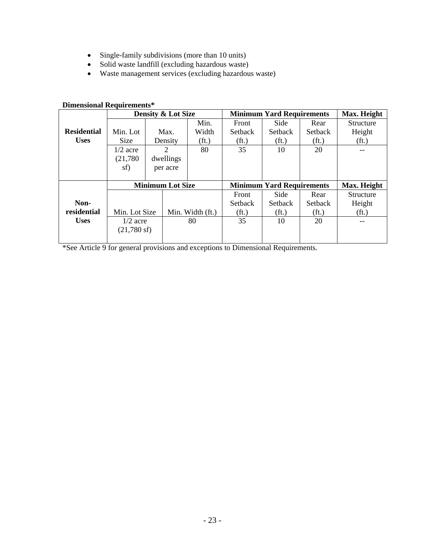- Single-family subdivisions (more than 10 units)
- Solid waste landfill (excluding hazardous waste)
- Waste management services (excluding hazardous waste)

# **Dimensional Requirements\***

|                    | Density & Lot Size    |           |                         |                   | <b>Minimum Yard Requirements</b> | Max. Height                      |                   |                   |
|--------------------|-----------------------|-----------|-------------------------|-------------------|----------------------------------|----------------------------------|-------------------|-------------------|
|                    |                       |           |                         | Min.              | Front                            | Side                             | Rear              | Structure         |
| <b>Residential</b> | Min. Lot              |           | Max.                    | Width             | <b>Setback</b>                   | <b>Setback</b>                   | <b>Setback</b>    | Height            |
| <b>Uses</b>        | Size                  |           | Density                 | (f <sub>t</sub> ) | (f <sub>t</sub> )                | (f <sub>t</sub> )                | (f <sub>t</sub> ) | (f <sub>t</sub> ) |
|                    | $1/2$ acre            |           | $\overline{2}$          | 80                | 35                               | 10                               | 20                |                   |
|                    | (21,780)              | dwellings |                         |                   |                                  |                                  |                   |                   |
|                    | sf)                   | per acre  |                         |                   |                                  |                                  |                   |                   |
|                    |                       |           |                         |                   |                                  |                                  |                   |                   |
|                    |                       |           |                         |                   |                                  |                                  |                   |                   |
|                    |                       |           | <b>Minimum Lot Size</b> |                   |                                  | <b>Minimum Yard Requirements</b> |                   | Max. Height       |
|                    |                       |           |                         |                   | Front                            | Side                             | Rear              | Structure         |
| Non-               |                       |           |                         |                   | <b>Setback</b>                   | <b>Setback</b>                   | <b>Setback</b>    | Height            |
| residential        | Min. Lot Size         |           |                         | Min. Width (ft.)  | (f <sub>t</sub> )                | (f <sub>t</sub> )                | (f <sub>t</sub> ) | (f <sub>t</sub> ) |
| <b>Uses</b>        | $1/2$ acre            |           |                         | 80                | 35                               | 10                               | 20                |                   |
|                    | $(21,780 \text{ sf})$ |           |                         |                   |                                  |                                  |                   |                   |

\*See Article 9 for general provisions and exceptions to Dimensional Requirements.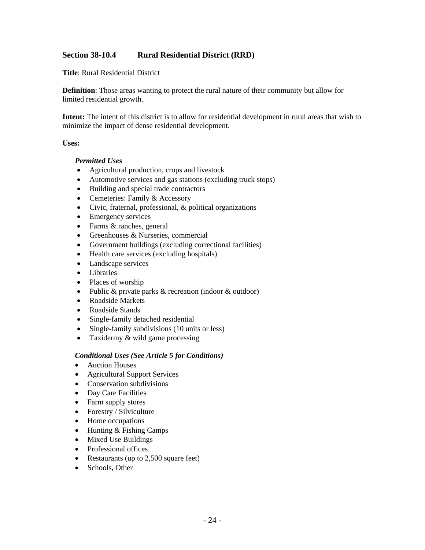#### <span id="page-26-0"></span>**Section 38-10.4 Rural Residential District (RRD)**

**Title**: Rural Residential District

**Definition**: Those areas wanting to protect the rural nature of their community but allow for limited residential growth.

**Intent:** The intent of this district is to allow for residential development in rural areas that wish to minimize the impact of dense residential development.

#### **Uses:**

#### *Permitted Uses*

- Agricultural production, crops and livestock
- Automotive services and gas stations (excluding truck stops)
- Building and special trade contractors
- Cemeteries: Family & Accessory
- Civic, fraternal, professional, & political organizations
- Emergency services
- Farms & ranches, general
- Greenhouses & Nurseries, commercial
- Government buildings (excluding correctional facilities)
- Health care services (excluding hospitals)
- Landscape services
- Libraries
- Places of worship
- Public & private parks & recreation (indoor & outdoor)
- Roadside Markets
- Roadside Stands
- Single-family detached residential
- Single-family subdivisions (10 units or less)
- Taxidermy & wild game processing

#### *Conditional Uses (See Article 5 for Conditions)*

- Auction Houses
- Agricultural Support Services
- Conservation subdivisions
- Day Care Facilities
- Farm supply stores
- Forestry / Silviculture
- Home occupations
- Hunting & Fishing Camps
- Mixed Use Buildings
- Professional offices
- Restaurants (up to 2,500 square feet)
- Schools, Other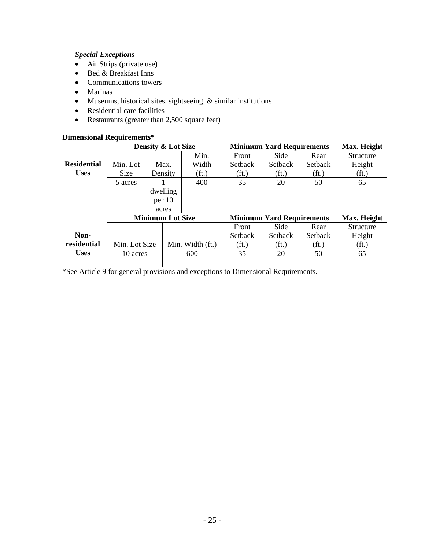### *Special Exceptions*

- Air Strips (private use)
- Bed & Breakfast Inns
- Communications towers
- Marinas
- Museums, historical sites, sightseeing, & similar institutions
- Residential care facilities
- Restaurants (greater than 2,500 square feet)

#### **Dimensional Requirements\***

|                    | <b>Density &amp; Lot Size</b> |          |                   |                                  | <b>Minimum Yard Requirements</b> |                   |                   |  |
|--------------------|-------------------------------|----------|-------------------|----------------------------------|----------------------------------|-------------------|-------------------|--|
|                    |                               |          | Min.              | Front                            | Side                             | Rear              | <b>Structure</b>  |  |
| <b>Residential</b> | Min. Lot                      | Max.     | Width             | <b>Setback</b>                   | <b>Setback</b>                   | <b>Setback</b>    | Height            |  |
| <b>Uses</b>        | <b>Size</b>                   | Density  | (f <sub>t</sub> ) | (f <sub>t</sub> )                | (f <sub>t</sub> )                | (f <sub>t</sub> ) | (f <sub>t</sub> ) |  |
|                    | 5 acres                       |          | 400               | 35                               | 20                               | 50                | 65                |  |
|                    |                               | dwelling |                   |                                  |                                  |                   |                   |  |
|                    |                               | per 10   |                   |                                  |                                  |                   |                   |  |
|                    |                               | acres    |                   |                                  |                                  |                   |                   |  |
|                    | <b>Minimum Lot Size</b>       |          |                   | <b>Minimum Yard Requirements</b> | Max. Height                      |                   |                   |  |
|                    |                               |          |                   | Front                            | Side                             | Rear              | <b>Structure</b>  |  |
| Non-               |                               |          |                   | <b>Setback</b>                   | <b>Setback</b>                   | Setback           | Height            |  |
| residential        | Min. Lot Size                 |          | Min. Width (ft.)  | (f <sub>t</sub> )                | (f <sub>t</sub> )                | (f <sub>t</sub> ) | (f <sub>t</sub> ) |  |
| <b>Uses</b>        | 10 acres                      |          | 600               | 35                               | 20                               | 50                | 65                |  |
|                    |                               |          |                   |                                  |                                  |                   |                   |  |

\*See Article 9 for general provisions and exceptions to Dimensional Requirements.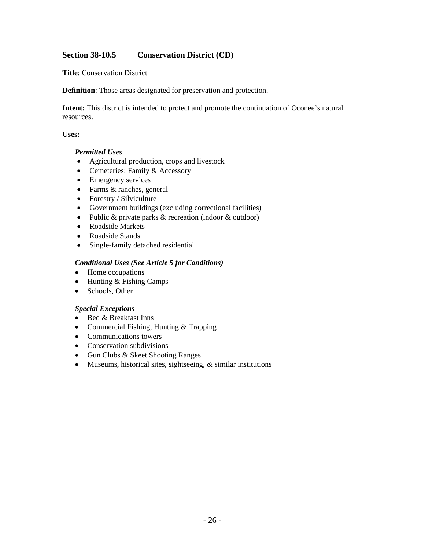### <span id="page-28-0"></span>**Section 38-10.5 Conservation District (CD)**

**Title**: Conservation District

**Definition**: Those areas designated for preservation and protection.

**Intent:** This district is intended to protect and promote the continuation of Oconee's natural resources.

#### **Uses:**

#### *Permitted Uses*

- Agricultural production, crops and livestock
- Cemeteries: Family & Accessory
- Emergency services
- Farms & ranches, general
- Forestry / Silviculture
- Government buildings (excluding correctional facilities)
- Public & private parks & recreation (indoor & outdoor)
- Roadside Markets
- Roadside Stands
- Single-family detached residential

#### *Conditional Uses (See Article 5 for Conditions)*

- Home occupations
- Hunting & Fishing Camps
- Schools, Other

#### *Special Exceptions*

- Bed & Breakfast Inns
- Commercial Fishing, Hunting & Trapping
- Communications towers
- Conservation subdivisions
- Gun Clubs & Skeet Shooting Ranges
- Museums, historical sites, sightseeing, & similar institutions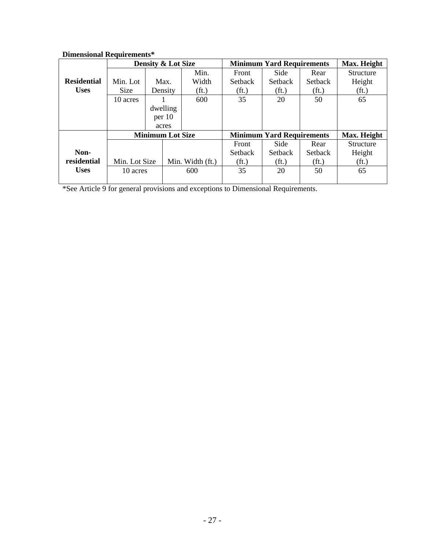| риценятна течан спісне |                               |          |                   |                                  |                                  |                   |                   |  |  |
|------------------------|-------------------------------|----------|-------------------|----------------------------------|----------------------------------|-------------------|-------------------|--|--|
|                        | <b>Density &amp; Lot Size</b> |          |                   |                                  | <b>Minimum Yard Requirements</b> |                   |                   |  |  |
|                        |                               |          | Min.              | Front                            | Side                             | Rear              | Structure         |  |  |
| <b>Residential</b>     | Min. Lot                      | Max.     | Width             | <b>Setback</b>                   | <b>Setback</b>                   | <b>Setback</b>    | Height            |  |  |
| <b>Uses</b>            | Size                          | Density  | (f <sub>t</sub> ) | (f <sub>t</sub> )                | (f <sub>t</sub> )                | (f <sub>t</sub> ) | (f <sub>t</sub> ) |  |  |
|                        | 10 acres                      |          | 600               | 35                               | 20                               | 50                | 65                |  |  |
|                        |                               | dwelling |                   |                                  |                                  |                   |                   |  |  |
|                        |                               | per 10   |                   |                                  |                                  |                   |                   |  |  |
|                        |                               | acres    |                   |                                  |                                  |                   |                   |  |  |
|                        | <b>Minimum Lot Size</b>       |          |                   | <b>Minimum Yard Requirements</b> |                                  |                   | Max. Height       |  |  |
|                        |                               |          |                   | Front                            | Side                             | Rear              | <b>Structure</b>  |  |  |
| Non-                   |                               |          |                   | <b>Setback</b>                   | <b>Setback</b>                   | <b>Setback</b>    | Height            |  |  |
| residential            | Min. Lot Size                 |          | Min. Width (ft.)  | (f <sub>t</sub> )                | (f <sub>t</sub> )                | (f <sub>t</sub> ) | (f <sub>t</sub> ) |  |  |
| <b>Uses</b>            | 10 acres                      |          | 600               | 35                               | 20                               | 50                | 65                |  |  |
|                        |                               |          |                   |                                  |                                  |                   |                   |  |  |

#### **Dimensional Requirements\***

\*See Article 9 for general provisions and exceptions to Dimensional Requirements.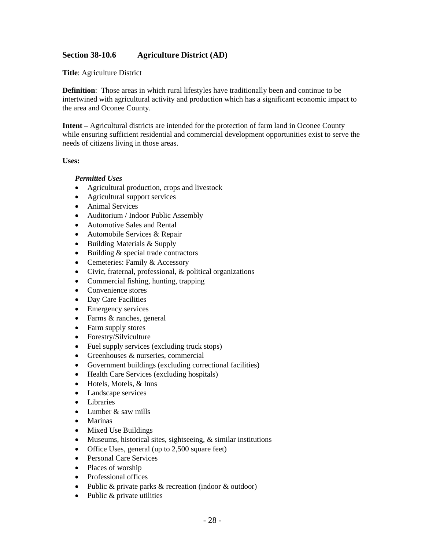#### <span id="page-30-0"></span>**Section 38-10.6 Agriculture District (AD)**

**Title**: Agriculture District

**Definition**: Those areas in which rural lifestyles have traditionally been and continue to be intertwined with agricultural activity and production which has a significant economic impact to the area and Oconee County.

**Intent –** Agricultural districts are intended for the protection of farm land in Oconee County while ensuring sufficient residential and commercial development opportunities exist to serve the needs of citizens living in those areas.

#### **Uses:**

#### *Permitted Uses*

- Agricultural production, crops and livestock
- Agricultural support services
- Animal Services
- Auditorium / Indoor Public Assembly
- Automotive Sales and Rental
- Automobile Services & Repair
- Building Materials & Supply
- Building & special trade contractors
- Cemeteries: Family & Accessory
- Civic, fraternal, professional, & political organizations
- Commercial fishing, hunting, trapping
- Convenience stores
- Day Care Facilities
- Emergency services
- Farms & ranches, general
- Farm supply stores
- Forestry/Silviculture
- Fuel supply services (excluding truck stops)
- Greenhouses & nurseries, commercial
- Government buildings (excluding correctional facilities)
- Health Care Services (excluding hospitals)
- Hotels, Motels, & Inns
- Landscape services
- Libraries
- Lumber & saw mills
- Marinas
- Mixed Use Buildings
- Museums, historical sites, sightseeing, & similar institutions
- Office Uses, general (up to 2,500 square feet)
- Personal Care Services
- Places of worship
- Professional offices
- Public & private parks & recreation (indoor & outdoor)
- Public & private utilities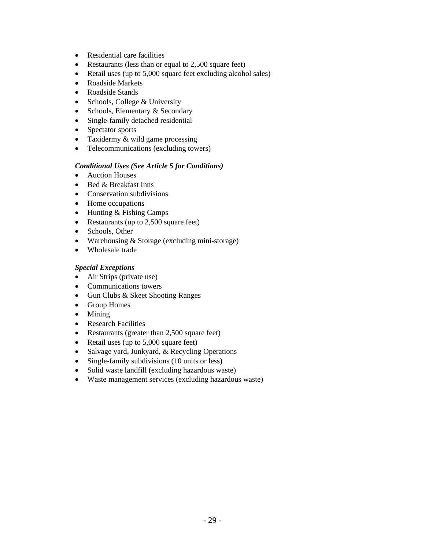- Residential care facilities
- Restaurants (less than or equal to 2,500 square feet)
- Retail uses (up to 5,000 square feet excluding alcohol sales)
- Roadside Markets
- Roadside Stands
- Schools, College & University
- Schools, Elementary & Secondary
- Single-family detached residential
- Spectator sports
- Taxidermy & wild game processing
- Telecommunications (excluding towers)

#### *Conditional Uses (See Article 5 for Conditions)*

- Auction Houses
- Bed & Breakfast Inns
- Conservation subdivisions
- Home occupations
- Hunting & Fishing Camps
- Restaurants (up to 2,500 square feet)
- Schools, Other
- Warehousing & Storage (excluding mini-storage)
- Wholesale trade

#### *Special Exceptions*

- Air Strips (private use)
- Communications towers
- Gun Clubs & Skeet Shooting Ranges
- Group Homes
- Mining
- Research Facilities
- Restaurants (greater than 2,500 square feet)
- Retail uses (up to 5,000 square feet)
- Salvage yard, Junkyard, & Recycling Operations
- Single-family subdivisions (10 units or less)
- Solid waste landfill (excluding hazardous waste)
- Waste management services (excluding hazardous waste)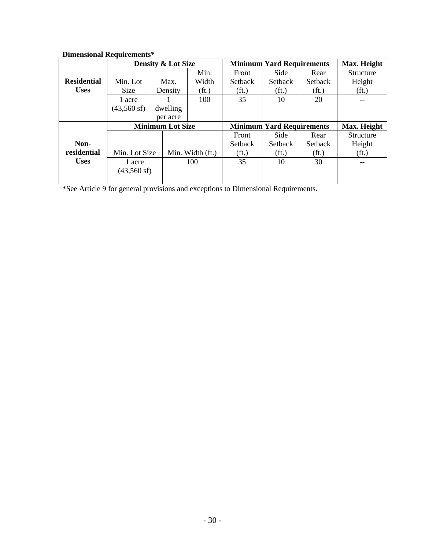| Dhhthsional Itequn chichts |                         | <b>Density &amp; Lot Size</b> |                   | <b>Minimum Yard Requirements</b> | Max. Height       |                   |                   |
|----------------------------|-------------------------|-------------------------------|-------------------|----------------------------------|-------------------|-------------------|-------------------|
|                            |                         |                               | Min.              | Front                            | Side              | Rear              | Structure         |
| <b>Residential</b>         | Min. Lot                | Max.                          | Width             | <b>Setback</b>                   | <b>Setback</b>    | <b>Setback</b>    | Height            |
| <b>Uses</b>                | <b>Size</b>             | Density                       | (f <sub>t</sub> ) | (f <sub>t</sub> )                | (f <sub>t</sub> ) | (f <sub>t</sub> ) | (f <sub>t</sub> ) |
|                            | 1 acre                  |                               | 100               | 35                               | 10                | 20                |                   |
|                            | $(43,560 \text{ sf})$   | dwelling                      |                   |                                  |                   |                   |                   |
|                            |                         | per acre                      |                   |                                  |                   |                   |                   |
|                            | <b>Minimum Lot Size</b> |                               |                   | <b>Minimum Yard Requirements</b> | Max. Height       |                   |                   |
|                            |                         |                               |                   | Front                            | Side              | Rear              | Structure         |
| Non-                       |                         |                               |                   |                                  |                   |                   |                   |
|                            |                         |                               |                   | <b>Setback</b>                   | <b>Setback</b>    | Setback           | Height            |
| residential                | Min. Lot Size           |                               | Min. Width (ft.)  | (f <sub>t</sub> )                | (f <sub>t</sub> ) | (f <sub>t</sub> ) | (f <sub>t</sub> ) |
| <b>Uses</b>                | 1 acre                  |                               | 100               | 35                               | 10                | 30                |                   |
|                            | $(43,560 \text{ sf})$   |                               |                   |                                  |                   |                   |                   |

#### **Dimensional Requirements\***

\*See Article 9 for general provisions and exceptions to Dimensional Requirements.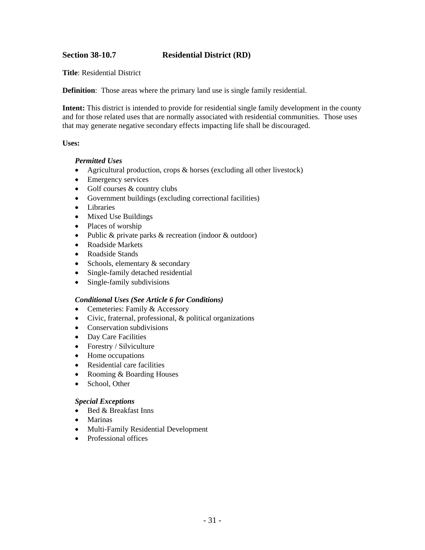#### <span id="page-33-0"></span>**Section 38-10.7 Residential District (RD)**

**Title**: Residential District

**Definition**: Those areas where the primary land use is single family residential.

**Intent:** This district is intended to provide for residential single family development in the county and for those related uses that are normally associated with residential communities. Those uses that may generate negative secondary effects impacting life shall be discouraged.

#### **Uses:**

#### *Permitted Uses*

- Agricultural production, crops & horses (excluding all other livestock)
- Emergency services
- Golf courses & country clubs
- Government buildings (excluding correctional facilities)
- Libraries
- Mixed Use Buildings
- Places of worship
- Public & private parks & recreation (indoor & outdoor)
- Roadside Markets
- Roadside Stands
- Schools, elementary  $&$  secondary
- Single-family detached residential
- Single-family subdivisions

#### *Conditional Uses (See Article 6 for Conditions)*

- Cemeteries: Family & Accessory
- Civic, fraternal, professional, & political organizations
- Conservation subdivisions
- Day Care Facilities
- Forestry / Silviculture
- Home occupations
- Residential care facilities
- Rooming & Boarding Houses
- School, Other

#### *Special Exceptions*

- Bed & Breakfast Inns
- Marinas
- Multi-Family Residential Development
- Professional offices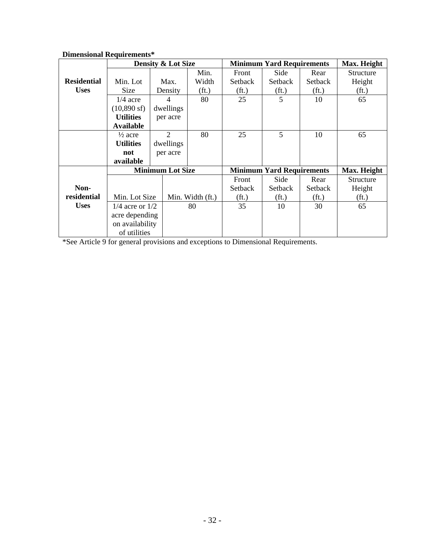|                    | винсиятий теаан сигния  |                               |                   |                                  | Max. Height                      |                   |                   |  |
|--------------------|-------------------------|-------------------------------|-------------------|----------------------------------|----------------------------------|-------------------|-------------------|--|
|                    |                         | <b>Density &amp; Lot Size</b> |                   |                                  | <b>Minimum Yard Requirements</b> |                   |                   |  |
|                    |                         |                               | Min.              | Front                            | Side                             | Rear              | Structure         |  |
| <b>Residential</b> | Min. Lot                | Max.                          | Width             | Setback                          | Setback                          | Setback           | Height            |  |
| <b>Uses</b>        | Size                    | Density                       | (f <sub>t</sub> ) | (f <sub>t</sub> )                | (f <sub>t</sub> )                | (f <sub>t</sub> ) | (f <sub>t</sub> ) |  |
|                    | $1/4$ acre              | $\overline{4}$                | 80                | 25                               | 5                                | 10                | 65                |  |
|                    | $(10,890 \text{ sf})$   | dwellings                     |                   |                                  |                                  |                   |                   |  |
|                    | <b>Utilities</b>        | per acre                      |                   |                                  |                                  |                   |                   |  |
|                    | Available               |                               |                   |                                  |                                  |                   |                   |  |
|                    | $\frac{1}{2}$ acre      | $\overline{2}$                | 80                | 25                               | 5                                | 10                | 65                |  |
|                    | <b>Utilities</b>        | dwellings                     |                   |                                  |                                  |                   |                   |  |
|                    | not                     | per acre                      |                   |                                  |                                  |                   |                   |  |
|                    | available               |                               |                   |                                  |                                  |                   |                   |  |
|                    | <b>Minimum Lot Size</b> |                               |                   | <b>Minimum Yard Requirements</b> | Max. Height                      |                   |                   |  |
|                    |                         |                               |                   | Front                            | Side                             | Rear              | Structure         |  |
| Non-               |                         |                               |                   | Setback                          | Setback                          | Setback           | Height            |  |
| residential        | Min. Lot Size           |                               | Min. Width (ft.)  | (f <sub>t</sub> )                | (f <sub>t</sub> )                | (f <sub>t</sub> ) | (f <sub>t</sub> ) |  |
| <b>Uses</b>        | $1/4$ acre or $1/2$     |                               | 80                | 35                               | 10                               | 30                | 65                |  |
|                    | acre depending          |                               |                   |                                  |                                  |                   |                   |  |
|                    | on availability         |                               |                   |                                  |                                  |                   |                   |  |
|                    | of utilities            |                               |                   |                                  |                                  |                   |                   |  |

# **Dimensional Requirements\***

\*See Article 9 for general provisions and exceptions to Dimensional Requirements.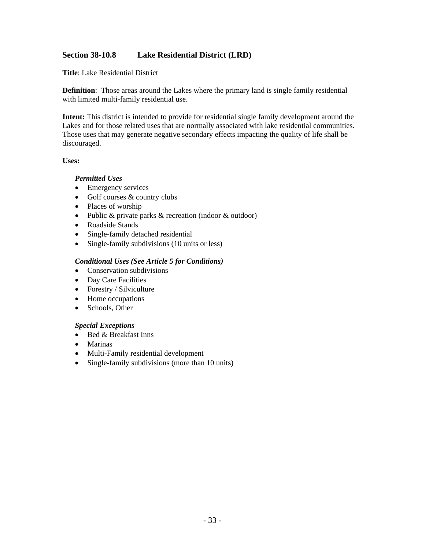#### <span id="page-35-0"></span>**Section 38-10.8 Lake Residential District (LRD)**

**Title**: Lake Residential District

**Definition**: Those areas around the Lakes where the primary land is single family residential with limited multi-family residential use.

**Intent:** This district is intended to provide for residential single family development around the Lakes and for those related uses that are normally associated with lake residential communities. Those uses that may generate negative secondary effects impacting the quality of life shall be discouraged.

#### **Uses:**

#### *Permitted Uses*

- Emergency services
- Golf courses & country clubs
- Places of worship
- Public & private parks & recreation (indoor & outdoor)
- Roadside Stands
- Single-family detached residential
- Single-family subdivisions (10 units or less)

#### *Conditional Uses (See Article 5 for Conditions)*

- Conservation subdivisions
- Day Care Facilities
- Forestry / Silviculture
- Home occupations
- Schools, Other

#### *Special Exceptions*

- Bed & Breakfast Inns
- Marinas
- Multi-Family residential development
- Single-family subdivisions (more than 10 units)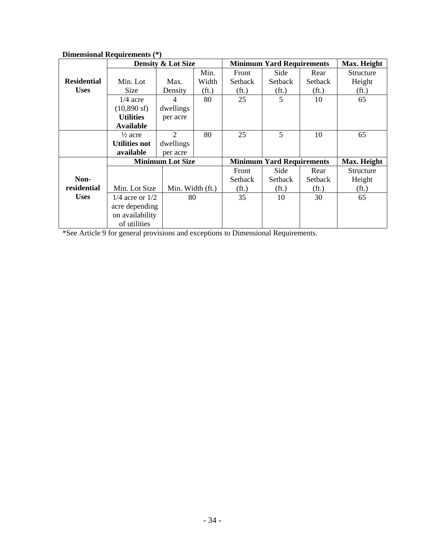|                    |                                   | <b>Density &amp; Lot Size</b> |                   | <b>Minimum Yard Requirements</b> | Max. Height       |                   |                   |
|--------------------|-----------------------------------|-------------------------------|-------------------|----------------------------------|-------------------|-------------------|-------------------|
|                    |                                   |                               | Min.              | Front                            | Side              | Rear              | Structure         |
| <b>Residential</b> | Min. Lot                          | Max.                          | Width             | Setback                          | Setback           | Setback           | Height            |
| <b>Uses</b>        | Size                              | Density                       | (f <sub>t</sub> ) | (f <sub>t</sub> )                | (f <sub>t</sub> ) | (f <sub>t</sub> ) | (f <sub>t</sub> ) |
|                    | $1/4$ acre                        | 4                             | 80                | 25                               | 5                 | 10                | 65                |
|                    | $(10,890 \text{ sf})$             | dwellings                     |                   |                                  |                   |                   |                   |
|                    | <b>Utilities</b>                  | per acre                      |                   |                                  |                   |                   |                   |
|                    | <b>Available</b>                  |                               |                   |                                  |                   |                   |                   |
|                    | $\frac{1}{2}$ acre                | $\overline{2}$                | 80                | 25                               | 5                 | 10                | 65                |
|                    | <b>Utilities not</b>              | dwellings                     |                   |                                  |                   |                   |                   |
|                    | available                         | per acre                      |                   |                                  |                   |                   |                   |
|                    | <b>Minimum Lot Size</b>           |                               |                   | <b>Minimum Yard Requirements</b> | Max. Height       |                   |                   |
|                    |                                   |                               |                   | Front                            | Side              | Rear              | Structure         |
| Non-               |                                   |                               |                   | Setback                          | Setback           | Setback           | Height            |
| residential        | Min. Lot Size<br>Min. Width (ft.) |                               |                   | (f <sub>t</sub> )                | (f <sub>t</sub> ) | (f <sub>t</sub> ) | (f <sub>t</sub> ) |
| <b>Uses</b>        | $1/4$ acre or $1/2$               | 80                            |                   | 35                               | 10                | 30                | 65                |
|                    | acre depending                    |                               |                   |                                  |                   |                   |                   |
|                    | on availability                   |                               |                   |                                  |                   |                   |                   |
|                    | of utilities                      |                               |                   |                                  |                   |                   |                   |

**Dimensional Requirements (\*)** 

\*See Article 9 for general provisions and exceptions to Dimensional Requirements.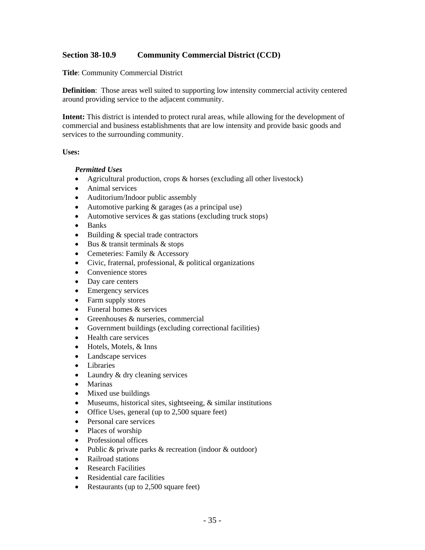# **Section 38-10.9 Community Commercial District (CCD)**

**Title**: Community Commercial District

**Definition**: Those areas well suited to supporting low intensity commercial activity centered around providing service to the adjacent community.

**Intent:** This district is intended to protect rural areas, while allowing for the development of commercial and business establishments that are low intensity and provide basic goods and services to the surrounding community.

#### **Uses:**

#### *Permitted Uses*

- Agricultural production, crops & horses (excluding all other livestock)
- Animal services
- Auditorium/Indoor public assembly
- Automotive parking & garages (as a principal use)
- Automotive services & gas stations (excluding truck stops)
- Banks
- Building & special trade contractors
- Bus & transit terminals & stops
- Cemeteries: Family & Accessory
- Civic, fraternal, professional, & political organizations
- Convenience stores
- Day care centers
- Emergency services
- Farm supply stores
- Funeral homes & services
- Greenhouses & nurseries, commercial
- Government buildings (excluding correctional facilities)
- Health care services
- Hotels, Motels, & Inns
- Landscape services
- Libraries
- Laundry & dry cleaning services
- Marinas
- Mixed use buildings
- Museums, historical sites, sightseeing, & similar institutions
- Office Uses, general (up to 2,500 square feet)
- Personal care services
- Places of worship
- Professional offices
- Public & private parks & recreation (indoor & outdoor)
- Railroad stations
- Research Facilities
- Residential care facilities
- Restaurants (up to 2,500 square feet)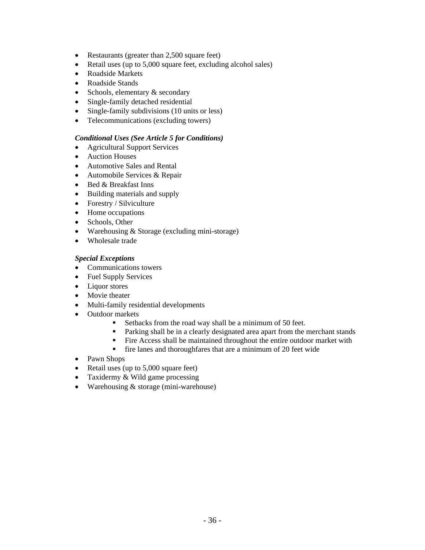- Restaurants (greater than 2,500 square feet)
- Retail uses (up to 5,000 square feet, excluding alcohol sales)
- Roadside Markets
- Roadside Stands
- Schools, elementary & secondary
- Single-family detached residential
- Single-family subdivisions (10 units or less)
- Telecommunications (excluding towers)

#### *Conditional Uses (See Article 5 for Conditions)*

- Agricultural Support Services
- Auction Houses
- Automotive Sales and Rental
- Automobile Services & Repair
- Bed & Breakfast Inns
- Building materials and supply
- Forestry / Silviculture
- Home occupations
- Schools, Other
- Warehousing & Storage (excluding mini-storage)
- Wholesale trade

### *Special Exceptions*

- Communications towers
- Fuel Supply Services
- Liquor stores
- Movie theater
- Multi-family residential developments
- Outdoor markets
	- Setbacks from the road way shall be a minimum of 50 feet.
	- **Parking shall be in a clearly designated area apart from the merchant stands**
	- Fire Access shall be maintained throughout the entire outdoor market with
	- fire lanes and thoroughfares that are a minimum of 20 feet wide
- Pawn Shops
- Retail uses (up to 5,000 square feet)
- Taxidermy & Wild game processing
- Warehousing & storage (mini-warehouse)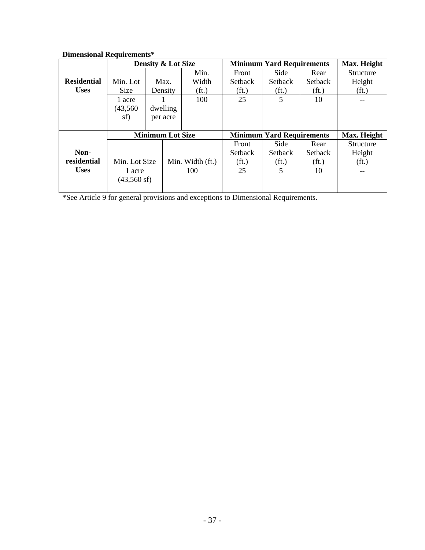| Dhhthsional Itequn chichts |                         |                                   |                                  |                                  |                   |                   |                   |                   |  |
|----------------------------|-------------------------|-----------------------------------|----------------------------------|----------------------------------|-------------------|-------------------|-------------------|-------------------|--|
|                            | Density & Lot Size      |                                   |                                  | <b>Minimum Yard Requirements</b> | Max. Height       |                   |                   |                   |  |
|                            |                         |                                   |                                  | Min.                             | Front             | Side              | Rear              | Structure         |  |
| <b>Residential</b>         | Min. Lot                |                                   | Max.                             | Width                            | Setback           | Setback           | Setback           | Height            |  |
| <b>Uses</b>                | Size                    |                                   | Density                          | (f <sub>t</sub> )                | (f <sub>t</sub> ) | (f <sub>t</sub> ) | (f <sub>t</sub> ) | (f <sub>t</sub> ) |  |
|                            | 1 acre                  |                                   |                                  | 100                              | 25                | 5                 | 10                |                   |  |
|                            | (43, 560)               |                                   | dwelling                         |                                  |                   |                   |                   |                   |  |
|                            | sf)                     |                                   | per acre                         |                                  |                   |                   |                   |                   |  |
|                            |                         |                                   |                                  |                                  |                   |                   |                   |                   |  |
|                            | <b>Minimum Lot Size</b> |                                   | <b>Minimum Yard Requirements</b> |                                  |                   | Max. Height       |                   |                   |  |
|                            |                         |                                   |                                  |                                  | Front             | Side              | Rear              | Structure         |  |
| Non-                       |                         |                                   |                                  |                                  | <b>Setback</b>    | <b>Setback</b>    | <b>Setback</b>    | Height            |  |
| residential                |                         | Min. Lot Size<br>Min. Width (ft.) |                                  | (f <sub>t</sub> )                | (f <sub>t</sub> ) | (f <sub>t</sub> ) | (f <sub>t</sub> ) |                   |  |
| <b>Uses</b>                | 1 acre                  |                                   |                                  | 100                              | 25                | 5                 | 10                |                   |  |
|                            | $(43,560 \text{ sf})$   |                                   |                                  |                                  |                   |                   |                   |                   |  |
|                            |                         |                                   |                                  |                                  |                   |                   |                   |                   |  |

# **Dimensional Requirements\***

\*See Article 9 for general provisions and exceptions to Dimensional Requirements.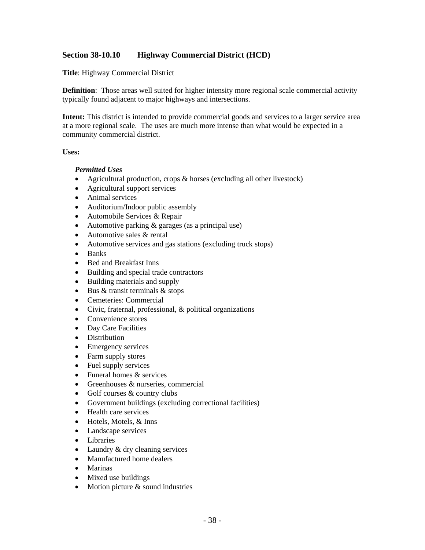## **Section 38-10.10 Highway Commercial District (HCD)**

**Title**: Highway Commercial District

**Definition**: Those areas well suited for higher intensity more regional scale commercial activity typically found adjacent to major highways and intersections.

**Intent:** This district is intended to provide commercial goods and services to a larger service area at a more regional scale. The uses are much more intense than what would be expected in a community commercial district.

#### **Uses:**

#### *Permitted Uses*

- Agricultural production, crops & horses (excluding all other livestock)
- Agricultural support services
- Animal services
- Auditorium/Indoor public assembly
- Automobile Services & Repair
- Automotive parking & garages (as a principal use)
- Automotive sales & rental
- Automotive services and gas stations (excluding truck stops)
- Banks
- Bed and Breakfast Inns
- Building and special trade contractors
- Building materials and supply
- Bus & transit terminals & stops
- Cemeteries: Commercial
- Civic, fraternal, professional, & political organizations
- Convenience stores
- Day Care Facilities
- Distribution
- Emergency services
- Farm supply stores
- Fuel supply services
- Funeral homes & services
- Greenhouses & nurseries, commercial
- Golf courses & country clubs
- Government buildings (excluding correctional facilities)
- Health care services
- Hotels, Motels, & Inns
- Landscape services
- Libraries
- Laundry & dry cleaning services
- Manufactured home dealers
- Marinas
- Mixed use buildings
- Motion picture & sound industries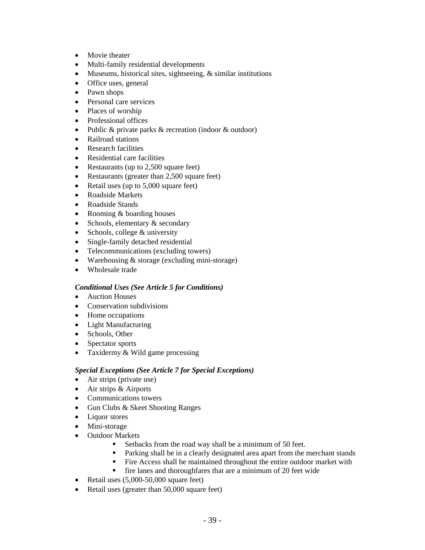- Movie theater
- Multi-family residential developments
- Museums, historical sites, sightseeing, & similar institutions
- Office uses, general
- Pawn shops
- Personal care services
- Places of worship
- Professional offices
- Public & private parks & recreation (indoor & outdoor)
- Railroad stations
- Research facilities
- Residential care facilities
- Restaurants (up to 2,500 square feet)
- Restaurants (greater than 2,500 square feet)
- Retail uses (up to 5,000 square feet)
- Roadside Markets
- Roadside Stands
- Rooming & boarding houses
- Schools, elementary & secondary
- Schools, college & university
- Single-family detached residential
- Telecommunications (excluding towers)
- Warehousing & storage (excluding mini-storage)
- Wholesale trade

### *Conditional Uses (See Article 5 for Conditions)*

- Auction Houses
- Conservation subdivisions
- Home occupations
- Light Manufacturing
- Schools, Other
- Spectator sports
- Taxidermy & Wild game processing

### *Special Exceptions (See Article 7 for Special Exceptions)*

- Air strips (private use)
- Air strips & Airports
- Communications towers
- Gun Clubs & Skeet Shooting Ranges
- Liquor stores
- Mini-storage
- Outdoor Markets
	- Setbacks from the road way shall be a minimum of 50 feet.
	- **Parking shall be in a clearly designated area apart from the merchant stands**
	- Fire Access shall be maintained throughout the entire outdoor market with
	- **firm** fire lanes and thoroughfares that are a minimum of 20 feet wide
- Retail uses (5,000-50,000 square feet)
- Retail uses (greater than 50,000 square feet)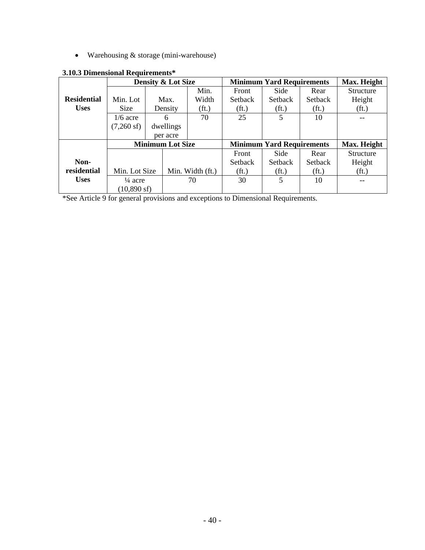• Warehousing & storage (mini-warehouse)

|                    |                                             | <b>Density &amp; Lot Size</b>     |                   | <b>Minimum Yard Requirements</b> | Max. Height       |                   |                   |
|--------------------|---------------------------------------------|-----------------------------------|-------------------|----------------------------------|-------------------|-------------------|-------------------|
|                    |                                             |                                   | Min.              | Front                            | Side              | Rear              | Structure         |
| <b>Residential</b> | Min. Lot                                    | Max.                              | Width             | Setback                          | Setback           | Setback           | Height            |
| <b>Uses</b>        | Size                                        | Density                           | (f <sub>t</sub> ) | (f <sub>t</sub> )                | (f <sub>t</sub> ) | (f <sub>t</sub> ) | (f <sub>t</sub> ) |
|                    | $1/6$ acre                                  | 6                                 | 70                | 25                               | 5                 | 10                |                   |
|                    | $(7,260 \text{ sf})$                        | dwellings                         |                   |                                  |                   |                   |                   |
|                    |                                             | per acre                          |                   |                                  |                   |                   |                   |
|                    | <b>Minimum Lot Size</b>                     |                                   |                   | <b>Minimum Yard Requirements</b> |                   |                   | Max. Height       |
|                    |                                             |                                   |                   | Front                            | Side              | Rear              | Structure         |
| Non-               |                                             |                                   |                   | Setback                          | <b>Setback</b>    | <b>Setback</b>    | Height            |
| residential        |                                             | Min. Lot Size<br>Min. Width (ft.) |                   | (f <sub>t</sub> )                | (f <sub>t</sub> ) | (f <sub>t</sub> ) | (f <sub>t</sub> ) |
| <b>Uses</b>        | $\frac{1}{4}$ acre<br>$(10,890 \text{ sf})$ |                                   | 70                | 30                               | 5                 | 10                |                   |
|                    |                                             |                                   |                   |                                  |                   |                   |                   |

### **3.10.3 Dimensional Requirements\***

\*See Article 9 for general provisions and exceptions to Dimensional Requirements.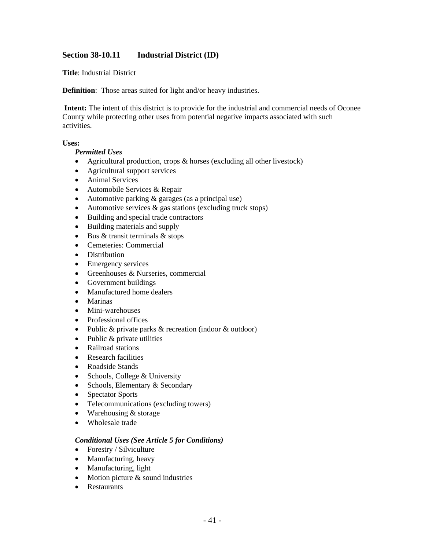# **Section 38-10.11 Industrial District (ID)**

**Title**: Industrial District

**Definition**: Those areas suited for light and/or heavy industries.

**Intent:** The intent of this district is to provide for the industrial and commercial needs of Oconee County while protecting other uses from potential negative impacts associated with such activities.

### **Uses:**

### *Permitted Uses*

- Agricultural production, crops & horses (excluding all other livestock)
- Agricultural support services
- Animal Services
- Automobile Services & Repair
- Automotive parking & garages (as a principal use)
- Automotive services & gas stations (excluding truck stops)
- Building and special trade contractors
- Building materials and supply
- Bus  $&$  transit terminals  $&$  stops
- Cemeteries: Commercial
- Distribution
- Emergency services
- Greenhouses & Nurseries, commercial
- Government buildings
- Manufactured home dealers
- Marinas
- Mini-warehouses
- Professional offices
- Public & private parks & recreation (indoor & outdoor)
- Public & private utilities
- Railroad stations
- Research facilities
- Roadside Stands
- Schools, College & University
- Schools, Elementary & Secondary
- Spectator Sports
- Telecommunications (excluding towers)
- Warehousing & storage
- Wholesale trade

### *Conditional Uses (See Article 5 for Conditions)*

- Forestry / Silviculture
- Manufacturing, heavy
- Manufacturing, light
- Motion picture & sound industries
- Restaurants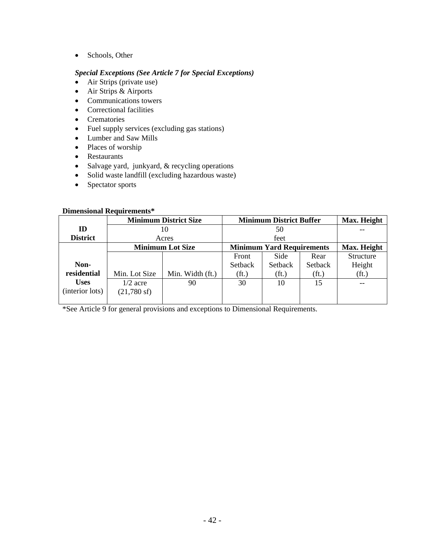• Schools, Other

### *Special Exceptions (See Article 7 for Special Exceptions)*

- Air Strips (private use)
- Air Strips & Airports
- Communications towers
- Correctional facilities
- Crematories
- Fuel supply services (excluding gas stations)
- Lumber and Saw Mills
- Places of worship
- Restaurants
- Salvage yard, junkyard, & recycling operations
- Solid waste landfill (excluding hazardous waste)
- Spectator sports

### **Dimensional Requirements\***

|                 |                         | <b>Minimum District Size</b>     | <b>Minimum District Buffer</b> | Max. Height       |                   |                   |
|-----------------|-------------------------|----------------------------------|--------------------------------|-------------------|-------------------|-------------------|
| ID              | 10                      |                                  |                                |                   |                   |                   |
| <b>District</b> |                         | Acres                            |                                |                   |                   |                   |
|                 | <b>Minimum Lot Size</b> | <b>Minimum Yard Requirements</b> | Max. Height                    |                   |                   |                   |
|                 |                         |                                  | Front                          | Side              | Rear              | Structure         |
| Non-            |                         |                                  | Setback                        | Setback           | Setback           | Height            |
| residential     | Min. Lot Size           | Min. Width (ft.)                 | (f <sub>t</sub> )              | (f <sub>t</sub> ) | (f <sub>t</sub> ) | (f <sub>t</sub> ) |
| <b>Uses</b>     | $1/2$ acre              | 90                               | 30                             | 10                | 15                |                   |
| (interior lots) | $(21,780 \text{ sf})$   |                                  |                                |                   |                   |                   |
|                 |                         |                                  |                                |                   |                   |                   |

\*See Article 9 for general provisions and exceptions to Dimensional Requirements.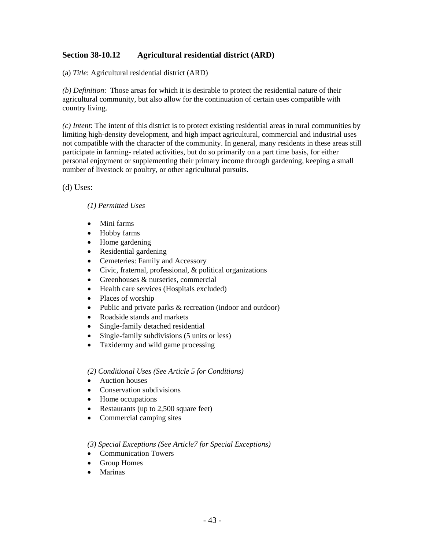# **Section 38-10.12 Agricultural residential district (ARD)**

(a) *Title*: Agricultural residential district (ARD)

*(b) Definition*: Those areas for which it is desirable to protect the residential nature of their agricultural community, but also allow for the continuation of certain uses compatible with country living.

*(c) Intent*: The intent of this district is to protect existing residential areas in rural communities by limiting high-density development, and high impact agricultural, commercial and industrial uses not compatible with the character of the community. In general, many residents in these areas still participate in farming- related activities, but do so primarily on a part time basis, for either personal enjoyment or supplementing their primary income through gardening, keeping a small number of livestock or poultry, or other agricultural pursuits.

(d) Uses:

### *(1) Permitted Uses*

- Mini farms
- Hobby farms
- Home gardening
- Residential gardening
- Cemeteries: Family and Accessory
- Civic, fraternal, professional, & political organizations
- Greenhouses & nurseries, commercial
- Health care services (Hospitals excluded)
- Places of worship
- Public and private parks & recreation (indoor and outdoor)
- Roadside stands and markets
- Single-family detached residential
- Single-family subdivisions (5 units or less)
- Taxidermy and wild game processing

*(2) Conditional Uses (See Article 5 for Conditions)* 

- Auction houses
- Conservation subdivisions
- Home occupations
- Restaurants (up to 2,500 square feet)
- Commercial camping sites

#### *(3) Special Exceptions (See Article7 for Special Exceptions)*

- Communication Towers
- Group Homes
- Marinas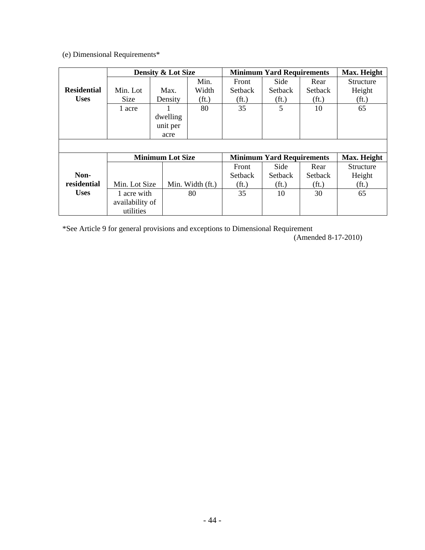(e) Dimensional Requirements\*

|                    | Density & Lot Size      |          |                   |                                  | <b>Minimum Yard Requirements</b> |                   |                   |  |
|--------------------|-------------------------|----------|-------------------|----------------------------------|----------------------------------|-------------------|-------------------|--|
|                    |                         |          | Min.              | Front                            | Side                             | Rear              | Structure         |  |
| <b>Residential</b> | Min. Lot                | Max.     | Width             | <b>Setback</b>                   | Setback                          | <b>Setback</b>    | Height            |  |
| <b>Uses</b>        | Size                    | Density  | (f <sub>t</sub> ) | (f <sub>t</sub> )                | (f <sub>t</sub> )                | (f <sub>t</sub> ) | (f <sub>t</sub> ) |  |
|                    | 1 acre                  |          | 80                | 35                               | 5                                | 10                | 65                |  |
|                    |                         | dwelling |                   |                                  |                                  |                   |                   |  |
|                    |                         | unit per |                   |                                  |                                  |                   |                   |  |
|                    |                         | acre     |                   |                                  |                                  |                   |                   |  |
|                    |                         |          |                   |                                  |                                  |                   |                   |  |
|                    | <b>Minimum Lot Size</b> |          |                   | <b>Minimum Yard Requirements</b> | Max. Height                      |                   |                   |  |
|                    |                         |          |                   | Front                            | Side                             | Rear              | Structure         |  |
| Non-               |                         |          |                   | <b>Setback</b>                   | Setback                          | <b>Setback</b>    | Height            |  |
| residential        | Min. Lot Size           |          | Min. Width (ft.)  | (f <sub>t</sub> )                | (f <sub>t</sub> )                | (f <sub>t</sub> ) | (f <sub>t</sub> ) |  |
| <b>Uses</b>        | 1 acre with             |          | 80                | 35                               | 10                               | 30                | 65                |  |
|                    | availability of         |          |                   |                                  |                                  |                   |                   |  |
|                    | utilities               |          |                   |                                  |                                  |                   |                   |  |

\*See Article 9 for general provisions and exceptions to Dimensional Requirement

(Amended 8-17-2010)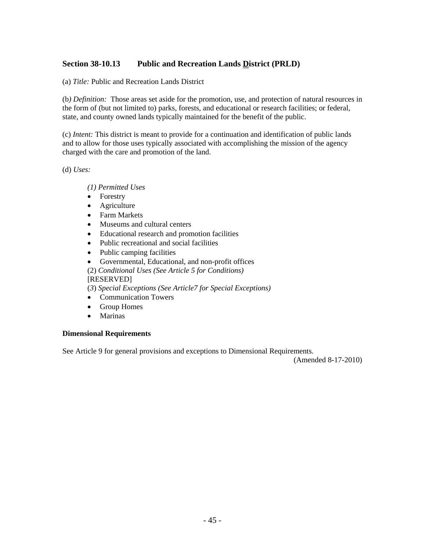## **Section 38-10.13 Public and Recreation Lands District (PRLD)**

(a) *Title:* Public and Recreation Lands District

(b*) Definition:* Those areas set aside for the promotion, use, and protection of natural resources in the form of (but not limited to) parks, forests, and educational or research facilities; or federal, state, and county owned lands typically maintained for the benefit of the public.

(c) *Intent:* This district is meant to provide for a continuation and identification of public lands and to allow for those uses typically associated with accomplishing the mission of the agency charged with the care and promotion of the land.

(d) *Uses:* 

*(1) Permitted Uses* 

- Forestry
- Agriculture
- Farm Markets
- Museums and cultural centers
- Educational research and promotion facilities
- Public recreational and social facilities
- Public camping facilities
- Governmental, Educational, and non-profit offices
- (2) *Conditional Uses (See Article 5 for Conditions)*  [RESERVED]

(*3*) *Special Exceptions (See Article7 for Special Exceptions)* 

- Communication Towers
- Group Homes
- Marinas

#### **Dimensional Requirements**

See Article 9 for general provisions and exceptions to Dimensional Requirements.

(Amended 8-17-2010)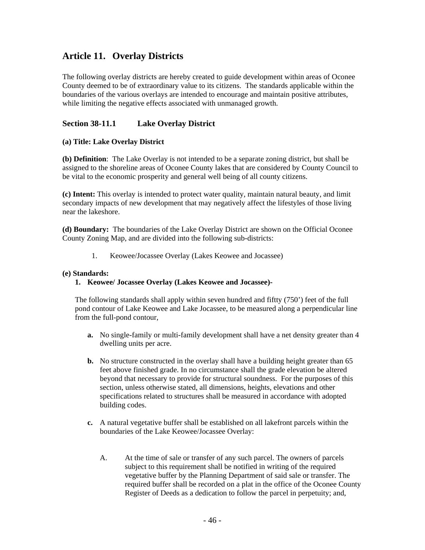# **Article 11. Overlay Districts**

The following overlay districts are hereby created to guide development within areas of Oconee County deemed to be of extraordinary value to its citizens. The standards applicable within the boundaries of the various overlays are intended to encourage and maintain positive attributes, while limiting the negative effects associated with unmanaged growth.

# **Section 38-11.1 Lake Overlay District**

### **(a) Title: Lake Overlay District**

**(b) Definition**: The Lake Overlay is not intended to be a separate zoning district, but shall be assigned to the shoreline areas of Oconee County lakes that are considered by County Council to be vital to the economic prosperity and general well being of all county citizens.

**(c) Intent:** This overlay is intended to protect water quality, maintain natural beauty, and limit secondary impacts of new development that may negatively affect the lifestyles of those living near the lakeshore.

**(d) Boundary:** The boundaries of the Lake Overlay District are shown on the Official Oconee County Zoning Map, and are divided into the following sub-districts:

1. Keowee/Jocassee Overlay (Lakes Keowee and Jocassee)

#### **(e) Standards:**

#### **1. Keowee/ Jocassee Overlay (Lakes Keowee and Jocassee)-**

The following standards shall apply within seven hundred and fiftty (750') feet of the full pond contour of Lake Keowee and Lake Jocassee, to be measured along a perpendicular line from the full-pond contour,

- **a.** No single-family or multi-family development shall have a net density greater than 4 dwelling units per acre.
- **b.** No structure constructed in the overlay shall have a building height greater than 65 feet above finished grade. In no circumstance shall the grade elevation be altered beyond that necessary to provide for structural soundness. For the purposes of this section, unless otherwise stated, all dimensions, heights, elevations and other specifications related to structures shall be measured in accordance with adopted building codes.
- **c.** A natural vegetative buffer shall be established on all lakefront parcels within the boundaries of the Lake Keowee/Jocassee Overlay:
	- A. At the time of sale or transfer of any such parcel. The owners of parcels subject to this requirement shall be notified in writing of the required vegetative buffer by the Planning Department of said sale or transfer. The required buffer shall be recorded on a plat in the office of the Oconee County Register of Deeds as a dedication to follow the parcel in perpetuity; and,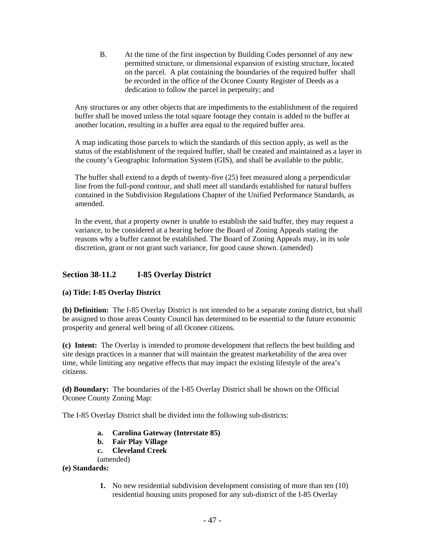B. At the time of the first inspection by Building Codes personnel of any new permitted structure, or dimensional expansion of existing structure, located on the parcel. A plat containing the boundaries of the required buffer shall be recorded in the office of the Oconee County Register of Deeds as a dedication to follow the parcel in perpetuity; and

Any structures or any other objects that are impediments to the establishment of the required buffer shall be moved unless the total square footage they contain is added to the buffer at another location, resulting in a buffer area equal to the required buffer area.

A map indicating those parcels to which the standards of this section apply, as well as the status of the establishment of the required buffer, shall be created and maintained as a layer in the county's Geographic Information System (GIS), and shall be available to the public.

The buffer shall extend to a depth of twenty-five (25) feet measured along a perpendicular line from the full-pond contour, and shall meet all standards established for natural buffers contained in the Subdivision Regulations Chapter of the Unified Performance Standards, as amended.

In the event, that a property owner is unable to establish the said buffer, they may request a variance, to be considered at a hearing before the Board of Zoning Appeals stating the reasons why a buffer cannot be established. The Board of Zoning Appeals may, in its sole discretion, grant or not grant such variance, for good cause shown. (amended)

# **Section 38-11.2 I-85 Overlay District**

### **(a) Title: I-85 Overlay District**

**(b) Definition:** The I-85 Overlay District is not intended to be a separate zoning district, but shall be assigned to those areas County Council has determined to be essential to the future economic prosperity and general well being of all Oconee citizens.

**(c) Intent:** The Overlay is intended to promote development that reflects the best building and site design practices in a manner that will maintain the greatest marketability of the area over time, while limiting any negative effects that may impact the existing lifestyle of the area's citizens.

**(d) Boundary:** The boundaries of the I-85 Overlay District shall be shown on the Official Oconee County Zoning Map:

The I-85 Overlay District shall be divided into the following sub-districts:

- **a. Carolina Gateway (Interstate 85)**
- **b. Fair Play Village**
- **c. Cleveland Creek**
- (amended)
- **(e) Standards:** 
	- **1.** No new residential subdivision development consisting of more than ten (10) residential housing units proposed for any sub-district of the I-85 Overlay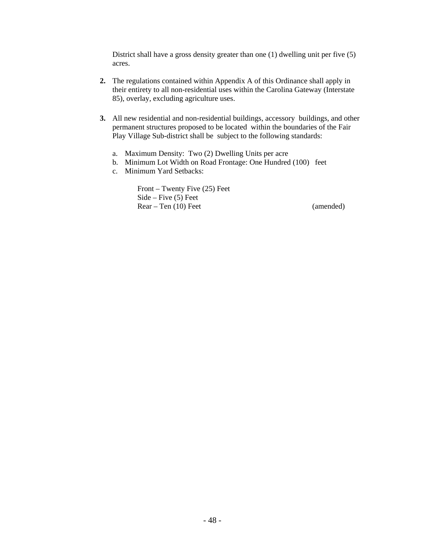District shall have a gross density greater than one (1) dwelling unit per five (5) acres.

- **2.** The regulations contained within Appendix A of this Ordinance shall apply in their entirety to all non-residential uses within the Carolina Gateway (Interstate 85), overlay, excluding agriculture uses.
- **3.** All new residential and non-residential buildings, accessory buildings, and other permanent structures proposed to be located within the boundaries of the Fair Play Village Sub-district shall be subject to the following standards:
	- a. Maximum Density: Two (2) Dwelling Units per acre
	- b. Minimum Lot Width on Road Frontage: One Hundred (100) feet
	- c. Minimum Yard Setbacks:

Front – Twenty Five (25) Feet Side – Five (5) Feet Rear – Ten (10) Feet (amended)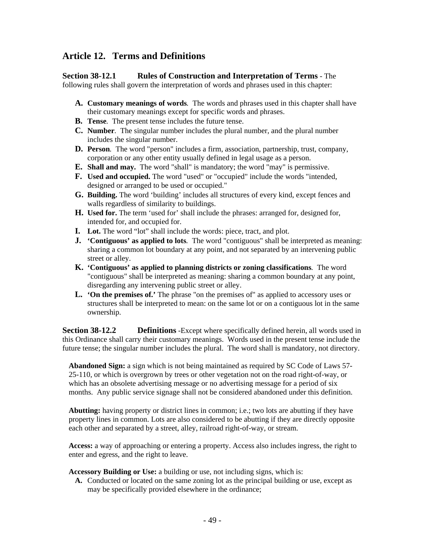# **Article 12. Terms and Definitions**

### **Section 38-12.1 Rules of Construction and Interpretation of Terms** - The

following rules shall govern the interpretation of words and phrases used in this chapter:

- **A. Customary meanings of words***.* The words and phrases used in this chapter shall have their customary meanings except for specific words and phrases.
- **B. Tense***.* The present tense includes the future tense.
- **C. Number***.* The singular number includes the plural number, and the plural number includes the singular number.
- **D. Person***.* The word "person" includes a firm, association, partnership, trust, company, corporation or any other entity usually defined in legal usage as a person.
- **E. Shall and may.** The word "shall" is mandatory; the word "may" is permissive.
- **F. Used and occupied.** The word "used" or "occupied" include the words "intended, designed or arranged to be used or occupied."
- **G. Building.** The word 'building' includes all structures of every kind, except fences and walls regardless of similarity to buildings.
- **H. Used for.** The term 'used for' shall include the phrases: arranged for, designed for, intended for, and occupied for.
- **I. Lot.** The word "lot" shall include the words: piece, tract, and plot.
- **J. 'Contiguous' as applied to lots***.* The word "contiguous" shall be interpreted as meaning: sharing a common lot boundary at any point, and not separated by an intervening public street or alley.
- **K. 'Contiguous' as applied to planning districts or zoning classifications***.* The word "contiguous" shall be interpreted as meaning: sharing a common boundary at any point, disregarding any intervening public street or alley.
- **L. 'On the premises of.'** The phrase "on the premises of" as applied to accessory uses or structures shall be interpreted to mean: on the same lot or on a contiguous lot in the same ownership.

**Section 38-12.2 Definitions** -Except where specifically defined herein, all words used in this Ordinance shall carry their customary meanings. Words used in the present tense include the future tense; the singular number includes the plural. The word shall is mandatory, not directory.

**Abandoned Sign:** a sign which is not being maintained as required by SC Code of Laws 57- 25-110, or which is overgrown by trees or other vegetation not on the road right-of-way, or which has an obsolete advertising message or no advertising message for a period of six months. Any public service signage shall not be considered abandoned under this definition.

**Abutting:** having property or district lines in common; i.e.; two lots are abutting if they have property lines in common. Lots are also considered to be abutting if they are directly opposite each other and separated by a street, alley, railroad right-of-way, or stream.

**Access:** a way of approaching or entering a property. Access also includes ingress, the right to enter and egress, and the right to leave.

**Accessory Building or Use:** a building or use, not including signs, which is:

**A.** Conducted or located on the same zoning lot as the principal building or use, except as may be specifically provided elsewhere in the ordinance;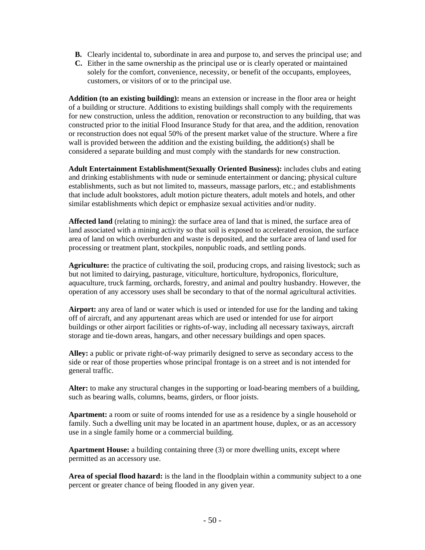- **B.** Clearly incidental to, subordinate in area and purpose to, and serves the principal use; and
- **C.** Either in the same ownership as the principal use or is clearly operated or maintained solely for the comfort, convenience, necessity, or benefit of the occupants, employees, customers, or visitors of or to the principal use.

**Addition (to an existing building):** means an extension or increase in the floor area or height of a building or structure. Additions to existing buildings shall comply with the requirements for new construction, unless the addition, renovation or reconstruction to any building, that was constructed prior to the initial Flood Insurance Study for that area, and the addition, renovation or reconstruction does not equal 50% of the present market value of the structure. Where a fire wall is provided between the addition and the existing building, the addition(s) shall be considered a separate building and must comply with the standards for new construction.

**Adult Entertainment Establishment(Sexually Oriented Business):** includes clubs and eating and drinking establishments with nude or seminude entertainment or dancing; physical culture establishments, such as but not limited to, masseurs, massage parlors, etc.; and establishments that include adult bookstores, adult motion picture theaters, adult motels and hotels, and other similar establishments which depict or emphasize sexual activities and/or nudity.

**Affected land** (relating to mining): the surface area of land that is mined, the surface area of land associated with a mining activity so that soil is exposed to accelerated erosion, the surface area of land on which overburden and waste is deposited, and the surface area of land used for processing or treatment plant, stockpiles, nonpublic roads, and settling ponds.

**Agriculture:** the practice of cultivating the soil, producing crops, and raising livestock; such as but not limited to dairying, pasturage, viticulture, horticulture, hydroponics, floriculture, aquaculture, truck farming, orchards, forestry, and animal and poultry husbandry. However, the operation of any accessory uses shall be secondary to that of the normal agricultural activities.

**Airport:** any area of land or water which is used or intended for use for the landing and taking off of aircraft, and any appurtenant areas which are used or intended for use for airport buildings or other airport facilities or rights-of-way, including all necessary taxiways, aircraft storage and tie-down areas, hangars, and other necessary buildings and open spaces.

**Alley:** a public or private right-of-way primarily designed to serve as secondary access to the side or rear of those properties whose principal frontage is on a street and is not intended for general traffic.

**Alter:** to make any structural changes in the supporting or load-bearing members of a building, such as bearing walls, columns, beams, girders, or floor joists.

**Apartment:** a room or suite of rooms intended for use as a residence by a single household or family. Such a dwelling unit may be located in an apartment house, duplex, or as an accessory use in a single family home or a commercial building.

**Apartment House:** a building containing three (3) or more dwelling units, except where permitted as an accessory use.

**Area of special flood hazard:** is the land in the floodplain within a community subject to a one percent or greater chance of being flooded in any given year.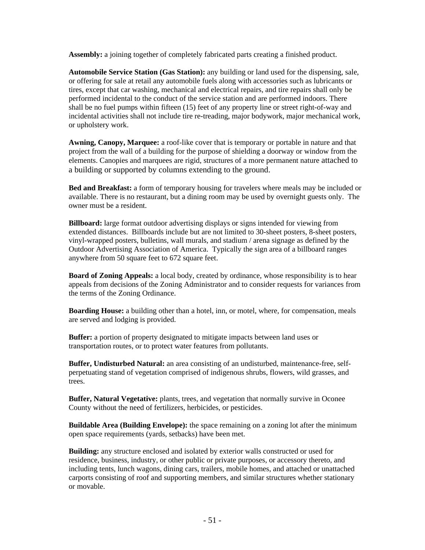**Assembly:** a joining together of completely fabricated parts creating a finished product.

**Automobile Service Station (Gas Station):** any building or land used for the dispensing, sale, or offering for sale at retail any automobile fuels along with accessories such as lubricants or tires, except that car washing, mechanical and electrical repairs, and tire repairs shall only be performed incidental to the conduct of the service station and are performed indoors. There shall be no fuel pumps within fifteen (15) feet of any property line or street right-of-way and incidental activities shall not include tire re-treading, major bodywork, major mechanical work, or upholstery work.

**Awning, Canopy, Marquee:** a roof-like cover that is temporary or portable in nature and that project from the wall of a building for the purpose of shielding a doorway or window from the elements. Canopies and marquees are rigid, structures of a more permanent nature attached to a building or supported by columns extending to the ground.

**Bed and Breakfast:** a form of temporary housing for travelers where meals may be included or available. There is no restaurant, but a dining room may be used by overnight guests only. The owner must be a resident.

**Billboard:** large format outdoor advertising displays or signs intended for viewing from extended distances. Billboards include but are not limited to 30-sheet posters, 8-sheet posters, vinyl-wrapped posters, bulletins, wall murals, and stadium / arena signage as defined by the Outdoor Advertising Association of America. Typically the sign area of a billboard ranges anywhere from 50 square feet to 672 square feet.

**Board of Zoning Appeals:** a local body, created by ordinance, whose responsibility is to hear appeals from decisions of the Zoning Administrator and to consider requests for variances from the terms of the Zoning Ordinance.

**Boarding House:** a building other than a hotel, inn, or motel, where, for compensation, meals are served and lodging is provided.

**Buffer:** a portion of property designated to mitigate impacts between land uses or transportation routes, or to protect water features from pollutants.

**Buffer, Undisturbed Natural:** an area consisting of an undisturbed, maintenance-free, selfperpetuating stand of vegetation comprised of indigenous shrubs, flowers, wild grasses, and trees.

**Buffer, Natural Vegetative:** plants, trees, and vegetation that normally survive in Oconee County without the need of fertilizers, herbicides, or pesticides.

**Buildable Area (Building Envelope):** the space remaining on a zoning lot after the minimum open space requirements (yards, setbacks) have been met.

**Building:** any structure enclosed and isolated by exterior walls constructed or used for residence, business, industry, or other public or private purposes, or accessory thereto, and including tents, lunch wagons, dining cars, trailers, mobile homes, and attached or unattached carports consisting of roof and supporting members, and similar structures whether stationary or movable.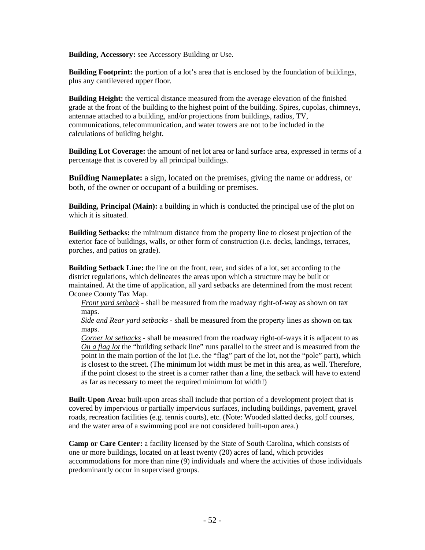**Building, Accessory:** see Accessory Building or Use.

**Building Footprint:** the portion of a lot's area that is enclosed by the foundation of buildings, plus any cantilevered upper floor.

**Building Height:** the vertical distance measured from the average elevation of the finished grade at the front of the building to the highest point of the building. Spires, cupolas, chimneys, antennae attached to a building, and/or projections from buildings, radios, TV, communications, telecommunication, and water towers are not to be included in the calculations of building height.

**Building Lot Coverage:** the amount of net lot area or land surface area, expressed in terms of a percentage that is covered by all principal buildings.

**Building Nameplate:** a sign, located on the premises, giving the name or address, or both, of the owner or occupant of a building or premises.

**Building, Principal (Main):** a building in which is conducted the principal use of the plot on which it is situated.

**Building Setbacks:** the minimum distance from the property line to closest projection of the exterior face of buildings, walls, or other form of construction (i.e. decks, landings, terraces, porches, and patios on grade).

**Building Setback Line:** the line on the front, rear, and sides of a lot, set according to the district regulations, which delineates the areas upon which a structure may be built or maintained. At the time of application, all yard setbacks are determined from the most recent Oconee County Tax Map.

*Front yard setback* - shall be measured from the roadway right-of-way as shown on tax maps.

*Side and Rear yard setbacks* - shall be measured from the property lines as shown on tax maps.

*Corner lot setbacks* - shall be measured from the roadway right-of-ways it is adjacent to as *On a flag lot* the "building setback line" runs parallel to the street and is measured from the point in the main portion of the lot (i.e. the "flag" part of the lot, not the "pole" part), which is closest to the street. (The minimum lot width must be met in this area, as well. Therefore, if the point closest to the street is a corner rather than a line, the setback will have to extend as far as necessary to meet the required minimum lot width!)

**Built-Upon Area:** built-upon areas shall include that portion of a development project that is covered by impervious or partially impervious surfaces, including buildings, pavement, gravel roads, recreation facilities (e.g. tennis courts), etc. (Note: Wooded slatted decks, golf courses, and the water area of a swimming pool are not considered built-upon area.)

**Camp or Care Center:** a facility licensed by the State of South Carolina, which consists of one or more buildings, located on at least twenty (20) acres of land, which provides accommodations for more than nine (9) individuals and where the activities of those individuals predominantly occur in supervised groups.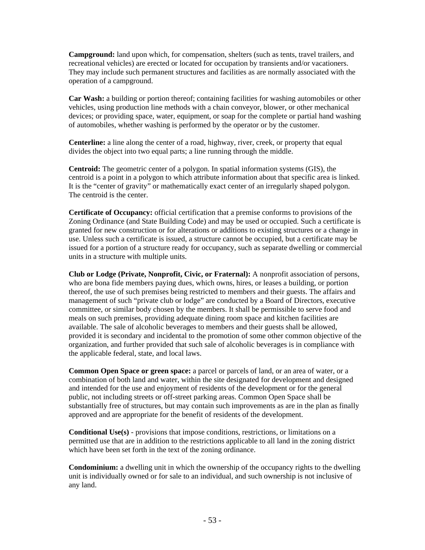**Campground:** land upon which, for compensation, shelters (such as tents, travel trailers, and recreational vehicles) are erected or located for occupation by transients and/or vacationers. They may include such permanent structures and facilities as are normally associated with the operation of a campground.

**Car Wash:** a building or portion thereof; containing facilities for washing automobiles or other vehicles, using production line methods with a chain conveyor, blower, or other mechanical devices; or providing space, water, equipment, or soap for the complete or partial hand washing of automobiles, whether washing is performed by the operator or by the customer.

**Centerline:** a line along the center of a road, highway, river, creek, or property that equal divides the object into two equal parts; a line running through the middle.

**Centroid:** The geometric center of a polygon. In spatial information systems (GIS), the centroid is a point in a polygon to which attribute information about that specific area is linked. It is the "center of gravity" or mathematically exact center of an irregularly shaped polygon. The centroid is the center.

**Certificate of Occupancy:** official certification that a premise conforms to provisions of the Zoning Ordinance (and State Building Code) and may be used or occupied. Such a certificate is granted for new construction or for alterations or additions to existing structures or a change in use. Unless such a certificate is issued, a structure cannot be occupied, but a certificate may be issued for a portion of a structure ready for occupancy, such as separate dwelling or commercial units in a structure with multiple units.

**Club or Lodge (Private, Nonprofit, Civic, or Fraternal):** A nonprofit association of persons, who are bona fide members paying dues, which owns, hires, or leases a building, or portion thereof, the use of such premises being restricted to members and their guests. The affairs and management of such "private club or lodge" are conducted by a Board of Directors, executive committee, or similar body chosen by the members. It shall be permissible to serve food and meals on such premises, providing adequate dining room space and kitchen facilities are available. The sale of alcoholic beverages to members and their guests shall be allowed, provided it is secondary and incidental to the promotion of some other common objective of the organization, and further provided that such sale of alcoholic beverages is in compliance with the applicable federal, state, and local laws.

**Common Open Space or green space:** a parcel or parcels of land, or an area of water, or a combination of both land and water, within the site designated for development and designed and intended for the use and enjoyment of residents of the development or for the general public, not including streets or off-street parking areas. Common Open Space shall be substantially free of structures, but may contain such improvements as are in the plan as finally approved and are appropriate for the benefit of residents of the development.

**Conditional Use(s)** - provisions that impose conditions, restrictions, or limitations on a permitted use that are in addition to the restrictions applicable to all land in the zoning district which have been set forth in the text of the zoning ordinance.

**Condominium:** a dwelling unit in which the ownership of the occupancy rights to the dwelling unit is individually owned or for sale to an individual, and such ownership is not inclusive of any land.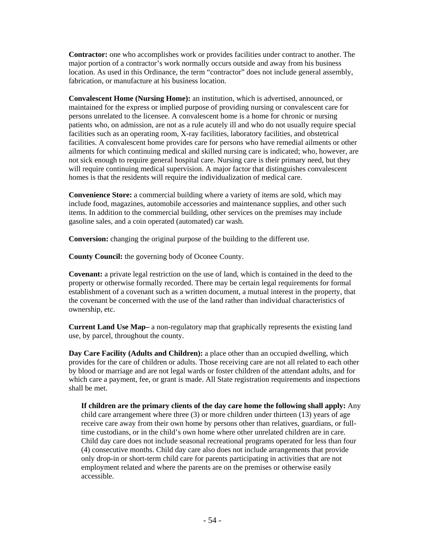**Contractor:** one who accomplishes work or provides facilities under contract to another. The major portion of a contractor's work normally occurs outside and away from his business location. As used in this Ordinance, the term "contractor" does not include general assembly, fabrication, or manufacture at his business location.

**Convalescent Home (Nursing Home):** an institution, which is advertised, announced, or maintained for the express or implied purpose of providing nursing or convalescent care for persons unrelated to the licensee. A convalescent home is a home for chronic or nursing patients who, on admission, are not as a rule acutely ill and who do not usually require special facilities such as an operating room, X-ray facilities, laboratory facilities, and obstetrical facilities. A convalescent home provides care for persons who have remedial ailments or other ailments for which continuing medical and skilled nursing care is indicated; who, however, are not sick enough to require general hospital care. Nursing care is their primary need, but they will require continuing medical supervision. A major factor that distinguishes convalescent homes is that the residents will require the individualization of medical care.

**Convenience Store:** a commercial building where a variety of items are sold, which may include food, magazines, automobile accessories and maintenance supplies, and other such items. In addition to the commercial building, other services on the premises may include gasoline sales, and a coin operated (automated) car wash.

**Conversion:** changing the original purpose of the building to the different use.

**County Council:** the governing body of Oconee County.

**Covenant:** a private legal restriction on the use of land, which is contained in the deed to the property or otherwise formally recorded. There may be certain legal requirements for formal establishment of a covenant such as a written document, a mutual interest in the property, that the covenant be concerned with the use of the land rather than individual characteristics of ownership, etc.

**Current Land Use Map–** a non-regulatory map that graphically represents the existing land use, by parcel, throughout the county.

**Day Care Facility (Adults and Children):** a place other than an occupied dwelling, which provides for the care of children or adults. Those receiving care are not all related to each other by blood or marriage and are not legal wards or foster children of the attendant adults, and for which care a payment, fee, or grant is made. All State registration requirements and inspections shall be met.

**If children are the primary clients of the day care home the following shall apply:** Any child care arrangement where three (3) or more children under thirteen (13) years of age receive care away from their own home by persons other than relatives, guardians, or fulltime custodians, or in the child's own home where other unrelated children are in care. Child day care does not include seasonal recreational programs operated for less than four (4) consecutive months. Child day care also does not include arrangements that provide only drop-in or short-term child care for parents participating in activities that are not employment related and where the parents are on the premises or otherwise easily accessible.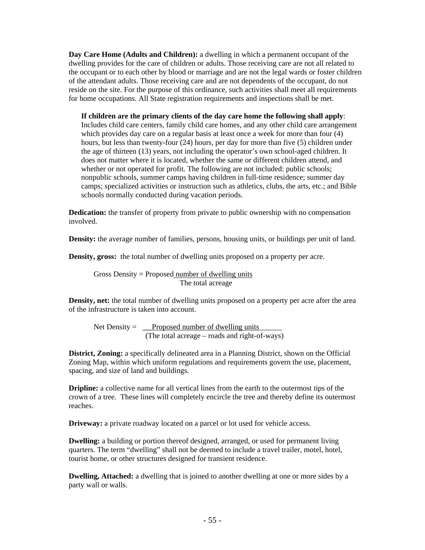**Day Care Home (Adults and Children):** a dwelling in which a permanent occupant of the dwelling provides for the care of children or adults. Those receiving care are not all related to the occupant or to each other by blood or marriage and are not the legal wards or foster children of the attendant adults. Those receiving care and are not dependents of the occupant, do not reside on the site. For the purpose of this ordinance, such activities shall meet all requirements for home occupations. All State registration requirements and inspections shall be met.

**If children are the primary clients of the day care home the following shall apply**: Includes child care centers, family child care homes, and any other child care arrangement which provides day care on a regular basis at least once a week for more than four  $(4)$ hours, but less than twenty-four (24) hours, per day for more than five (5) children under the age of thirteen (13) years, not including the operator's own school-aged children. It does not matter where it is located, whether the same or different children attend, and whether or not operated for profit. The following are not included: public schools; nonpublic schools, summer camps having children in full-time residence; summer day camps; specialized activities or instruction such as athletics, clubs, the arts, etc.; and Bible schools normally conducted during vacation periods.

**Dedication:** the transfer of property from private to public ownership with no compensation involved.

**Density:** the average number of families, persons, housing units, or buildings per unit of land.

**Density, gross:** the total number of dwelling units proposed on a property per acre.

Gross Density = Proposed number of dwelling units The total acreage

**Density, net:** the total number of dwelling units proposed on a property per acre after the area of the infrastructure is taken into account.

Net Density =  $\angle$  Proposed number of dwelling units (The total acreage – roads and right-of-ways)

**District, Zoning:** a specifically delineated area in a Planning District, shown on the Official Zoning Map, within which uniform regulations and requirements govern the use, placement, spacing, and size of land and buildings.

**Dripline:** a collective name for all vertical lines from the earth to the outermost tips of the crown of a tree. These lines will completely encircle the tree and thereby define its outermost reaches.

**Driveway:** a private roadway located on a parcel or lot used for vehicle access.

**Dwelling:** a building or portion thereof designed, arranged, or used for permanent living quarters. The term "dwelling" shall not be deemed to include a travel trailer, motel, hotel, tourist home, or other structures designed for transient residence.

**Dwelling, Attached:** a dwelling that is joined to another dwelling at one or more sides by a party wall or walls.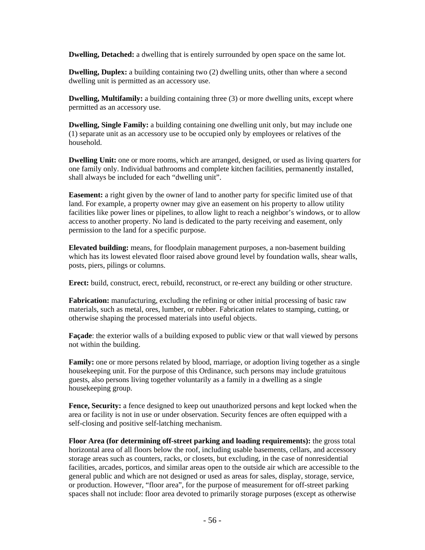**Dwelling, Detached:** a dwelling that is entirely surrounded by open space on the same lot.

**Dwelling, Duplex:** a building containing two (2) dwelling units, other than where a second dwelling unit is permitted as an accessory use.

**Dwelling, Multifamily:** a building containing three (3) or more dwelling units, except where permitted as an accessory use.

**Dwelling, Single Family:** a building containing one dwelling unit only, but may include one (1) separate unit as an accessory use to be occupied only by employees or relatives of the household.

**Dwelling Unit:** one or more rooms, which are arranged, designed, or used as living quarters for one family only. Individual bathrooms and complete kitchen facilities, permanently installed, shall always be included for each "dwelling unit".

**Easement:** a right given by the owner of land to another party for specific limited use of that land. For example, a property owner may give an easement on his property to allow utility facilities like power lines or pipelines, to allow light to reach a neighbor's windows, or to allow access to another property. No land is dedicated to the party receiving and easement, only permission to the land for a specific purpose.

**Elevated building:** means, for floodplain management purposes, a non-basement building which has its lowest elevated floor raised above ground level by foundation walls, shear walls, posts, piers, pilings or columns.

**Erect:** build, construct, erect, rebuild, reconstruct, or re-erect any building or other structure.

**Fabrication:** manufacturing, excluding the refining or other initial processing of basic raw materials, such as metal, ores, lumber, or rubber. Fabrication relates to stamping, cutting, or otherwise shaping the processed materials into useful objects.

**Façade**: the exterior walls of a building exposed to public view or that wall viewed by persons not within the building.

**Family:** one or more persons related by blood, marriage, or adoption living together as a single housekeeping unit. For the purpose of this Ordinance, such persons may include gratuitous guests, also persons living together voluntarily as a family in a dwelling as a single housekeeping group.

**Fence, Security:** a fence designed to keep out unauthorized persons and kept locked when the area or facility is not in use or under observation. Security fences are often equipped with a self-closing and positive self-latching mechanism.

**Floor Area (for determining off-street parking and loading requirements):** the gross total horizontal area of all floors below the roof, including usable basements, cellars, and accessory storage areas such as counters, racks, or closets, but excluding, in the case of nonresidential facilities, arcades, porticos, and similar areas open to the outside air which are accessible to the general public and which are not designed or used as areas for sales, display, storage, service, or production. However, "floor area", for the purpose of measurement for off-street parking spaces shall not include: floor area devoted to primarily storage purposes (except as otherwise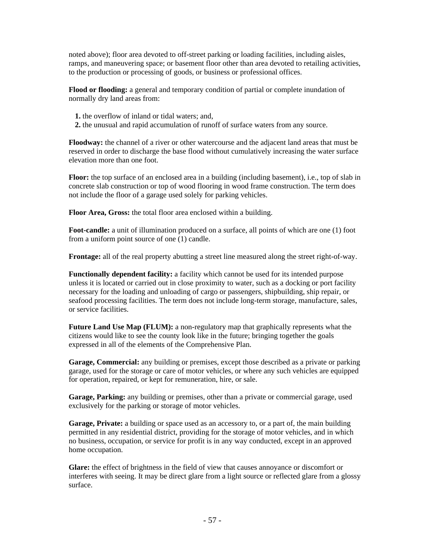noted above); floor area devoted to off-street parking or loading facilities, including aisles, ramps, and maneuvering space; or basement floor other than area devoted to retailing activities, to the production or processing of goods, or business or professional offices.

**Flood or flooding:** a general and temporary condition of partial or complete inundation of normally dry land areas from:

- **1.** the overflow of inland or tidal waters; and,
- **2.** the unusual and rapid accumulation of runoff of surface waters from any source.

**Floodway:** the channel of a river or other watercourse and the adjacent land areas that must be reserved in order to discharge the base flood without cumulatively increasing the water surface elevation more than one foot.

**Floor:** the top surface of an enclosed area in a building (including basement), i.e., top of slab in concrete slab construction or top of wood flooring in wood frame construction. The term does not include the floor of a garage used solely for parking vehicles.

**Floor Area, Gross:** the total floor area enclosed within a building.

**Foot-candle:** a unit of illumination produced on a surface, all points of which are one (1) foot from a uniform point source of one (1) candle.

**Frontage:** all of the real property abutting a street line measured along the street right-of-way.

**Functionally dependent facility:** a facility which cannot be used for its intended purpose unless it is located or carried out in close proximity to water, such as a docking or port facility necessary for the loading and unloading of cargo or passengers, shipbuilding, ship repair, or seafood processing facilities. The term does not include long-term storage, manufacture, sales, or service facilities.

**Future Land Use Map (FLUM):** a non-regulatory map that graphically represents what the citizens would like to see the county look like in the future; bringing together the goals expressed in all of the elements of the Comprehensive Plan.

**Garage, Commercial:** any building or premises, except those described as a private or parking garage, used for the storage or care of motor vehicles, or where any such vehicles are equipped for operation, repaired, or kept for remuneration, hire, or sale.

**Garage, Parking:** any building or premises, other than a private or commercial garage, used exclusively for the parking or storage of motor vehicles.

Garage, Private: a building or space used as an accessory to, or a part of, the main building permitted in any residential district, providing for the storage of motor vehicles, and in which no business, occupation, or service for profit is in any way conducted, except in an approved home occupation.

**Glare:** the effect of brightness in the field of view that causes annoyance or discomfort or interferes with seeing. It may be direct glare from a light source or reflected glare from a glossy surface.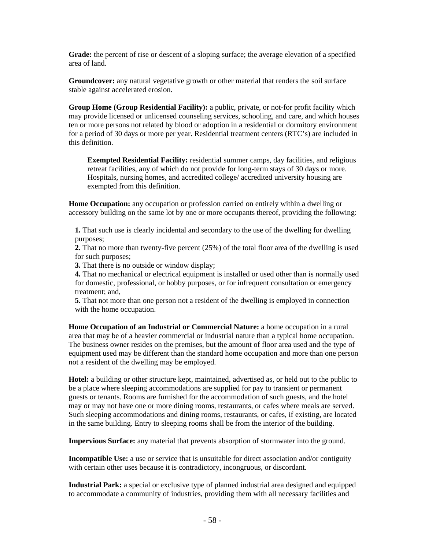**Grade:** the percent of rise or descent of a sloping surface; the average elevation of a specified area of land.

**Groundcover:** any natural vegetative growth or other material that renders the soil surface stable against accelerated erosion.

**Group Home (Group Residential Facility):** a public, private, or not-for profit facility which may provide licensed or unlicensed counseling services, schooling, and care, and which houses ten or more persons not related by blood or adoption in a residential or dormitory environment for a period of 30 days or more per year. Residential treatment centers (RTC's) are included in this definition.

**Exempted Residential Facility:** residential summer camps, day facilities, and religious retreat facilities, any of which do not provide for long-term stays of 30 days or more. Hospitals, nursing homes, and accredited college/ accredited university housing are exempted from this definition.

**Home Occupation:** any occupation or profession carried on entirely within a dwelling or accessory building on the same lot by one or more occupants thereof, providing the following:

**1.** That such use is clearly incidental and secondary to the use of the dwelling for dwelling purposes;

**2.** That no more than twenty-five percent (25%) of the total floor area of the dwelling is used for such purposes;

**3.** That there is no outside or window display;

**4.** That no mechanical or electrical equipment is installed or used other than is normally used for domestic, professional, or hobby purposes, or for infrequent consultation or emergency treatment; and,

**5.** That not more than one person not a resident of the dwelling is employed in connection with the home occupation.

**Home Occupation of an Industrial or Commercial Nature:** a home occupation in a rural area that may be of a heavier commercial or industrial nature than a typical home occupation. The business owner resides on the premises, but the amount of floor area used and the type of equipment used may be different than the standard home occupation and more than one person not a resident of the dwelling may be employed.

**Hotel:** a building or other structure kept, maintained, advertised as, or held out to the public to be a place where sleeping accommodations are supplied for pay to transient or permanent guests or tenants. Rooms are furnished for the accommodation of such guests, and the hotel may or may not have one or more dining rooms, restaurants, or cafes where meals are served. Such sleeping accommodations and dining rooms, restaurants, or cafes, if existing, are located in the same building. Entry to sleeping rooms shall be from the interior of the building.

**Impervious Surface:** any material that prevents absorption of stormwater into the ground.

**Incompatible Use:** a use or service that is unsuitable for direct association and/or contiguity with certain other uses because it is contradictory, incongruous, or discordant.

**Industrial Park:** a special or exclusive type of planned industrial area designed and equipped to accommodate a community of industries, providing them with all necessary facilities and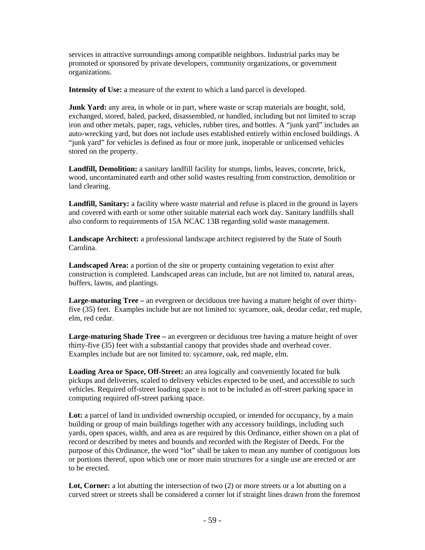services in attractive surroundings among compatible neighbors. Industrial parks may be promoted or sponsored by private developers, community organizations, or government organizations.

**Intensity of Use:** a measure of the extent to which a land parcel is developed.

**Junk Yard:** any area, in whole or in part, where waste or scrap materials are bought, sold, exchanged, stored, baled, packed, disassembled, or handled, including but not limited to scrap iron and other metals, paper, rags, vehicles, rubber tires, and bottles. A "junk yard" includes an auto-wrecking yard, but does not include uses established entirely within enclosed buildings. A "junk yard" for vehicles is defined as four or more junk, inoperable or unlicensed vehicles stored on the property.

**Landfill, Demolition:** a sanitary landfill facility for stumps, limbs, leaves, concrete, brick, wood, uncontaminated earth and other solid wastes resulting from construction, demolition or land clearing.

**Landfill, Sanitary:** a facility where waste material and refuse is placed in the ground in layers and covered with earth or some other suitable material each work day. Sanitary landfills shall also conform to requirements of 15A NCAC 13B regarding solid waste management.

**Landscape Architect:** a professional landscape architect registered by the State of South Carolina.

**Landscaped Area:** a portion of the site or property containing vegetation to exist after construction is completed. Landscaped areas can include, but are not limited to, natural areas, buffers, lawns, and plantings.

**Large-maturing Tree –** an evergreen or deciduous tree having a mature height of over thirtyfive (35) feet. Examples include but are not limited to: sycamore, oak, deodar cedar, red maple, elm, red cedar.

**Large-maturing Shade Tree –** an evergreen or deciduous tree having a mature height of over thirty-five (35) feet with a substantial canopy that provides shade and overhead cover. Examples include but are not limited to: sycamore, oak, red maple, elm.

**Loading Area or Space, Off-Street:** an area logically and conveniently located for bulk pickups and deliveries, scaled to delivery vehicles expected to be used, and accessible to such vehicles. Required off-street loading space is not to be included as off-street parking space in computing required off-street parking space.

Lot: a parcel of land in undivided ownership occupied, or intended for occupancy, by a main building or group of main buildings together with any accessory buildings, including such yards, open spaces, width, and area as are required by this Ordinance, either shown on a plat of record or described by metes and bounds and recorded with the Register of Deeds. For the purpose of this Ordinance, the word "lot" shall be taken to mean any number of contiguous lots or portions thereof, upon which one or more main structures for a single use are erected or are to be erected.

Lot, Corner: a lot abutting the intersection of two (2) or more streets or a lot abutting on a curved street or streets shall be considered a corner lot if straight lines drawn from the foremost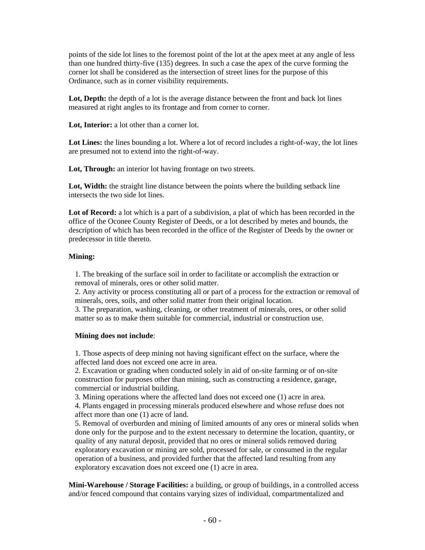points of the side lot lines to the foremost point of the lot at the apex meet at any angle of less than one hundred thirty-five (135) degrees. In such a case the apex of the curve forming the corner lot shall be considered as the intersection of street lines for the purpose of this Ordinance, such as in corner visibility requirements.

Lot, Depth: the depth of a lot is the average distance between the front and back lot lines measured at right angles to its frontage and from corner to corner.

Lot. Interior: a lot other than a corner lot.

Lot Lines: the lines bounding a lot. Where a lot of record includes a right-of-way, the lot lines are presumed not to extend into the right-of-way.

Lot, Through: an interior lot having frontage on two streets.

Lot, Width: the straight line distance between the points where the building setback line intersects the two side lot lines.

Lot of Record: a lot which is a part of a subdivision, a plat of which has been recorded in the office of the Oconee County Register of Deeds, or a lot described by metes and bounds, the description of which has been recorded in the office of the Register of Deeds by the owner or predecessor in title thereto.

#### **Mining:**

1. The breaking of the surface soil in order to facilitate or accomplish the extraction or removal of minerals, ores or other solid matter.

2. Any activity or process constituting all or part of a process for the extraction or removal of minerals, ores, soils, and other solid matter from their original location.

3. The preparation, washing, cleaning, or other treatment of minerals, ores, or other solid matter so as to make them suitable for commercial, industrial or construction use.

#### **Mining does not include**:

1. Those aspects of deep mining not having significant effect on the surface, where the affected land does not exceed one acre in area.

2. Excavation or grading when conducted solely in aid of on-site farming or of on-site construction for purposes other than mining, such as constructing a residence, garage, commercial or industrial building.

3. Mining operations where the affected land does not exceed one (1) acre in area.

4. Plants engaged in processing minerals produced elsewhere and whose refuse does not affect more than one (1) acre of land.

5. Removal of overburden and mining of limited amounts of any ores or mineral solids when done only for the purpose and to the extent necessary to determine the location, quantity, or quality of any natural deposit, provided that no ores or mineral solids removed during exploratory excavation or mining are sold, processed for sale, or consumed in the regular operation of a business, and provided further that the affected land resulting from any exploratory excavation does not exceed one (1) acre in area.

**Mini-Warehouse / Storage Facilities:** a building, or group of buildings, in a controlled access and/or fenced compound that contains varying sizes of individual, compartmentalized and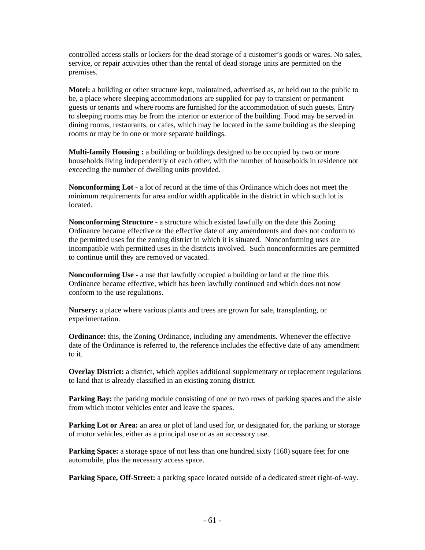controlled access stalls or lockers for the dead storage of a customer's goods or wares. No sales, service, or repair activities other than the rental of dead storage units are permitted on the premises.

**Motel:** a building or other structure kept, maintained, advertised as, or held out to the public to be, a place where sleeping accommodations are supplied for pay to transient or permanent guests or tenants and where rooms are furnished for the accommodation of such guests. Entry to sleeping rooms may be from the interior or exterior of the building. Food may be served in dining rooms, restaurants, or cafes, which may be located in the same building as the sleeping rooms or may be in one or more separate buildings.

**Multi-family Housing :** a building or buildings designed to be occupied by two or more households living independently of each other, with the number of households in residence not exceeding the number of dwelling units provided.

**Nonconforming Lot** - a lot of record at the time of this Ordinance which does not meet the minimum requirements for area and/or width applicable in the district in which such lot is located.

**Nonconforming Structure** - a structure which existed lawfully on the date this Zoning Ordinance became effective or the effective date of any amendments and does not conform to the permitted uses for the zoning district in which it is situated. Nonconforming uses are incompatible with permitted uses in the districts involved. Such nonconformities are permitted to continue until they are removed or vacated.

**Nonconforming Use** - a use that lawfully occupied a building or land at the time this Ordinance became effective, which has been lawfully continued and which does not now conform to the use regulations.

**Nursery:** a place where various plants and trees are grown for sale, transplanting, or experimentation.

**Ordinance:** this, the Zoning Ordinance, including any amendments. Whenever the effective date of the Ordinance is referred to, the reference includes the effective date of any amendment to it.

**Overlay District:** a district, which applies additional supplementary or replacement regulations to land that is already classified in an existing zoning district.

**Parking Bay:** the parking module consisting of one or two rows of parking spaces and the aisle from which motor vehicles enter and leave the spaces.

**Parking Lot or Area:** an area or plot of land used for, or designated for, the parking or storage of motor vehicles, either as a principal use or as an accessory use.

**Parking Space:** a storage space of not less than one hundred sixty (160) square feet for one automobile, plus the necessary access space.

Parking Space, Off-Street: a parking space located outside of a dedicated street right-of-way.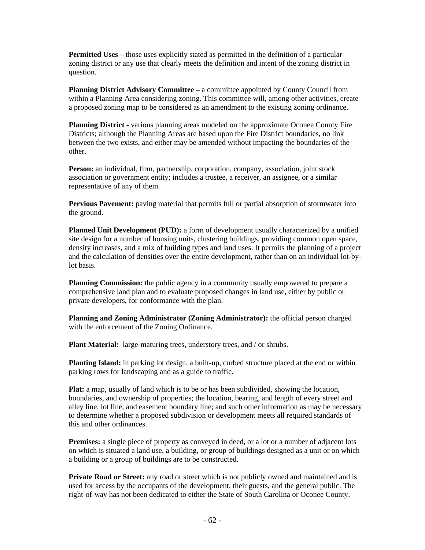**Permitted Uses – those uses explicitly stated as permitted in the definition of a particular** zoning district or any use that clearly meets the definition and intent of the zoning district in question.

**Planning District Advisory Committee – a committee appointed by County Council from** within a Planning Area considering zoning. This committee will, among other activities, create a proposed zoning map to be considered as an amendment to the existing zoning ordinance.

**Planning District -** various planning areas modeled on the approximate Oconee County Fire Districts; although the Planning Areas are based upon the Fire District boundaries, no link between the two exists, and either may be amended without impacting the boundaries of the other.

**Person:** an individual, firm, partnership, corporation, company, association, joint stock association or government entity; includes a trustee, a receiver, an assignee, or a similar representative of any of them.

**Pervious Pavement:** paving material that permits full or partial absorption of stormwater into the ground.

**Planned Unit Development (PUD):** a form of development usually characterized by a unified site design for a number of housing units, clustering buildings, providing common open space, density increases, and a mix of building types and land uses. It permits the planning of a project and the calculation of densities over the entire development, rather than on an individual lot-bylot basis.

**Planning Commission:** the public agency in a community usually empowered to prepare a comprehensive land plan and to evaluate proposed changes in land use, either by public or private developers, for conformance with the plan.

**Planning and Zoning Administrator (Zoning Administrator):** the official person charged with the enforcement of the Zoning Ordinance.

**Plant Material:** large-maturing trees, understory trees, and / or shrubs.

**Planting Island:** in parking lot design, a built-up, curbed structure placed at the end or within parking rows for landscaping and as a guide to traffic.

Plat: a map, usually of land which is to be or has been subdivided, showing the location, boundaries, and ownership of properties; the location, bearing, and length of every street and alley line, lot line, and easement boundary line; and such other information as may be necessary to determine whether a proposed subdivision or development meets all required standards of this and other ordinances.

**Premises:** a single piece of property as conveyed in deed, or a lot or a number of adjacent lots on which is situated a land use, a building, or group of buildings designed as a unit or on which a building or a group of buildings are to be constructed.

**Private Road or Street:** any road or street which is not publicly owned and maintained and is used for access by the occupants of the development, their guests, and the general public. The right-of-way has not been dedicated to either the State of South Carolina or Oconee County.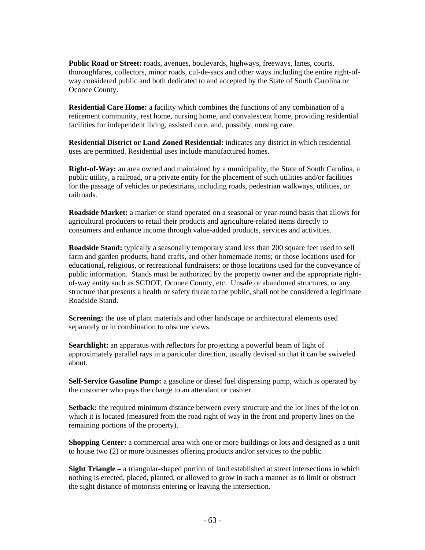**Public Road or Street:** roads, avenues, boulevards, highways, freeways, lanes, courts, thoroughfares, collectors, minor roads, cul-de-sacs and other ways including the entire right-ofway considered public and both dedicated to and accepted by the State of South Carolina or Oconee County.

**Residential Care Home:** a facility which combines the functions of any combination of a retirement community, rest home, nursing home, and convalescent home, providing residential facilities for independent living, assisted care, and, possibly, nursing care.

**Residential District or Land Zoned Residential:** indicates any district in which residential uses are permitted. Residential uses include manufactured homes.

**Right-of-Way:** an area owned and maintained by a municipality, the State of South Carolina, a public utility, a railroad, or a private entity for the placement of such utilities and/or facilities for the passage of vehicles or pedestrians, including roads, pedestrian walkways, utilities, or railroads.

**Roadside Market:** a market or stand operated on a seasonal or year-round basis that allows for agricultural producers to retail their products and agriculture-related items directly to consumers and enhance income through value-added products, services and activities.

**Roadside Stand:** typically a seasonally temporary stand less than 200 square feet used to sell farm and garden products, hand crafts, and other homemade items; or those locations used for educational, religious, or recreational fundraisers; or those locations used for the conveyance of public information. Stands must be authorized by the property owner and the appropriate rightof-way entity such as SCDOT, Oconee County, etc. Unsafe or abandoned structures, or any structure that presents a health or safety threat to the public, shall not be considered a legitimate Roadside Stand.

**Screening:** the use of plant materials and other landscape or architectural elements used separately or in combination to obscure views.

Searchlight: an apparatus with reflectors for projecting a powerful beam of light of approximately parallel rays in a particular direction, usually devised so that it can be swiveled about.

**Self-Service Gasoline Pump:** a gasoline or diesel fuel dispensing pump, which is operated by the customer who pays the charge to an attendant or cashier.

**Setback:** the required minimum distance between every structure and the lot lines of the lot on which it is located (measured from the road right of way in the front and property lines on the remaining portions of the property).

**Shopping Center:** a commercial area with one or more buildings or lots and designed as a unit to house two (2) or more businesses offering products and/or services to the public.

**Sight Triangle –** a triangular-shaped portion of land established at street intersections in which nothing is erected, placed, planted, or allowed to grow in such a manner as to limit or obstruct the sight distance of motorists entering or leaving the intersection.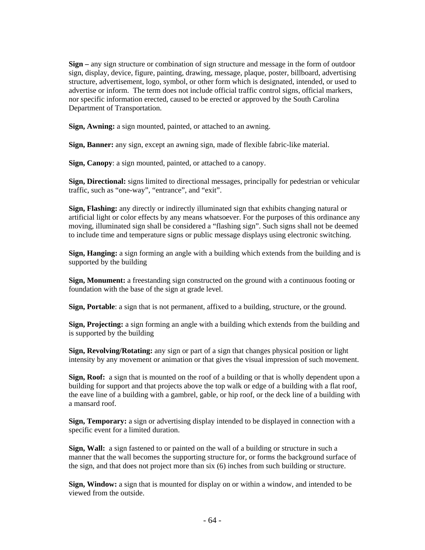**Sign –** any sign structure or combination of sign structure and message in the form of outdoor sign, display, device, figure, painting, drawing, message, plaque, poster, billboard, advertising structure, advertisement, logo, symbol, or other form which is designated, intended, or used to advertise or inform. The term does not include official traffic control signs, official markers, nor specific information erected, caused to be erected or approved by the South Carolina Department of Transportation.

**Sign, Awning:** a sign mounted, painted, or attached to an awning.

**Sign, Banner:** any sign, except an awning sign, made of flexible fabric-like material.

**Sign, Canopy**: a sign mounted, painted, or attached to a canopy.

**Sign, Directional:** signs limited to directional messages, principally for pedestrian or vehicular traffic, such as "one-way", "entrance", and "exit".

**Sign, Flashing:** any directly or indirectly illuminated sign that exhibits changing natural or artificial light or color effects by any means whatsoever. For the purposes of this ordinance any moving, illuminated sign shall be considered a "flashing sign". Such signs shall not be deemed to include time and temperature signs or public message displays using electronic switching.

**Sign, Hanging:** a sign forming an angle with a building which extends from the building and is supported by the building

**Sign, Monument:** a freestanding sign constructed on the ground with a continuous footing or foundation with the base of the sign at grade level.

**Sign, Portable**: a sign that is not permanent, affixed to a building, structure, or the ground.

**Sign, Projecting:** a sign forming an angle with a building which extends from the building and is supported by the building

**Sign, Revolving/Rotating:** any sign or part of a sign that changes physical position or light intensity by any movement or animation or that gives the visual impression of such movement.

**Sign, Roof:** a sign that is mounted on the roof of a building or that is wholly dependent upon a building for support and that projects above the top walk or edge of a building with a flat roof, the eave line of a building with a gambrel, gable, or hip roof, or the deck line of a building with a mansard roof.

**Sign, Temporary:** a sign or advertising display intended to be displayed in connection with a specific event for a limited duration.

**Sign, Wall:** a sign fastened to or painted on the wall of a building or structure in such a manner that the wall becomes the supporting structure for, or forms the background surface of the sign, and that does not project more than six (6) inches from such building or structure.

**Sign, Window:** a sign that is mounted for display on or within a window, and intended to be viewed from the outside.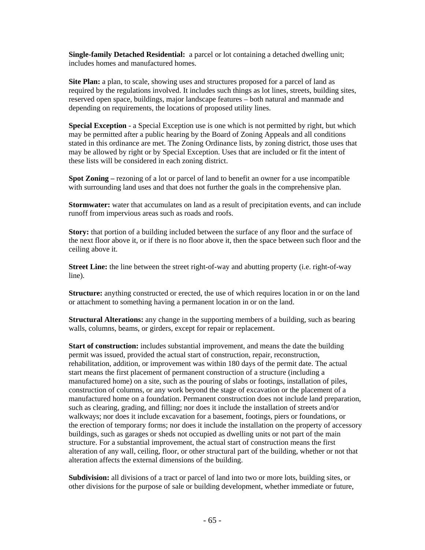**Single-family Detached Residential:** a parcel or lot containing a detached dwelling unit; includes homes and manufactured homes.

**Site Plan:** a plan, to scale, showing uses and structures proposed for a parcel of land as required by the regulations involved. It includes such things as lot lines, streets, building sites, reserved open space, buildings, major landscape features – both natural and manmade and depending on requirements, the locations of proposed utility lines.

**Special Exception** - a Special Exception use is one which is not permitted by right, but which may be permitted after a public hearing by the Board of Zoning Appeals and all conditions stated in this ordinance are met. The Zoning Ordinance lists, by zoning district, those uses that may be allowed by right or by Special Exception. Uses that are included or fit the intent of these lists will be considered in each zoning district.

**Spot Zoning** – rezoning of a lot or parcel of land to benefit an owner for a use incompatible with surrounding land uses and that does not further the goals in the comprehensive plan.

**Stormwater:** water that accumulates on land as a result of precipitation events, and can include runoff from impervious areas such as roads and roofs.

**Story:** that portion of a building included between the surface of any floor and the surface of the next floor above it, or if there is no floor above it, then the space between such floor and the ceiling above it.

**Street Line:** the line between the street right-of-way and abutting property (i.e. right-of-way line).

**Structure:** anything constructed or erected, the use of which requires location in or on the land or attachment to something having a permanent location in or on the land.

**Structural Alterations:** any change in the supporting members of a building, such as bearing walls, columns, beams, or girders, except for repair or replacement.

**Start of construction:** includes substantial improvement, and means the date the building permit was issued, provided the actual start of construction, repair, reconstruction, rehabilitation, addition, or improvement was within 180 days of the permit date. The actual start means the first placement of permanent construction of a structure (including a manufactured home) on a site, such as the pouring of slabs or footings, installation of piles, construction of columns, or any work beyond the stage of excavation or the placement of a manufactured home on a foundation. Permanent construction does not include land preparation, such as clearing, grading, and filling; nor does it include the installation of streets and/or walkways; nor does it include excavation for a basement, footings, piers or foundations, or the erection of temporary forms; nor does it include the installation on the property of accessory buildings, such as garages or sheds not occupied as dwelling units or not part of the main structure. For a substantial improvement, the actual start of construction means the first alteration of any wall, ceiling, floor, or other structural part of the building, whether or not that alteration affects the external dimensions of the building.

Subdivision: all divisions of a tract or parcel of land into two or more lots, building sites, or other divisions for the purpose of sale or building development, whether immediate or future,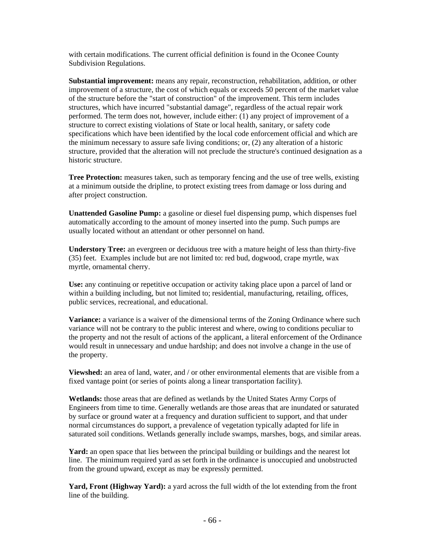with certain modifications. The current official definition is found in the Oconee County Subdivision Regulations.

**Substantial improvement:** means any repair, reconstruction, rehabilitation, addition, or other improvement of a structure, the cost of which equals or exceeds 50 percent of the market value of the structure before the "start of construction" of the improvement. This term includes structures, which have incurred "substantial damage", regardless of the actual repair work performed. The term does not, however, include either: (1) any project of improvement of a structure to correct existing violations of State or local health, sanitary, or safety code specifications which have been identified by the local code enforcement official and which are the minimum necessary to assure safe living conditions; or, (2) any alteration of a historic structure, provided that the alteration will not preclude the structure's continued designation as a historic structure.

**Tree Protection:** measures taken, such as temporary fencing and the use of tree wells, existing at a minimum outside the dripline, to protect existing trees from damage or loss during and after project construction.

**Unattended Gasoline Pump:** a gasoline or diesel fuel dispensing pump, which dispenses fuel automatically according to the amount of money inserted into the pump. Such pumps are usually located without an attendant or other personnel on hand.

**Understory Tree:** an evergreen or deciduous tree with a mature height of less than thirty-five (35) feet. Examples include but are not limited to: red bud, dogwood, crape myrtle, wax myrtle, ornamental cherry.

**Use:** any continuing or repetitive occupation or activity taking place upon a parcel of land or within a building including, but not limited to; residential, manufacturing, retailing, offices, public services, recreational, and educational.

**Variance:** a variance is a waiver of the dimensional terms of the Zoning Ordinance where such variance will not be contrary to the public interest and where, owing to conditions peculiar to the property and not the result of actions of the applicant, a literal enforcement of the Ordinance would result in unnecessary and undue hardship; and does not involve a change in the use of the property.

**Viewshed:** an area of land, water, and / or other environmental elements that are visible from a fixed vantage point (or series of points along a linear transportation facility).

**Wetlands:** those areas that are defined as wetlands by the United States Army Corps of Engineers from time to time. Generally wetlands are those areas that are inundated or saturated by surface or ground water at a frequency and duration sufficient to support, and that under normal circumstances do support, a prevalence of vegetation typically adapted for life in saturated soil conditions. Wetlands generally include swamps, marshes, bogs, and similar areas.

**Yard:** an open space that lies between the principal building or buildings and the nearest lot line. The minimum required yard as set forth in the ordinance is unoccupied and unobstructed from the ground upward, except as may be expressly permitted.

Yard, Front (Highway Yard): a yard across the full width of the lot extending from the front line of the building.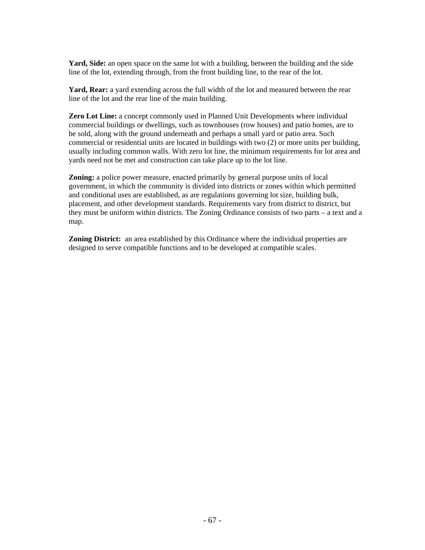Yard, Side: an open space on the same lot with a building, between the building and the side line of the lot, extending through, from the front building line, to the rear of the lot.

Yard, Rear: a yard extending across the full width of the lot and measured between the rear line of the lot and the rear line of the main building.

**Zero Lot Line:** a concept commonly used in Planned Unit Developments where individual commercial buildings or dwellings, such as townhouses (row houses) and patio homes, are to be sold, along with the ground underneath and perhaps a small yard or patio area. Such commercial or residential units are located in buildings with two (2) or more units per building, usually including common walls. With zero lot line, the minimum requirements for lot area and yards need not be met and construction can take place up to the lot line.

**Zoning:** a police power measure, enacted primarily by general purpose units of local government, in which the community is divided into districts or zones within which permitted and conditional uses are established, as are regulations governing lot size, building bulk, placement, and other development standards. Requirements vary from district to district, but they must be uniform within districts. The Zoning Ordinance consists of two parts – a text and a map.

**Zoning District:** an area established by this Ordinance where the individual properties are designed to serve compatible functions and to be developed at compatible scales.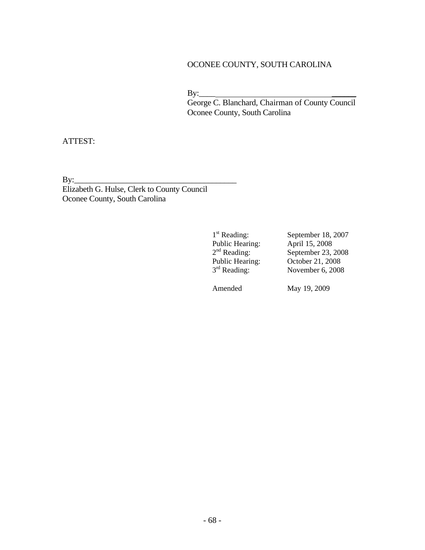# OCONEE COUNTY, SOUTH CAROLINA

 $\mathbf{B} \mathbf{y}$ :

 George C. Blanchard, Chairman of County Council Oconee County, South Carolina

ATTEST:

By:\_\_\_\_\_\_\_\_\_\_\_\_\_\_\_\_\_\_\_\_\_\_\_\_\_\_\_\_\_\_\_\_\_\_\_\_\_\_\_\_

Elizabeth G. Hulse, Clerk to County Council Oconee County, South Carolina

Public Hearing:

1<sup>st</sup> Reading: September 18, 2007<br>Public Hearing: April 15, 2008  $September 23, 2008$  $2<sup>nd</sup> Reading: 2<sup>nd</sup> Reading: 2<sup>nd</sup> Reading: 2<sup>nd</sup> Reading: 2<sup>nd</sup> Reading: 2<sup>nd</sup> Reading: 2<sup>nd</sup> Reading: 2<sup>nd</sup> .$ November 6, 2008

Amended May 19, 2009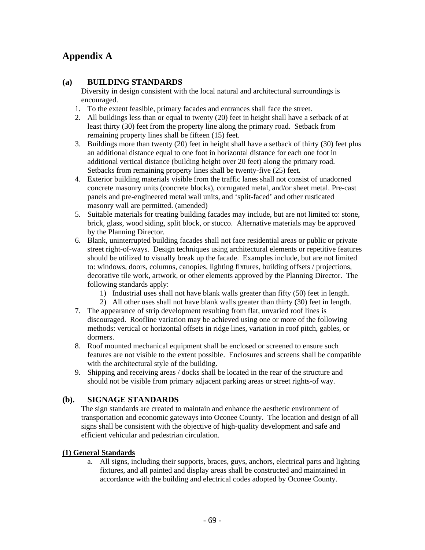# **Appendix A**

### **(a) BUILDING STANDARDS**

Diversity in design consistent with the local natural and architectural surroundings is encouraged.

- 1. To the extent feasible, primary facades and entrances shall face the street.
- 2. All buildings less than or equal to twenty (20) feet in height shall have a setback of at least thirty (30) feet from the property line along the primary road. Setback from remaining property lines shall be fifteen (15) feet.
- 3. Buildings more than twenty (20) feet in height shall have a setback of thirty (30) feet plus an additional distance equal to one foot in horizontal distance for each one foot in additional vertical distance (building height over 20 feet) along the primary road. Setbacks from remaining property lines shall be twenty-five (25) feet.
- 4. Exterior building materials visible from the traffic lanes shall not consist of unadorned concrete masonry units (concrete blocks), corrugated metal, and/or sheet metal. Pre-cast panels and pre-engineered metal wall units, and 'split-faced' and other rusticated masonry wall are permitted. (amended)
- 5. Suitable materials for treating building facades may include, but are not limited to: stone, brick, glass, wood siding, split block, or stucco. Alternative materials may be approved by the Planning Director.
- 6. Blank, uninterrupted building facades shall not face residential areas or public or private street right-of-ways. Design techniques using architectural elements or repetitive features should be utilized to visually break up the facade. Examples include, but are not limited to: windows, doors, columns, canopies, lighting fixtures, building offsets / projections, decorative tile work, artwork, or other elements approved by the Planning Director. The following standards apply:
	- 1) Industrial uses shall not have blank walls greater than fifty (50) feet in length.
	- 2) All other uses shall not have blank walls greater than thirty (30) feet in length.
- 7. The appearance of strip development resulting from flat, unvaried roof lines is discouraged. Roofline variation may be achieved using one or more of the following methods: vertical or horizontal offsets in ridge lines, variation in roof pitch, gables, or dormers.
- 8. Roof mounted mechanical equipment shall be enclosed or screened to ensure such features are not visible to the extent possible. Enclosures and screens shall be compatible with the architectural style of the building.
- 9. Shipping and receiving areas / docks shall be located in the rear of the structure and should not be visible from primary adjacent parking areas or street rights-of way.

# **(b). SIGNAGE STANDARDS**

The sign standards are created to maintain and enhance the aesthetic environment of transportation and economic gateways into Oconee County. The location and design of all signs shall be consistent with the objective of high-quality development and safe and efficient vehicular and pedestrian circulation.

### **(1) General Standards**

a. All signs, including their supports, braces, guys, anchors, electrical parts and lighting fixtures, and all painted and display areas shall be constructed and maintained in accordance with the building and electrical codes adopted by Oconee County.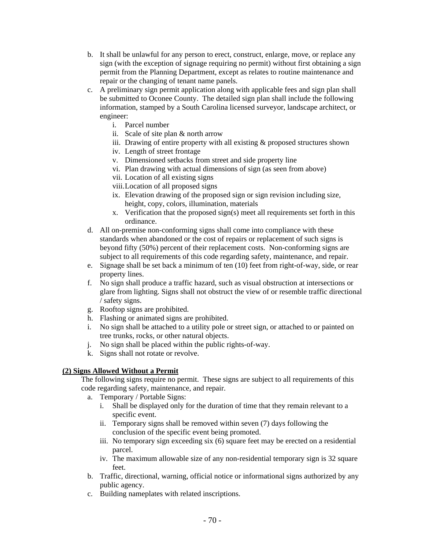- b. It shall be unlawful for any person to erect, construct, enlarge, move, or replace any sign (with the exception of signage requiring no permit) without first obtaining a sign permit from the Planning Department, except as relates to routine maintenance and repair or the changing of tenant name panels.
- c. A preliminary sign permit application along with applicable fees and sign plan shall be submitted to Oconee County. The detailed sign plan shall include the following information, stamped by a South Carolina licensed surveyor, landscape architect, or engineer:
	- i. Parcel number
	- ii. Scale of site plan & north arrow
	- iii. Drawing of entire property with all existing & proposed structures shown
	- iv. Length of street frontage
	- v. Dimensioned setbacks from street and side property line
	- vi. Plan drawing with actual dimensions of sign (as seen from above)
	- vii. Location of all existing signs
	- viii.Location of all proposed signs
	- ix. Elevation drawing of the proposed sign or sign revision including size, height, copy, colors, illumination, materials
	- x. Verification that the proposed sign(s) meet all requirements set forth in this ordinance.
- d. All on-premise non-conforming signs shall come into compliance with these standards when abandoned or the cost of repairs or replacement of such signs is beyond fifty (50%) percent of their replacement costs. Non-conforming signs are subject to all requirements of this code regarding safety, maintenance, and repair.
- e. Signage shall be set back a minimum of ten (10) feet from right-of-way, side, or rear property lines.
- f. No sign shall produce a traffic hazard, such as visual obstruction at intersections or glare from lighting. Signs shall not obstruct the view of or resemble traffic directional / safety signs.
- g. Rooftop signs are prohibited.
- h. Flashing or animated signs are prohibited.
- i. No sign shall be attached to a utility pole or street sign, or attached to or painted on tree trunks, rocks, or other natural objects.
- j. No sign shall be placed within the public rights-of-way.
- k. Signs shall not rotate or revolve.

# **(2) Signs Allowed Without a Permit**

The following signs require no permit. These signs are subject to all requirements of this code regarding safety, maintenance, and repair.

- a. Temporary / Portable Signs:
	- i. Shall be displayed only for the duration of time that they remain relevant to a specific event.
	- ii. Temporary signs shall be removed within seven (7) days following the conclusion of the specific event being promoted.
	- iii. No temporary sign exceeding six (6) square feet may be erected on a residential parcel.
	- iv. The maximum allowable size of any non-residential temporary sign is 32 square feet.
- b. Traffic, directional, warning, official notice or informational signs authorized by any public agency.
- c. Building nameplates with related inscriptions.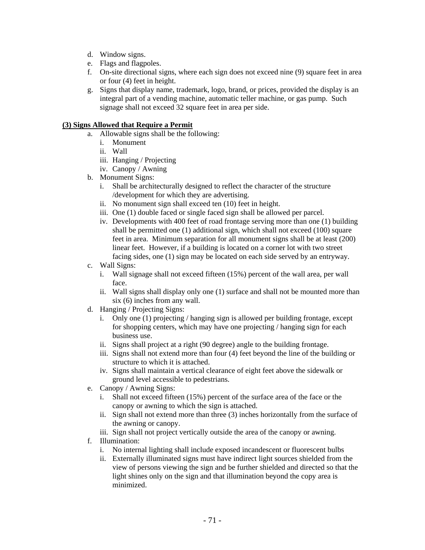- d. Window signs.
- e. Flags and flagpoles.
- f. On-site directional signs, where each sign does not exceed nine (9) square feet in area or four (4) feet in height.
- g. Signs that display name, trademark, logo, brand, or prices, provided the display is an integral part of a vending machine, automatic teller machine, or gas pump. Such signage shall not exceed 32 square feet in area per side.

#### **(3) Signs Allowed that Require a Permit**

- a. Allowable signs shall be the following:
	- i. Monument
	- ii. Wall
	- iii. Hanging / Projecting
	- iv. Canopy / Awning
- b. Monument Signs:
	- i. Shall be architecturally designed to reflect the character of the structure /development for which they are advertising.
	- ii. No monument sign shall exceed ten (10) feet in height.
	- iii. One (1) double faced or single faced sign shall be allowed per parcel.
	- iv. Developments with 400 feet of road frontage serving more than one (1) building shall be permitted one (1) additional sign, which shall not exceed (100) square feet in area. Minimum separation for all monument signs shall be at least (200) linear feet. However, if a building is located on a corner lot with two street facing sides, one (1) sign may be located on each side served by an entryway.
- c. Wall Signs:
	- i. Wall signage shall not exceed fifteen (15%) percent of the wall area, per wall face.
	- ii. Wall signs shall display only one (1) surface and shall not be mounted more than six (6) inches from any wall.
- d. Hanging / Projecting Signs:
	- i. Only one (1) projecting / hanging sign is allowed per building frontage, except for shopping centers, which may have one projecting / hanging sign for each business use.
	- ii. Signs shall project at a right (90 degree) angle to the building frontage.
	- iii. Signs shall not extend more than four (4) feet beyond the line of the building or structure to which it is attached.
	- iv. Signs shall maintain a vertical clearance of eight feet above the sidewalk or ground level accessible to pedestrians.
- e. Canopy / Awning Signs:
	- i. Shall not exceed fifteen (15%) percent of the surface area of the face or the canopy or awning to which the sign is attached.
	- ii. Sign shall not extend more than three (3) inches horizontally from the surface of the awning or canopy.
	- iii. Sign shall not project vertically outside the area of the canopy or awning.
- f. Illumination:
	- i. No internal lighting shall include exposed incandescent or fluorescent bulbs
	- ii. Externally illuminated signs must have indirect light sources shielded from the view of persons viewing the sign and be further shielded and directed so that the light shines only on the sign and that illumination beyond the copy area is minimized.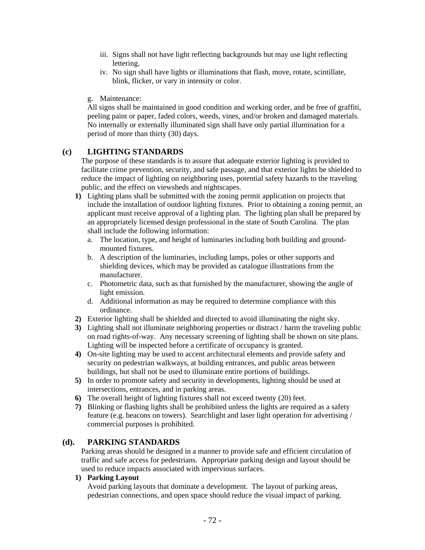- iii. Signs shall not have light reflecting backgrounds but may use light reflecting lettering.
- iv. No sign shall have lights or illuminations that flash, move, rotate, scintillate, blink, flicker, or vary in intensity or color.

#### g. Maintenance:

All signs shall be maintained in good condition and working order, and be free of graffiti, peeling paint or paper, faded colors, weeds, vines, and/or broken and damaged materials. No internally or externally illuminated sign shall have only partial illumination for a period of more than thirty (30) days.

#### **(c) LIGHTING STANDARDS**

The purpose of these standards is to assure that adequate exterior lighting is provided to facilitate crime prevention, security, and safe passage, and that exterior lights be shielded to reduce the impact of lighting on neighboring uses, potential safety hazards to the traveling public, and the effect on viewsheds and nightscapes.

- **1)** Lighting plans shall be submitted with the zoning permit application on projects that include the installation of outdoor lighting fixtures. Prior to obtaining a zoning permit, an applicant must receive approval of a lighting plan. The lighting plan shall be prepared by an appropriately licensed design professional in the state of South Carolina. The plan shall include the following information:
	- a. The location, type, and height of luminaries including both building and groundmounted fixtures.
	- b. A description of the luminaries, including lamps, poles or other supports and shielding devices, which may be provided as catalogue illustrations from the manufacturer.
	- c. Photometric data, such as that furnished by the manufacturer, showing the angle of light emission.
	- d. Additional information as may be required to determine compliance with this ordinance.
- **2)** Exterior lighting shall be shielded and directed to avoid illuminating the night sky.
- **3)** Lighting shall not illuminate neighboring properties or distract / harm the traveling public on road rights-of-way. Any necessary screening of lighting shall be shown on site plans. Lighting will be inspected before a certificate of occupancy is granted.
- **4)** On-site lighting may be used to accent architectural elements and provide safety and security on pedestrian walkways, at building entrances, and public areas between buildings, but shall not be used to illuminate entire portions of buildings.
- **5)** In order to promote safety and security in developments, lighting should be used at intersections, entrances, and in parking areas.
- **6)** The overall height of lighting fixtures shall not exceed twenty (20) feet.
- **7)** Blinking or flashing lights shall be prohibited unless the lights are required as a safety feature (e.g. beacons on towers). Searchlight and laser light operation for advertising / commercial purposes is prohibited.

#### **(d). PARKING STANDARDS**

Parking areas should be designed in a manner to provide safe and efficient circulation of traffic and safe access for pedestrians. Appropriate parking design and layout should be used to reduce impacts associated with impervious surfaces.

## **1) Parking Layout**

Avoid parking layouts that dominate a development. The layout of parking areas, pedestrian connections, and open space should reduce the visual impact of parking.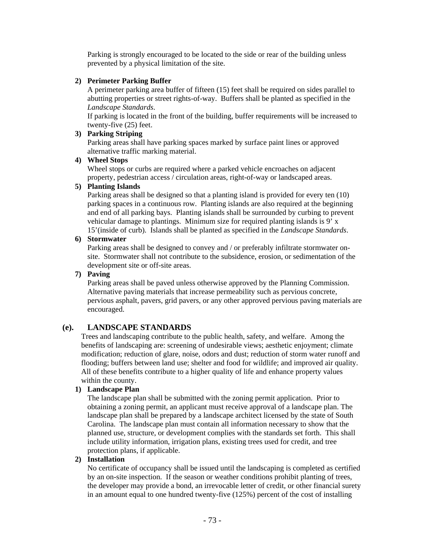Parking is strongly encouraged to be located to the side or rear of the building unless prevented by a physical limitation of the site.

### **2) Perimeter Parking Buffer**

A perimeter parking area buffer of fifteen (15) feet shall be required on sides parallel to abutting properties or street rights-of-way. Buffers shall be planted as specified in the *Landscape Standards*.

If parking is located in the front of the building, buffer requirements will be increased to twenty-five (25) feet.

## **3) Parking Striping**

Parking areas shall have parking spaces marked by surface paint lines or approved alternative traffic marking material.

### **4) Wheel Stops**

Wheel stops or curbs are required where a parked vehicle encroaches on adjacent property, pedestrian access / circulation areas, right-of-way or landscaped areas.

### **5) Planting Islands**

Parking areas shall be designed so that a planting island is provided for every ten (10) parking spaces in a continuous row. Planting islands are also required at the beginning and end of all parking bays. Planting islands shall be surrounded by curbing to prevent vehicular damage to plantings. Minimum size for required planting islands is 9' x 15'(inside of curb). Islands shall be planted as specified in the *Landscape Standards*.

### **6) Stormwater**

Parking areas shall be designed to convey and / or preferably infiltrate stormwater onsite. Stormwater shall not contribute to the subsidence, erosion, or sedimentation of the development site or off-site areas.

### **7) Paving**

Parking areas shall be paved unless otherwise approved by the Planning Commission. Alternative paving materials that increase permeability such as pervious concrete, pervious asphalt, pavers, grid pavers, or any other approved pervious paving materials are encouraged.

# **(e). LANDSCAPE STANDARDS**

Trees and landscaping contribute to the public health, safety, and welfare. Among the benefits of landscaping are: screening of undesirable views; aesthetic enjoyment; climate modification; reduction of glare, noise, odors and dust; reduction of storm water runoff and flooding; buffers between land use; shelter and food for wildlife; and improved air quality. All of these benefits contribute to a higher quality of life and enhance property values within the county.

# **1) Landscape Plan**

The landscape plan shall be submitted with the zoning permit application. Prior to obtaining a zoning permit, an applicant must receive approval of a landscape plan. The landscape plan shall be prepared by a landscape architect licensed by the state of South Carolina. The landscape plan must contain all information necessary to show that the planned use, structure, or development complies with the standards set forth. This shall include utility information, irrigation plans, existing trees used for credit, and tree protection plans, if applicable.

# **2) Installation**

No certificate of occupancy shall be issued until the landscaping is completed as certified by an on-site inspection. If the season or weather conditions prohibit planting of trees, the developer may provide a bond, an irrevocable letter of credit, or other financial surety in an amount equal to one hundred twenty-five (125%) percent of the cost of installing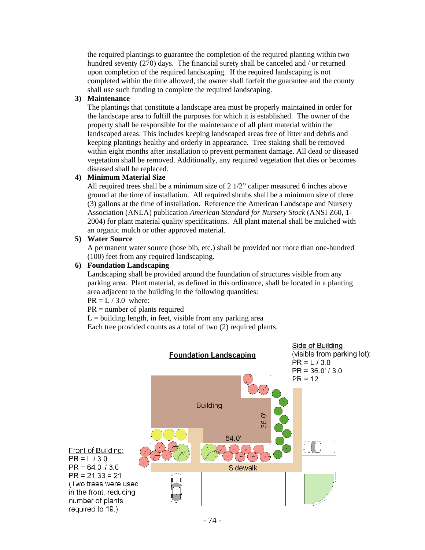the required plantings to guarantee the completion of the required planting within two hundred seventy (270) days. The financial surety shall be canceled and / or returned upon completion of the required landscaping. If the required landscaping is not completed within the time allowed, the owner shall forfeit the guarantee and the county shall use such funding to complete the required landscaping.

## **3) Maintenance**

The plantings that constitute a landscape area must be properly maintained in order for the landscape area to fulfill the purposes for which it is established. The owner of the property shall be responsible for the maintenance of all plant material within the landscaped areas. This includes keeping landscaped areas free of litter and debris and keeping plantings healthy and orderly in appearance. Tree staking shall be removed within eight months after installation to prevent permanent damage. All dead or diseased vegetation shall be removed. Additionally, any required vegetation that dies or becomes diseased shall be replaced.

### **4) Minimum Material Size**

All required trees shall be a minimum size of 2 1/2" caliper measured 6 inches above ground at the time of installation. All required shrubs shall be a minimum size of three (3) gallons at the time of installation. Reference the American Landscape and Nursery Association (ANLA) publication *American Standard for Nursery Stock* (ANSI Z60, 1- 2004) for plant material quality specifications. All plant material shall be mulched with an organic mulch or other approved material.

### **5) Water Source**

A permanent water source (hose bib, etc.) shall be provided not more than one-hundred (100) feet from any required landscaping.

## **6) Foundation Landscaping**

Landscaping shall be provided around the foundation of structures visible from any parking area. Plant material, as defined in this ordinance, shall be located in a planting area adjacent to the building in the following quantities:

 $PR = L / 3.0$  where:

PR = number of plants required

 $L =$  building length, in feet, visible from any parking area

Each tree provided counts as a total of two (2) required plants.

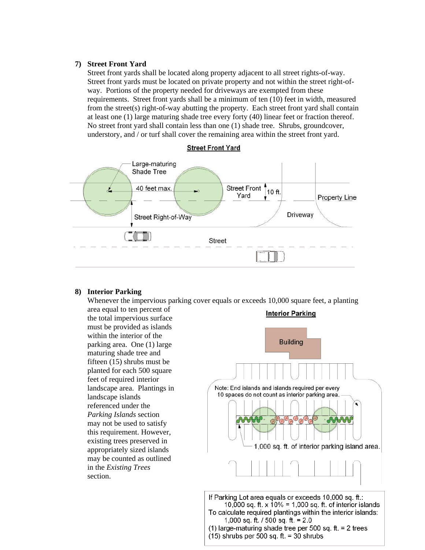#### **7) Street Front Yard**

Street front yards shall be located along property adjacent to all street rights-of-way. Street front yards must be located on private property and not within the street right-ofway. Portions of the property needed for driveways are exempted from these requirements. Street front yards shall be a minimum of ten (10) feet in width, measured from the street(s) right-of-way abutting the property. Each street front yard shall contain at least one (1) large maturing shade tree every forty (40) linear feet or fraction thereof. No street front yard shall contain less than one (1) shade tree. Shrubs, groundcover, understory, and / or turf shall cover the remaining area within the street front yard.



#### **8) Interior Parking**

Whenever the impervious parking cover equals or exceeds 10,000 square feet, a planting

area equal to ten percent of the total impervious surface must be provided as islands within the interior of the parking area. One (1) large maturing shade tree and fifteen (15) shrubs must be planted for each 500 square feet of required interior landscape area. Plantings in landscape islands referenced under the *Parking Islands* section may not be used to satisfy this requirement. However, existing trees preserved in appropriately sized islands may be counted as outlined in the *Existing Trees* section.

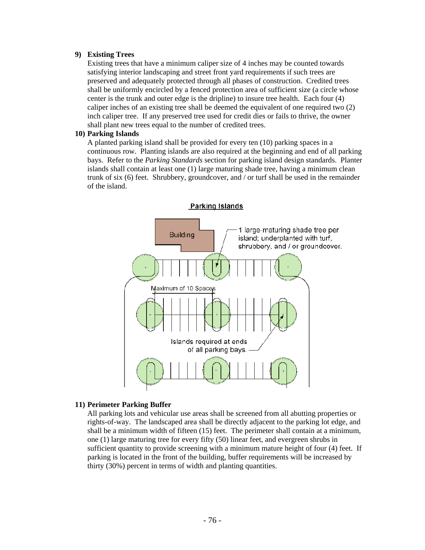#### **9) Existing Trees**

Existing trees that have a minimum caliper size of 4 inches may be counted towards satisfying interior landscaping and street front yard requirements if such trees are preserved and adequately protected through all phases of construction. Credited trees shall be uniformly encircled by a fenced protection area of sufficient size (a circle whose center is the trunk and outer edge is the dripline) to insure tree health. Each four (4) caliper inches of an existing tree shall be deemed the equivalent of one required two (2) inch caliper tree. If any preserved tree used for credit dies or fails to thrive, the owner shall plant new trees equal to the number of credited trees.

#### **10) Parking Islands**

A planted parking island shall be provided for every ten (10) parking spaces in a continuous row. Planting islands are also required at the beginning and end of all parking bays. Refer to the *Parking Standards* section for parking island design standards. Planter islands shall contain at least one (1) large maturing shade tree, having a minimum clean trunk of six (6) feet. Shrubbery, groundcover, and / or turf shall be used in the remainder of the island.



## **11) Perimeter Parking Buffer**

All parking lots and vehicular use areas shall be screened from all abutting properties or rights-of-way. The landscaped area shall be directly adjacent to the parking lot edge, and shall be a minimum width of fifteen (15) feet. The perimeter shall contain at a minimum, one (1) large maturing tree for every fifty (50) linear feet, and evergreen shrubs in sufficient quantity to provide screening with a minimum mature height of four (4) feet. If parking is located in the front of the building, buffer requirements will be increased by thirty (30%) percent in terms of width and planting quantities.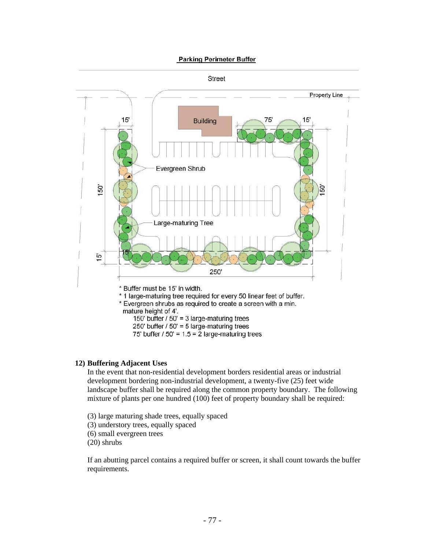#### **Parking Perimeter Buffer**



#### **12) Buffering Adjacent Uses**

In the event that non-residential development borders residential areas or industrial development bordering non-industrial development, a twenty-five (25) feet wide landscape buffer shall be required along the common property boundary. The following mixture of plants per one hundred (100) feet of property boundary shall be required:

- (3) large maturing shade trees, equally spaced
- (3) understory trees, equally spaced
- (6) small evergreen trees

(20) shrubs

If an abutting parcel contains a required buffer or screen, it shall count towards the buffer requirements.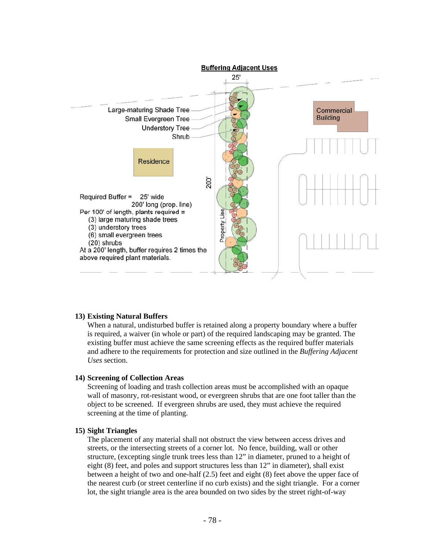

#### **13) Existing Natural Buffers**

When a natural, undisturbed buffer is retained along a property boundary where a buffer is required, a waiver (in whole or part) of the required landscaping may be granted. The existing buffer must achieve the same screening effects as the required buffer materials and adhere to the requirements for protection and size outlined in the *Buffering Adjacent Uses* section.

#### **14) Screening of Collection Areas**

Screening of loading and trash collection areas must be accomplished with an opaque wall of masonry, rot-resistant wood, or evergreen shrubs that are one foot taller than the object to be screened. If evergreen shrubs are used, they must achieve the required screening at the time of planting.

#### **15) Sight Triangles**

The placement of any material shall not obstruct the view between access drives and streets, or the intersecting streets of a corner lot. No fence, building, wall or other structure, (excepting single trunk trees less than 12" in diameter, pruned to a height of eight (8) feet, and poles and support structures less than 12" in diameter), shall exist between a height of two and one-half (2.5) feet and eight (8) feet above the upper face of the nearest curb (or street centerline if no curb exists) and the sight triangle. For a corner lot, the sight triangle area is the area bounded on two sides by the street right-of-way